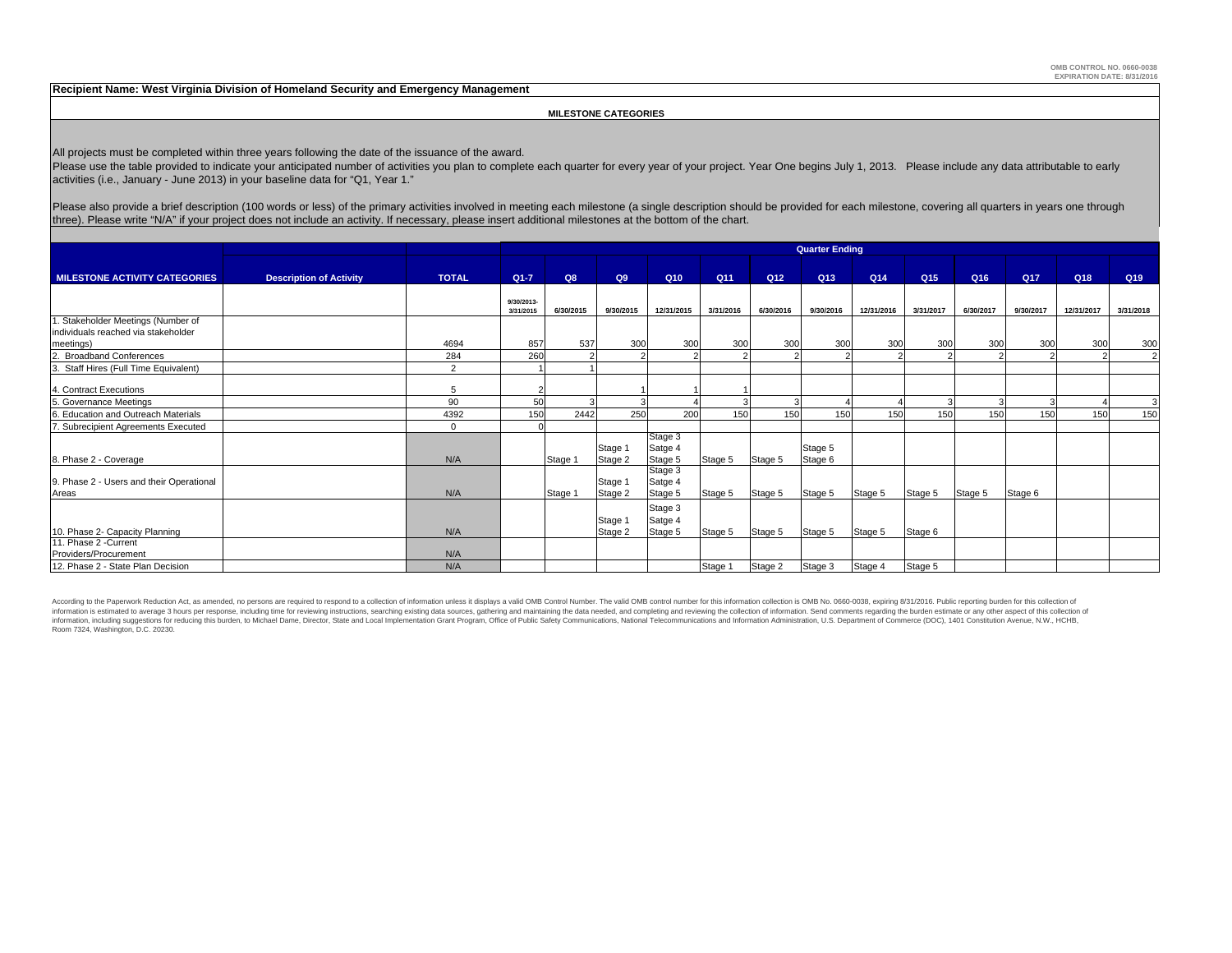**Recipient Name: West Virginia Division of Homeland Security and Emergency Management**

#### **MILESTONE CATEGORIES**

All projects must be completed within three years following the date of the issuance of the award.

Please use the table provided to indicate your anticipated number of activities you plan to complete each quarter for every year of your project. Year One begins July 1, 2013. Please include any data attributable to early activities (i.e., January - June 2013) in your baseline data for "Q1, Year 1."

Please also provide a brief description (100 words or less) of the primary activities involved in meeting each milestone (a single description should be provided for each milestone, covering all quarters in years one throu three). Please write "N/A" if your project does not include an activity. If necessary, please insert additional milestones at the bottom of the chart.

|                                                   |                                |                | <b>Quarter Ending</b>   |           |                    |                               |           |                 |                    |            |                 |                 |                 |            |              |
|---------------------------------------------------|--------------------------------|----------------|-------------------------|-----------|--------------------|-------------------------------|-----------|-----------------|--------------------|------------|-----------------|-----------------|-----------------|------------|--------------|
|                                                   |                                |                |                         |           |                    |                               |           |                 |                    |            |                 |                 |                 |            |              |
| <b>MILESTONE ACTIVITY CATEGORIES</b>              | <b>Description of Activity</b> | <b>TOTAL</b>   | $Q1 - 7$                | Q8        | Q9                 | Q <sub>10</sub>               | Q11       | Q <sub>12</sub> | Q13                | Q14        | Q <sub>15</sub> | Q <sub>16</sub> | Q <sub>17</sub> | Q18        | Q19          |
|                                                   |                                |                | 9/30/2013-<br>3/31/2015 | 6/30/2015 | 9/30/2015          | 12/31/2015                    | 3/31/2016 | 6/30/2016       | 9/30/2016          | 12/31/2016 | 3/31/2017       | 6/30/2017       | 9/30/2017       | 12/31/2017 | 3/31/2018    |
| 1. Stakeholder Meetings (Number of                |                                |                |                         |           |                    |                               |           |                 |                    |            |                 |                 |                 |            |              |
| individuals reached via stakeholder               |                                |                |                         |           |                    |                               |           |                 |                    |            |                 |                 |                 |            |              |
| meetings)                                         |                                | 4694           | 857                     | 537       | 300                | 300                           | 300       | 300             | 300                | 300        | 300             | 300             | 300             | 300        | 300          |
| 2. Broadband Conferences                          |                                | 284            | 260                     |           |                    |                               |           |                 |                    |            |                 |                 |                 |            | 2            |
| 3. Staff Hires (Full Time Equivalent)             |                                | $\overline{2}$ |                         |           |                    |                               |           |                 |                    |            |                 |                 |                 |            |              |
| 4. Contract Executions                            |                                | 5              |                         |           |                    |                               |           |                 |                    |            |                 |                 |                 |            |              |
| 5. Governance Meetings                            |                                | 90             | 50                      |           |                    |                               |           |                 |                    |            |                 |                 |                 |            | $\mathbf{3}$ |
| 6. Education and Outreach Materials               |                                | 4392           | 150                     | 2442      | <b>250</b>         | 200                           | 150       | 150             | 150                | 150        | 150             | 150             | 150             | 150        | 150          |
| 7. Subrecipient Agreements Executed               |                                | $\mathbf 0$    |                         |           |                    |                               |           |                 |                    |            |                 |                 |                 |            |              |
| 8. Phase 2 - Coverage                             |                                | N/A            |                         | Stage 1   | Stage 1<br>Stage 2 | Stage 3<br>Satge 4<br>Stage 5 | Stage 5   | Stage 5         | Stage 5<br>Stage 6 |            |                 |                 |                 |            |              |
| 9. Phase 2 - Users and their Operational<br>Areas |                                | N/A            |                         | Stage 1   | Stage 1<br>Stage 2 | Stage 3<br>Satge 4<br>Stage 5 | Stage 5   | Stage 5         | Stage 5            | Stage 5    | Stage 5         | Stage 5         | Stage 6         |            |              |
| 10. Phase 2- Capacity Planning                    |                                | N/A            |                         |           | Stage 1<br>Stage 2 | Stage 3<br>Satge 4<br>Stage 5 | Stage 5   | Stage 5         | Stage 5            | Stage 5    | Stage 6         |                 |                 |            |              |
| 11. Phase 2 - Current<br>Providers/Procurement    |                                | N/A            |                         |           |                    |                               |           |                 |                    |            |                 |                 |                 |            |              |
| 12. Phase 2 - State Plan Decision                 |                                | N/A            |                         |           |                    |                               | Stage 1   | Stage 2         | Stage 3            | Stage 4    | Stage 5         |                 |                 |            |              |

According to the Paperwork Reduction Act, as amended, no persons are required to respond to a collection of information unless it displays a valid OMB Control Number. The valid OMB control number for this information colle information is estimated to average 3 hours per response, including time for reviewing instructions, searching existing and maintaining the data needed, and completing and completing and conduction search in the subsect of Room 7324, Washington, D.C. 20230.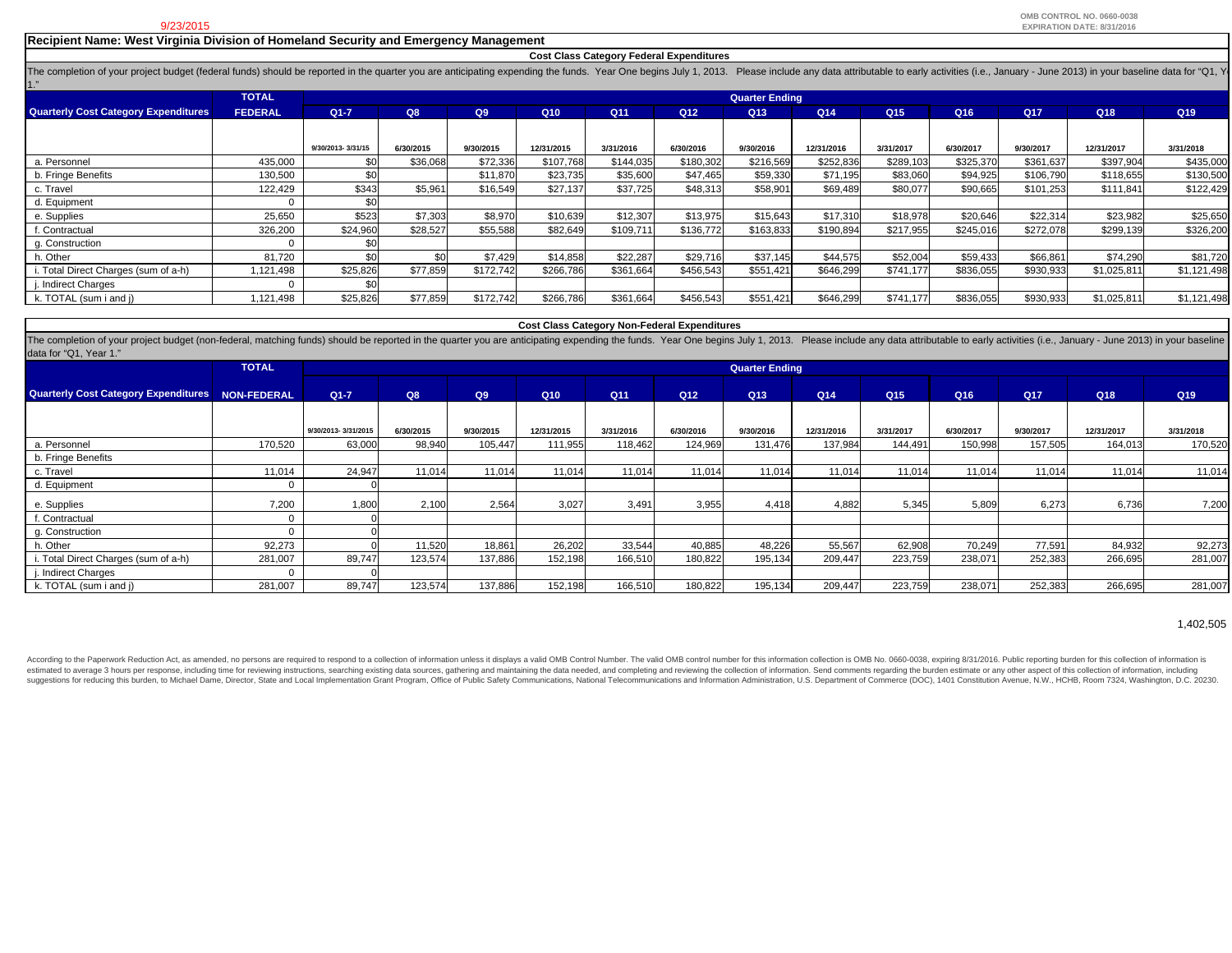#### **Cost Class Category Federal Expenditures**

The completion of your project budget (federal funds) should be reported in the quarter you are anticipating expending the funds. Year One begins July 1, 2013. Please include any data attributable to early activities (i.e.

|                                             | <b>TOTAL</b>   |                   |           |           |            |           |                 | <b>Quarter Ending</b> |                 |                 |           |           |             |             |
|---------------------------------------------|----------------|-------------------|-----------|-----------|------------|-----------|-----------------|-----------------------|-----------------|-----------------|-----------|-----------|-------------|-------------|
| <b>Quarterly Cost Category Expenditures</b> | <b>FEDERAL</b> | $Q1 - 7$          | Q8        | Q9        | Q10        | Q11       | Q <sub>12</sub> | Q <sub>13</sub>       | Q <sub>14</sub> | Q <sub>15</sub> | Q16       | Q17       | Q18         | Q19         |
|                                             |                |                   |           |           |            |           |                 |                       |                 |                 |           |           |             |             |
|                                             |                |                   |           |           |            |           |                 |                       |                 |                 |           |           |             |             |
|                                             |                | 9/30/2013-3/31/15 | 6/30/2015 | 9/30/2015 | 12/31/2015 | 3/31/2016 | 6/30/2016       | 9/30/2016             | 12/31/2016      | 3/31/2017       | 6/30/2017 | 9/30/2017 | 12/31/2017  | 3/31/2018   |
| a. Personnel                                | 435,000        | \$0               | \$36,068  | \$72,336  | \$107,768  | \$144,035 | \$180,302       | \$216,569             | \$252,836       | \$289,103       | \$325,370 | \$361,637 | \$397,904   | \$435,000   |
| b. Fringe Benefits                          | 130,500        |                   |           | \$11,870  | \$23,735   | \$35,600  | \$47,465        | \$59,330              | \$71,195        | \$83,060        | \$94,925  | \$106,790 | \$118,655   | \$130,500   |
| c. Travel                                   | 122,429        | \$343             | \$5,961   | \$16,549  | \$27,137   | \$37,725  | \$48,313        | \$58,901              | \$69,489        | \$80,077        | \$90,665  | \$101,253 | \$111,841   | \$122,429   |
| d. Equipment                                |                |                   |           |           |            |           |                 |                       |                 |                 |           |           |             |             |
| e. Supplies                                 | 25,650         | \$523             | \$7,303   | \$8,970   | \$10,639   | \$12,307  | \$13,975        | \$15,643              | \$17,310        | \$18,978        | \$20,646  | \$22,314  | \$23,982    | \$25,650    |
| . Contractual                               | 326,200        | \$24,960          | \$28,527  | \$55,588  | \$82,649   | \$109,711 | \$136,772       | \$163,833             | \$190,894       | \$217,955       | \$245,016 | \$272,078 | \$299,139   | \$326,200   |
| g. Construction                             |                |                   |           |           |            |           |                 |                       |                 |                 |           |           |             |             |
| h. Other                                    | 81,720         |                   | \$0       | \$7,429   | \$14,858   | \$22,287  | \$29,716        | \$37,145              | \$44,575        | \$52,004        | \$59,433  | \$66,861  | \$74,290    | \$81,720    |
| i. Total Direct Charges (sum of a-h)        | 1,121,498      | \$25,826          | \$77,859  | \$172,742 | \$266,786  | \$361,664 | \$456,543       | \$551,421             | \$646,299       | \$741.177       | \$836,055 | \$930,933 | \$1,025,811 | \$1,121,498 |
| j. Indirect Charges                         |                |                   |           |           |            |           |                 |                       |                 |                 |           |           |             |             |
| k. TOTAL (sum i and j)                      | 1,121,498      | \$25,826          | \$77,859  | \$172,742 | \$266,786  | \$361,664 | \$456,543       | \$551,421             | \$646,299       | \$741.177       | \$836,055 | \$930,933 | \$1,025,811 | \$1,121,498 |

#### **Cost Class Category Non-Federal Expenditures**

The completion of your project budget (non-federal, matching funds) should be reported in the quarter you are anticipating expending the funds. Year One begins July 1, 2013. Please include any data attributable to early ac data for "Q1, Year 1."

|                                                         | <b>TOTAL</b> |                     | <b>Quarter Ending</b> |           |            |           |                 |                 |                 |                 |           |           |            |           |
|---------------------------------------------------------|--------------|---------------------|-----------------------|-----------|------------|-----------|-----------------|-----------------|-----------------|-----------------|-----------|-----------|------------|-----------|
| <b>Quarterly Cost Category Expenditures NON-FEDERAL</b> |              | $Q1 - 7$            | Q8                    | Q9        | Q10        | Q11       | Q <sub>12</sub> | Q <sub>13</sub> | Q <sub>14</sub> | Q <sub>15</sub> | Q16       | Q17       | Q18        | Q19       |
|                                                         |              |                     |                       |           |            |           |                 |                 |                 |                 |           |           |            |           |
|                                                         |              | 9/30/2013-3/31/2015 | 6/30/2015             | 9/30/2015 | 12/31/2015 | 3/31/2016 | 6/30/2016       | 9/30/2016       | 12/31/2016      | 3/31/2017       | 6/30/2017 | 9/30/2017 | 12/31/2017 | 3/31/2018 |
| a. Personnel                                            | 170,520      | 63,000              | 98,940                | 105.447   | 111,955    | 118,462   | 124,969         | 131,476         | 137,984         | 144.491         | 150,998   | 157,505   | 164,013    | 170,520   |
| b. Fringe Benefits                                      |              |                     |                       |           |            |           |                 |                 |                 |                 |           |           |            |           |
| c. Travel                                               | 11,014       | 24,947              | 11.014                | 11,014    | 11,014     | 11,014    | 11,014          | 11,014          | 11,014          | 11.014          | 11,014    | 11,014    | 11,014     | 11,014    |
| d. Equipment                                            |              |                     |                       |           |            |           |                 |                 |                 |                 |           |           |            |           |
| e. Supplies                                             | 7,200        | 1,800               | 2.100                 | 2,564     | 3,027      | 3,491     | 3,955           | 4,418           | 4.882           | 5,345           | 5,809     | 6,273     | 6,736      | 7,200     |
| . Contractual                                           |              |                     |                       |           |            |           |                 |                 |                 |                 |           |           |            |           |
| g. Construction                                         |              |                     |                       |           |            |           |                 |                 |                 |                 |           |           |            |           |
| n. Other                                                | 92,273       |                     | 11,520                | 18,861    | 26,202     | 33,544    | 40,885          | 48,226          | 55,567          | 62,908          | 70,249    | 77,591    | 84,932     | 92,273    |
| . Total Direct Charges (sum of a-h)                     | 281,007      | 89,747              | 123,574               | 137,886   | 152,198    | 166,510   | 180,822         | 195,134         | 209,447         | 223,759         | 238,071   | 252,383   | 266,695    | 281,007   |
| i. Indirect Charges                                     |              |                     |                       |           |            |           |                 |                 |                 |                 |           |           |            |           |
| k. TOTAL (sum i and j)                                  | 281,007      | 89,747              | 123,574               | 137,886   | 152,198    | 166,510   | 180,822         | 195,134         | 209,447         | 223,759         | 238,071   | 252,383   | 266,695    | 281,007   |

1,402,505

According to the Paperwork Reduction Act, as amended, no persons are required to respond to a collection of information unless it displays a valid OMB Control Number. The valid OMB control number for this information colle estimated to average 3 hours per response, including time for reviewing instructions, searching existing oxisting data sources, gathering and maintaining the data needed, and completing and reviewing the collection of info suggestions for reducing this burden, to Michael Dame, Director, State and Local Implementation Grant Program, Office of Public Safety Communications, National Telecommunications and Information Administration, U.S. Depart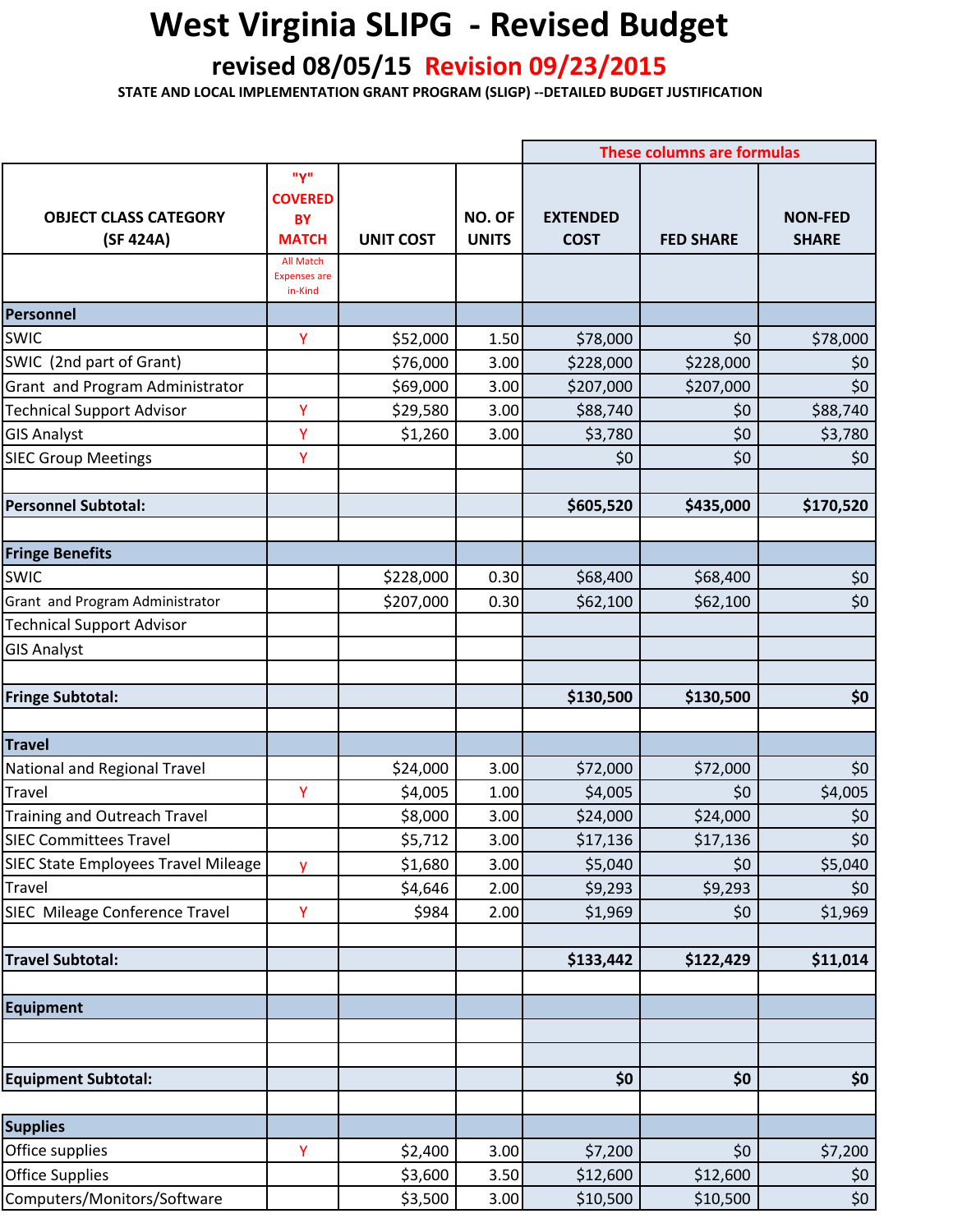# **West Virginia SLIPG ‐ Revised Budget**

# **revised 08/05/15 Revision 09/23/2015**

**STATE AND LOCAL IMPLEMENTATION GRANT PROGRAM (SLIGP) ‐‐DETAILED BUDGET JUSTIFICATION**

|                                           |                                                    |                  |                        | <b>These columns are formulas</b> |                  |                                |  |
|-------------------------------------------|----------------------------------------------------|------------------|------------------------|-----------------------------------|------------------|--------------------------------|--|
| <b>OBJECT CLASS CATEGORY</b><br>(SF 424A) | "Y"<br><b>COVERED</b><br><b>BY</b><br><b>MATCH</b> | <b>UNIT COST</b> | NO. OF<br><b>UNITS</b> | <b>EXTENDED</b><br><b>COST</b>    | <b>FED SHARE</b> | <b>NON-FED</b><br><b>SHARE</b> |  |
|                                           | <b>All Match</b><br><b>Expenses are</b><br>in-Kind |                  |                        |                                   |                  |                                |  |
| Personnel                                 |                                                    |                  |                        |                                   |                  |                                |  |
| SWIC                                      | Υ                                                  | \$52,000         | 1.50                   | \$78,000                          | \$0              | \$78,000                       |  |
| SWIC (2nd part of Grant)                  |                                                    | \$76,000         | 3.00                   | \$228,000                         | \$228,000        | \$0                            |  |
| Grant and Program Administrator           |                                                    | \$69,000         | 3.00                   | \$207,000                         | \$207,000        | \$0                            |  |
| <b>Technical Support Advisor</b>          | Υ                                                  | \$29,580         | 3.00                   | \$88,740                          | \$0              | \$88,740                       |  |
| <b>GIS Analyst</b>                        | Y                                                  | \$1,260          | 3.00                   | \$3,780                           | \$0              | \$3,780                        |  |
| <b>SIEC Group Meetings</b>                | Y                                                  |                  |                        | \$0                               | \$0              | \$0                            |  |
| <b>Personnel Subtotal:</b>                |                                                    |                  |                        | \$605,520                         | \$435,000        | \$170,520                      |  |
| <b>Fringe Benefits</b>                    |                                                    |                  |                        |                                   |                  |                                |  |
| SWIC                                      |                                                    | \$228,000        | 0.30                   | \$68,400                          | \$68,400         | \$0                            |  |
| Grant and Program Administrator           |                                                    | \$207,000        | 0.30                   | \$62,100                          | \$62,100         | \$0                            |  |
| <b>Technical Support Advisor</b>          |                                                    |                  |                        |                                   |                  |                                |  |
| <b>GIS Analyst</b>                        |                                                    |                  |                        |                                   |                  |                                |  |
| <b>Fringe Subtotal:</b>                   |                                                    |                  |                        | \$130,500                         | \$130,500        | \$0                            |  |
|                                           |                                                    |                  |                        |                                   |                  |                                |  |
| <b>Travel</b>                             |                                                    |                  |                        |                                   |                  |                                |  |
| National and Regional Travel              |                                                    | \$24,000         | 3.00                   | \$72,000                          | \$72,000         | \$0                            |  |
| Travel                                    | Y                                                  | \$4,005          | 1.00                   | \$4,005                           | \$0              | \$4,005                        |  |
| Training and Outreach Travel              |                                                    | \$8,000          | 3.00                   | \$24,000                          | \$24,000         | \$0                            |  |
| <b>SIEC Committees Travel</b>             |                                                    | \$5,712          | 3.00                   | \$17,136                          | \$17,136         | \$0                            |  |
| SIEC State Employees Travel Mileage       | y                                                  | \$1,680          | 3.00                   | \$5,040                           | \$0              | \$5,040                        |  |
| Travel                                    |                                                    | \$4,646          | 2.00                   | \$9,293                           | \$9,293          | \$0                            |  |
| SIEC Mileage Conference Travel            | Ÿ                                                  | \$984            | 2.00                   | \$1,969                           | \$0              | \$1,969                        |  |
| <b>Travel Subtotal:</b>                   |                                                    |                  |                        | \$133,442                         | \$122,429        | \$11,014                       |  |
|                                           |                                                    |                  |                        |                                   |                  |                                |  |
| Equipment                                 |                                                    |                  |                        |                                   |                  |                                |  |
|                                           |                                                    |                  |                        |                                   |                  |                                |  |
| <b>Equipment Subtotal:</b>                |                                                    |                  |                        | \$0                               | \$0              | \$0                            |  |
| <b>Supplies</b>                           |                                                    |                  |                        |                                   |                  |                                |  |
| Office supplies                           | Y.                                                 | \$2,400          | 3.00                   | \$7,200                           | \$0              | \$7,200                        |  |
| <b>Office Supplies</b>                    |                                                    | \$3,600          | 3.50                   | \$12,600                          | \$12,600         | \$0                            |  |
| Computers/Monitors/Software               |                                                    | \$3,500          | 3.00                   | \$10,500                          | \$10,500         | \$0\$                          |  |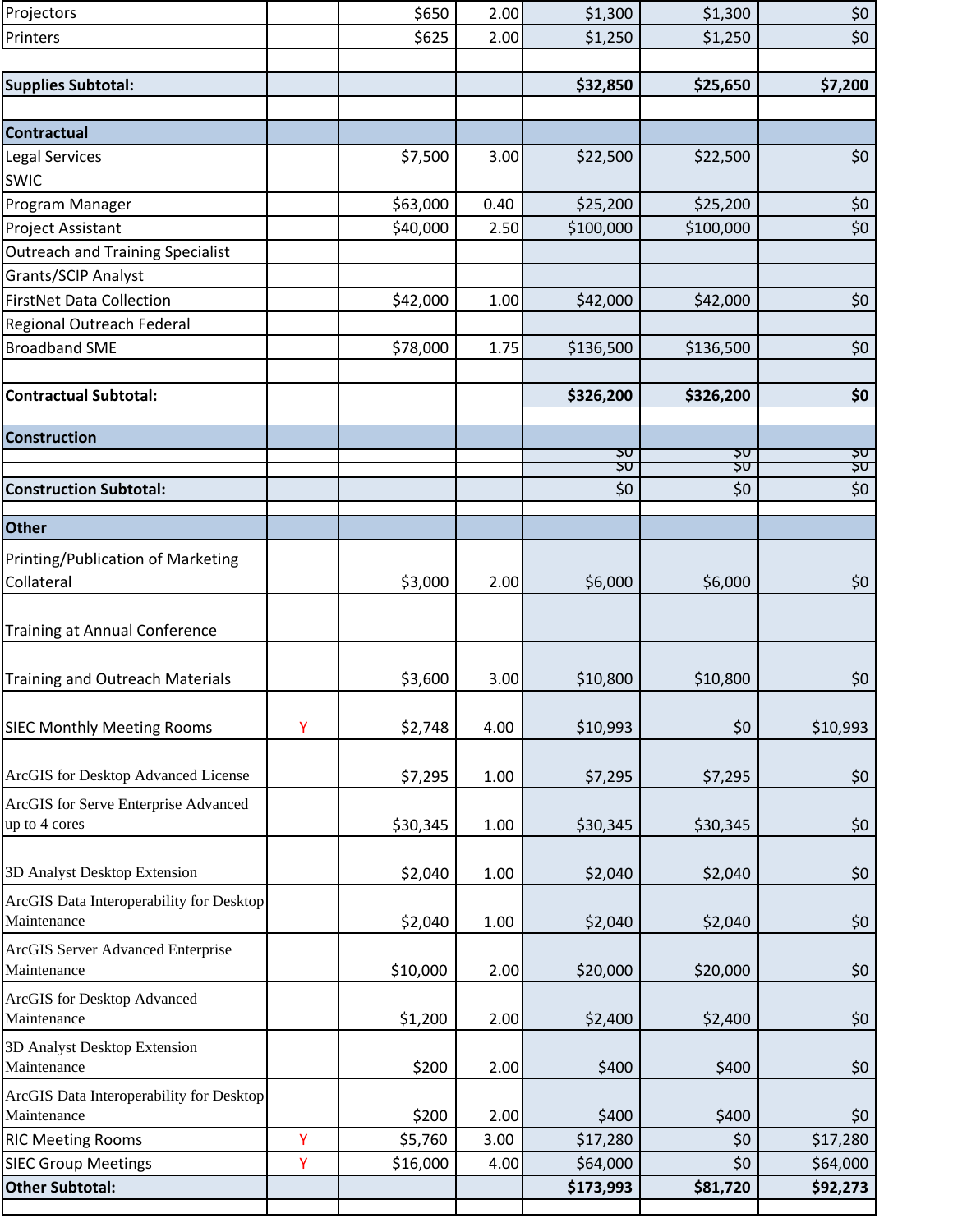| Projectors                               |   | \$650    | 2.00 | \$1,300   | \$1,300   | \$0       |
|------------------------------------------|---|----------|------|-----------|-----------|-----------|
| Printers                                 |   | \$625    | 2.00 | \$1,250   | \$1,250   | \$0       |
|                                          |   |          |      |           |           |           |
| <b>Supplies Subtotal:</b>                |   |          |      | \$32,850  | \$25,650  | \$7,200   |
|                                          |   |          |      |           |           |           |
| <b>Contractual</b>                       |   |          |      |           |           |           |
| <b>Legal Services</b>                    |   | \$7,500  | 3.00 | \$22,500  | \$22,500  | \$0       |
| <b>SWIC</b>                              |   |          |      |           |           |           |
| Program Manager                          |   | \$63,000 | 0.40 | \$25,200  | \$25,200  | \$0       |
| <b>Project Assistant</b>                 |   | \$40,000 | 2.50 | \$100,000 | \$100,000 | \$0       |
| Outreach and Training Specialist         |   |          |      |           |           |           |
| <b>Grants/SCIP Analyst</b>               |   |          |      |           |           |           |
| <b>FirstNet Data Collection</b>          |   | \$42,000 | 1.00 | \$42,000  | \$42,000  | \$0       |
| Regional Outreach Federal                |   |          |      |           |           |           |
| <b>Broadband SME</b>                     |   | \$78,000 | 1.75 | \$136,500 | \$136,500 | \$0       |
|                                          |   |          |      |           |           |           |
| <b>Contractual Subtotal:</b>             |   |          |      | \$326,200 | \$326,200 | \$0       |
|                                          |   |          |      |           |           |           |
| <b>Construction</b>                      |   |          |      | ᠊ᢌᠣ       | ᠊ᢌᠣ       | ᠊ᢌᠣ       |
|                                          |   |          |      | -SQ       | ᠊ᢌ᠍᠐      | <b>SQ</b> |
| <b>Construction Subtotal:</b>            |   |          |      | \$0       | \$0       | \$0       |
| <b>Other</b>                             |   |          |      |           |           |           |
|                                          |   |          |      |           |           |           |
| Printing/Publication of Marketing        |   |          |      |           |           |           |
| Collateral                               |   | \$3,000  | 2.00 | \$6,000   | \$6,000   | \$0       |
|                                          |   |          |      |           |           |           |
| <b>Training at Annual Conference</b>     |   |          |      |           |           |           |
|                                          |   |          |      |           |           |           |
| <b>Training and Outreach Materials</b>   |   | \$3,600  | 3.00 | \$10,800  | \$10,800  | \$0       |
|                                          |   |          |      |           |           |           |
| <b>SIEC Monthly Meeting Rooms</b>        | Υ | \$2,748  | 4.00 | \$10,993  | \$0       | \$10,993  |
|                                          |   |          |      |           |           |           |
| ArcGIS for Desktop Advanced License      |   | \$7,295  | 1.00 | \$7,295   | \$7,295   | \$0       |
| ArcGIS for Serve Enterprise Advanced     |   |          |      |           |           |           |
| up to 4 cores                            |   | \$30,345 | 1.00 | \$30,345  | \$30,345  | \$0       |
|                                          |   |          |      |           |           |           |
| 3D Analyst Desktop Extension             |   | \$2,040  | 1.00 | \$2,040   | \$2,040   | \$0       |
| ArcGIS Data Interoperability for Desktop |   |          |      |           |           |           |
| Maintenance                              |   | \$2,040  | 1.00 | \$2,040   | \$2,040   | \$0       |
| ArcGIS Server Advanced Enterprise        |   |          |      |           |           |           |
| Maintenance                              |   | \$10,000 | 2.00 | \$20,000  | \$20,000  | \$0       |
| ArcGIS for Desktop Advanced              |   |          |      |           |           |           |
| Maintenance                              |   | \$1,200  | 2.00 | \$2,400   | \$2,400   | \$0       |
| 3D Analyst Desktop Extension             |   |          |      |           |           |           |
| Maintenance                              |   | \$200    | 2.00 | \$400     | \$400     | \$0       |
| ArcGIS Data Interoperability for Desktop |   |          |      |           |           |           |
| Maintenance                              |   | \$200    | 2.00 | \$400     | \$400     | \$0       |
| <b>RIC Meeting Rooms</b>                 | Y | \$5,760  | 3.00 | \$17,280  | \$0       | \$17,280  |
| <b>SIEC Group Meetings</b>               | Υ | \$16,000 | 4.00 | \$64,000  | \$0       | \$64,000  |
| <b>Other Subtotal:</b>                   |   |          |      | \$173,993 | \$81,720  | \$92,273  |
|                                          |   |          |      |           |           |           |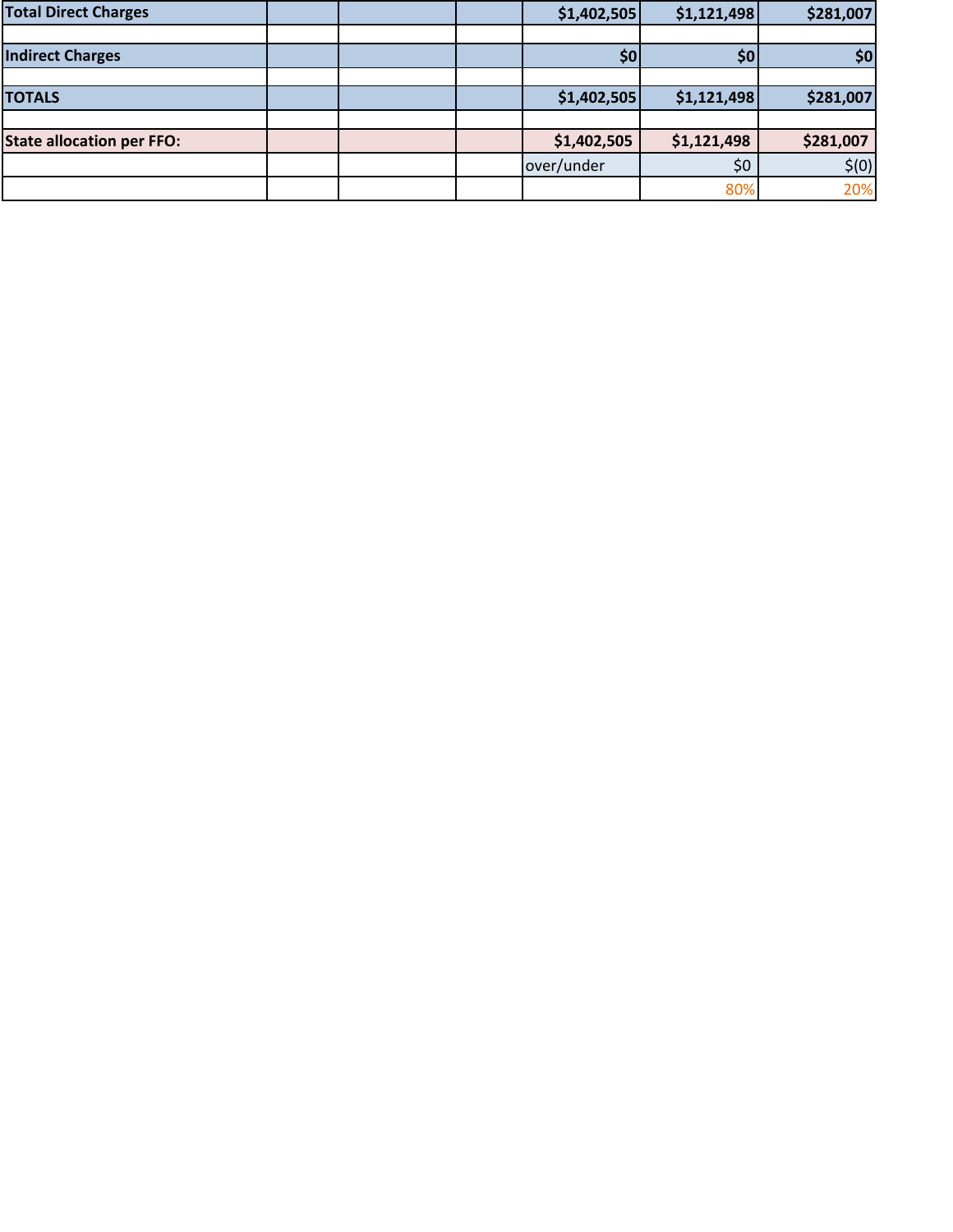| <b>Total Direct Charges</b> |  | \$1,402,505 | \$1,121,498      | \$281,007 |
|-----------------------------|--|-------------|------------------|-----------|
|                             |  |             |                  |           |
| <b>Indirect Charges</b>     |  | \$0         | \$0 <sub>1</sub> | \$0       |
|                             |  |             |                  |           |
| <b>TOTALS</b>               |  | \$1,402,505 | \$1,121,498      | \$281,007 |
|                             |  |             |                  |           |
| State allocation per FFO:   |  | \$1,402,505 | \$1,121,498      | \$281,007 |
|                             |  | over/under  | \$0              | \$(0)     |
|                             |  |             | 80%              | 20%       |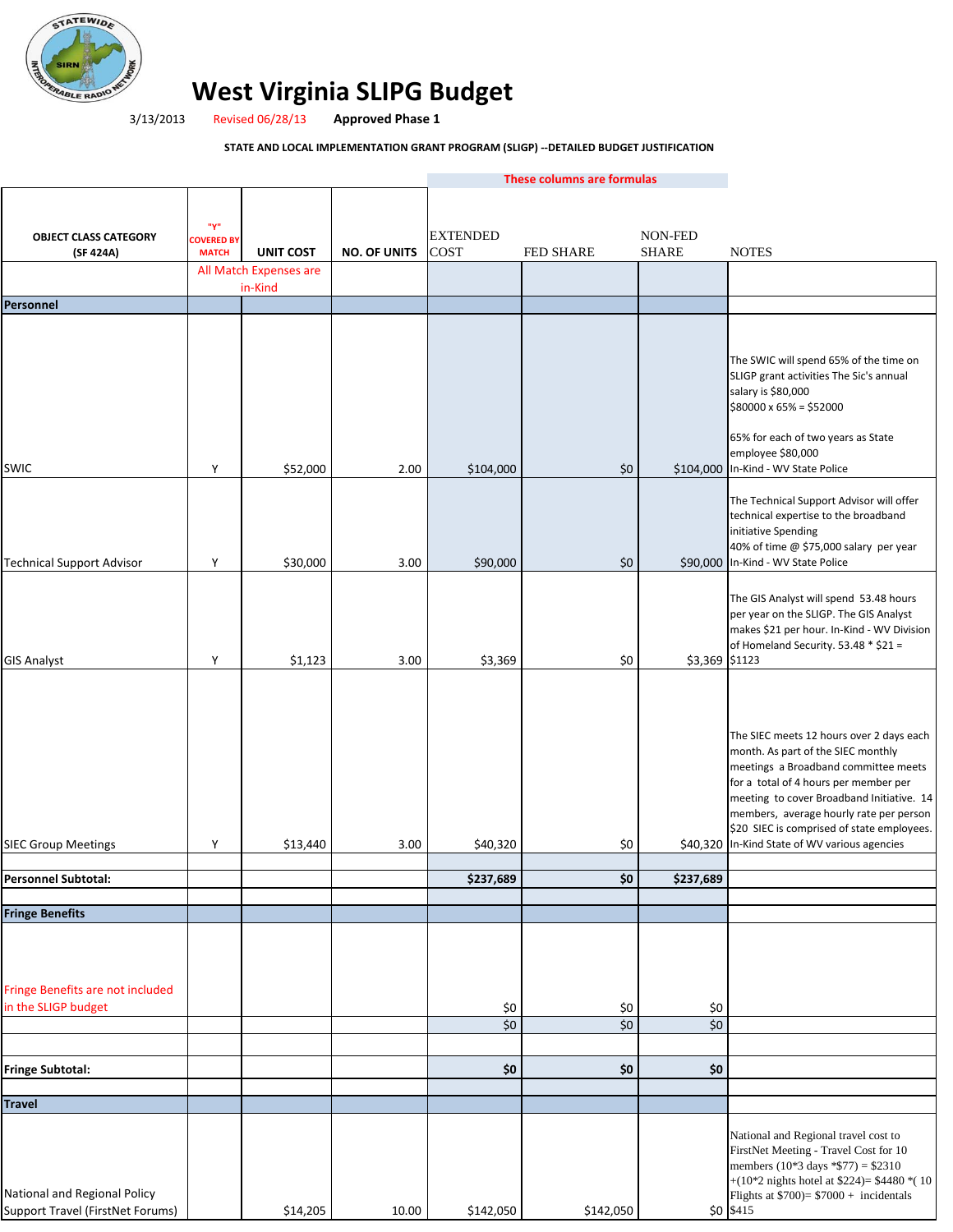

# **West Virginia SLIPG Budget**

3/13/2013 **Approved Phase 1** Revised 06/28/13

#### **STATE AND LOCAL IMPLEMENTATION GRANT PROGRAM (SLIGP) ‐‐DETAILED BUDGET JUSTIFICATION**

|                                                                  |                          |                                   |                     |                 | These columns are formulas |                         |                                                                                                                                                                                                                                                                                                                                                        |
|------------------------------------------------------------------|--------------------------|-----------------------------------|---------------------|-----------------|----------------------------|-------------------------|--------------------------------------------------------------------------------------------------------------------------------------------------------------------------------------------------------------------------------------------------------------------------------------------------------------------------------------------------------|
| <b>OBJECT CLASS CATEGORY</b>                                     | "Y"<br><b>COVERED BY</b> |                                   |                     | <b>EXTENDED</b> |                            | NON-FED                 |                                                                                                                                                                                                                                                                                                                                                        |
| (SF 424A)                                                        | <b>MATCH</b>             | <b>UNIT COST</b>                  | <b>NO. OF UNITS</b> | COST            | <b>FED SHARE</b>           | <b>SHARE</b>            | <b>NOTES</b>                                                                                                                                                                                                                                                                                                                                           |
|                                                                  |                          | All Match Expenses are<br>in-Kind |                     |                 |                            |                         |                                                                                                                                                                                                                                                                                                                                                        |
| Personnel                                                        |                          |                                   |                     |                 |                            |                         |                                                                                                                                                                                                                                                                                                                                                        |
|                                                                  |                          |                                   |                     |                 |                            |                         |                                                                                                                                                                                                                                                                                                                                                        |
| <b>SWIC</b>                                                      | Υ                        | \$52,000                          | 2.00                | \$104,000       | \$0                        |                         | The SWIC will spend 65% of the time on<br>SLIGP grant activities The Sic's annual<br>salary is \$80,000<br>$$80000 \times 65\% = $52000$<br>65% for each of two years as State<br>employee \$80,000<br>\$104,000 In-Kind - WV State Police                                                                                                             |
|                                                                  |                          |                                   |                     |                 |                            |                         |                                                                                                                                                                                                                                                                                                                                                        |
| <b>Technical Support Advisor</b>                                 | Υ                        | \$30,000                          | 3.00                | \$90,000        | \$0                        |                         | The Technical Support Advisor will offer<br>technical expertise to the broadband<br>initiative Spending<br>40% of time @ \$75,000 salary per year<br>\$90,000 In-Kind - WV State Police                                                                                                                                                                |
| <b>GIS Analyst</b>                                               | Y                        | \$1,123                           | 3.00                | \$3,369         | \$0                        | \$3,369 \$1123          | The GIS Analyst will spend 53.48 hours<br>per year on the SLIGP. The GIS Analyst<br>makes \$21 per hour. In-Kind - WV Division<br>of Homeland Security. 53.48 $*$ \$21 =                                                                                                                                                                               |
| <b>SIEC Group Meetings</b>                                       | Υ                        | \$13,440                          | 3.00                | \$40,320        | \$0                        |                         | The SIEC meets 12 hours over 2 days each<br>month. As part of the SIEC monthly<br>meetings a Broadband committee meets<br>for a total of 4 hours per member per<br>meeting to cover Broadband Initiative. 14<br>members, average hourly rate per person<br>\$20 SIEC is comprised of state employees.<br>\$40,320 In-Kind State of WV various agencies |
| <b>Personnel Subtotal:</b>                                       |                          |                                   |                     | \$237,689       | \$0                        | \$237,689               |                                                                                                                                                                                                                                                                                                                                                        |
|                                                                  |                          |                                   |                     |                 |                            |                         |                                                                                                                                                                                                                                                                                                                                                        |
| <b>Fringe Benefits</b>                                           |                          |                                   |                     |                 |                            |                         |                                                                                                                                                                                                                                                                                                                                                        |
| Fringe Benefits are not included<br>in the SLIGP budget          |                          |                                   |                     | \$0<br>\$0      | \$0<br>\$0                 | \$0<br>$\overline{\xi}$ |                                                                                                                                                                                                                                                                                                                                                        |
|                                                                  |                          |                                   |                     |                 |                            |                         |                                                                                                                                                                                                                                                                                                                                                        |
| <b>Fringe Subtotal:</b>                                          |                          |                                   |                     | \$0             | \$0                        | \$0                     |                                                                                                                                                                                                                                                                                                                                                        |
|                                                                  |                          |                                   |                     |                 |                            |                         |                                                                                                                                                                                                                                                                                                                                                        |
| <b>Travel</b>                                                    |                          |                                   |                     |                 |                            |                         |                                                                                                                                                                                                                                                                                                                                                        |
| National and Regional Policy<br>Support Travel (FirstNet Forums) |                          | \$14,205                          | 10.00               | \$142,050       | \$142,050                  |                         | National and Regional travel cost to<br>FirstNet Meeting - Travel Cost for 10<br>members $(10*3 \text{ days} * $77) = $2310$<br>+(10*2 nights hotel at \$224)= \$4480 *(10)<br>Flights at $$700$ ) = $$7000 +$ incidentals<br>\$0 \$415                                                                                                                |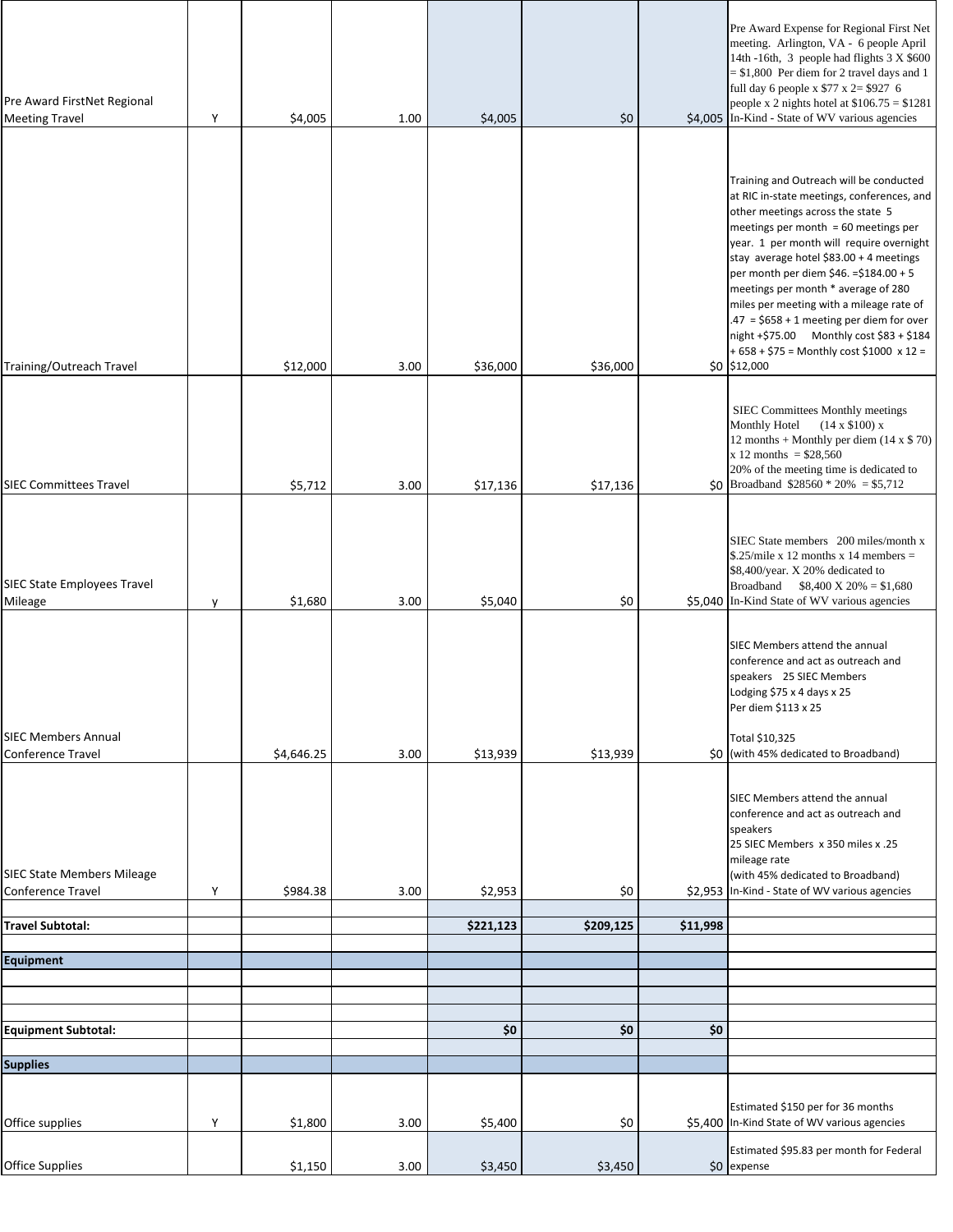| Pre Award FirstNet Regional<br><b>Meeting Travel</b>          | Υ | \$4,005    | 1.00 | \$4,005   | \$0       |          | Pre Award Expense for Regional First Net<br>meeting. Arlington, VA - 6 people April<br>14th -16th, 3 people had flights 3 X \$600<br>$= $1,800$ Per diem for 2 travel days and 1<br>full day 6 people x $$77 x 2 = $927 6$<br>people x 2 nights hotel at $$106.75 = $1281$<br>\$4,005 In-Kind - State of WV various agencies                                                                                                                                                                                                                     |
|---------------------------------------------------------------|---|------------|------|-----------|-----------|----------|--------------------------------------------------------------------------------------------------------------------------------------------------------------------------------------------------------------------------------------------------------------------------------------------------------------------------------------------------------------------------------------------------------------------------------------------------------------------------------------------------------------------------------------------------|
| Training/Outreach Travel                                      |   | \$12,000   | 3.00 | \$36,000  | \$36,000  |          | Training and Outreach will be conducted<br>at RIC in-state meetings, conferences, and<br>other meetings across the state 5<br>meetings per month $= 60$ meetings per<br>year. 1 per month will require overnight<br>stay average hotel \$83.00 + 4 meetings<br>per month per diem \$46. = \$184.00 + 5<br>meetings per month * average of 280<br>miles per meeting with a mileage rate of<br>.47 = $$658 + 1$ meeting per diem for over<br>night +\$75.00 Monthly cost \$83 + \$184<br>+ 658 + \$75 = Monthly cost \$1000 x 12 =<br>\$0 \$12,000 |
| <b>SIEC Committees Travel</b>                                 |   | \$5,712    | 3.00 | \$17,136  | \$17,136  |          | SIEC Committees Monthly meetings<br>Monthly Hotel<br>$(14 \times $100)$ x<br>12 months + Monthly per diem $(14 \times $70)$<br>$x 12$ months = \$28,560<br>20% of the meeting time is dedicated to<br>$$0 \vert$ Broadband \$28560 * 20% = \$5,712                                                                                                                                                                                                                                                                                               |
| SIEC State Employees Travel<br>Mileage                        | y | \$1,680    | 3.00 | \$5,040   | \$0       |          | SIEC State members 200 miles/month x<br>$$.25/mile x 12 months x 14 members =$<br>\$8,400/year. X 20% dedicated to<br>Broadband $$8,400 \text{ X } 20\% = $1,680$<br>\$5,040 In-Kind State of WV various agencies                                                                                                                                                                                                                                                                                                                                |
| <b>SIEC Members Annual</b><br>Conference Travel               |   | \$4,646.25 | 3.00 | \$13,939  | \$13,939  |          | SIEC Members attend the annual<br>conference and act as outreach and<br>speakers 25 SIEC Members<br>Lodging \$75 x 4 days x 25<br>Per diem \$113 x 25<br>Total \$10,325<br>\$0 (with 45% dedicated to Broadband)                                                                                                                                                                                                                                                                                                                                 |
| <b>SIEC State Members Mileage</b><br><b>Conference Travel</b> | Υ | \$984.38   | 3.00 | \$2,953   | \$0       |          | SIEC Members attend the annual<br>conference and act as outreach and<br>speakers<br>25. 25 SIEC Members x 350 miles x<br>mileage rate<br>(with 45% dedicated to Broadband)<br>\$2,953 In-Kind - State of WV various agencies                                                                                                                                                                                                                                                                                                                     |
| <b>Travel Subtotal:</b>                                       |   |            |      | \$221,123 | \$209,125 | \$11,998 |                                                                                                                                                                                                                                                                                                                                                                                                                                                                                                                                                  |
| Equipment                                                     |   |            |      |           |           |          |                                                                                                                                                                                                                                                                                                                                                                                                                                                                                                                                                  |
|                                                               |   |            |      |           |           |          |                                                                                                                                                                                                                                                                                                                                                                                                                                                                                                                                                  |
| <b>Equipment Subtotal:</b>                                    |   |            |      | \$0       | \$0       | \$0      |                                                                                                                                                                                                                                                                                                                                                                                                                                                                                                                                                  |
| <b>Supplies</b>                                               |   |            |      |           |           |          |                                                                                                                                                                                                                                                                                                                                                                                                                                                                                                                                                  |
| Office supplies                                               | Υ | \$1,800    | 3.00 | \$5,400   | \$0       |          | Estimated \$150 per for 36 months<br>\$5,400 In-Kind State of WV various agencies                                                                                                                                                                                                                                                                                                                                                                                                                                                                |
| <b>Office Supplies</b>                                        |   | \$1,150    | 3.00 | \$3,450   | \$3,450   |          | Estimated \$95.83 per month for Federal<br>$$0$ expense                                                                                                                                                                                                                                                                                                                                                                                                                                                                                          |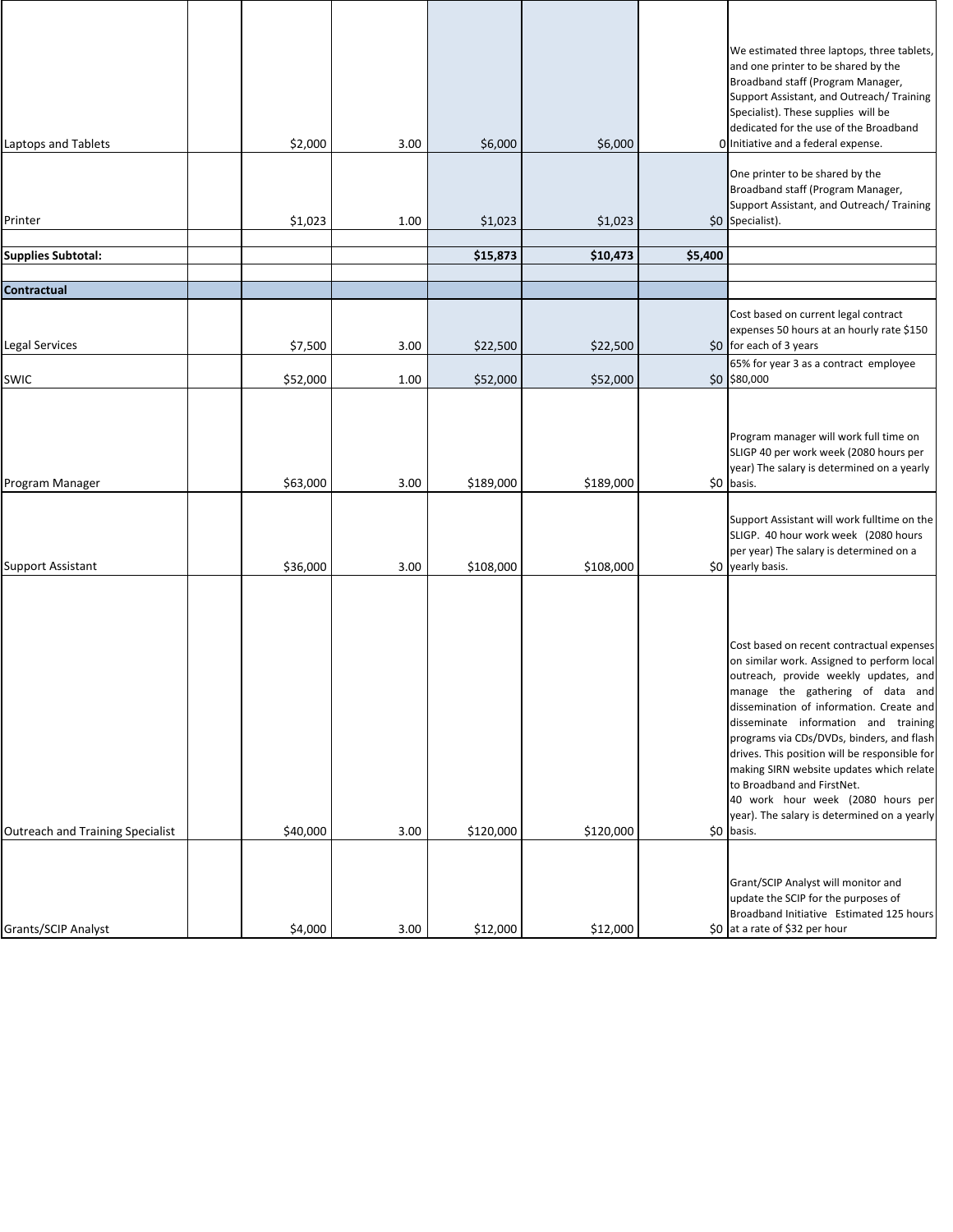| Laptops and Tablets                         | \$2,000              | 3.00         | \$6,000                | \$6,000                |         | We estimated three laptops, three tablets,<br>and one printer to be shared by the<br>Broadband staff (Program Manager,<br>Support Assistant, and Outreach/Training<br>Specialist). These supplies will be<br>dedicated for the use of the Broadband<br>O Initiative and a federal expense.<br>One printer to be shared by the<br>Broadband staff (Program Manager,                                                                                                                                                                 |
|---------------------------------------------|----------------------|--------------|------------------------|------------------------|---------|------------------------------------------------------------------------------------------------------------------------------------------------------------------------------------------------------------------------------------------------------------------------------------------------------------------------------------------------------------------------------------------------------------------------------------------------------------------------------------------------------------------------------------|
| Printer                                     | \$1,023              | 1.00         | \$1,023                | \$1,023                |         | Support Assistant, and Outreach/Training<br>\$0 Specialist).                                                                                                                                                                                                                                                                                                                                                                                                                                                                       |
|                                             |                      |              | \$15,873               | \$10,473               | \$5,400 |                                                                                                                                                                                                                                                                                                                                                                                                                                                                                                                                    |
| <b>Supplies Subtotal:</b>                   |                      |              |                        |                        |         |                                                                                                                                                                                                                                                                                                                                                                                                                                                                                                                                    |
| <b>Contractual</b>                          |                      |              |                        |                        |         |                                                                                                                                                                                                                                                                                                                                                                                                                                                                                                                                    |
| <b>Legal Services</b>                       | \$7,500              | 3.00         | \$22,500               | \$22,500               |         | Cost based on current legal contract<br>expenses 50 hours at an hourly rate \$150<br>\$0 for each of 3 years                                                                                                                                                                                                                                                                                                                                                                                                                       |
| <b>SWIC</b>                                 | \$52,000             | 1.00         | \$52,000               | \$52,000               |         | 65% for year 3 as a contract employee<br>\$0 \$80,000                                                                                                                                                                                                                                                                                                                                                                                                                                                                              |
| Program Manager<br><b>Support Assistant</b> | \$63,000<br>\$36,000 | 3.00<br>3.00 | \$189,000<br>\$108,000 | \$189,000<br>\$108,000 |         | Program manager will work full time on<br>SLIGP 40 per work week (2080 hours per<br>year) The salary is determined on a yearly<br>\$0 basis.<br>Support Assistant will work fulltime on the<br>SLIGP. 40 hour work week (2080 hours<br>per year) The salary is determined on a<br>\$0 yearly basis.                                                                                                                                                                                                                                |
| Outreach and Training Specialist            | \$40,000             | 3.00         | \$120,000              | \$120,000              |         | Cost based on recent contractual expenses<br>on similar work. Assigned to perform local<br>outreach, provide weekly updates, and<br>manage the gathering of data and<br>dissemination of information. Create and<br>disseminate information and training<br>programs via CDs/DVDs, binders, and flash<br>drives. This position will be responsible for<br>making SIRN website updates which relate<br>to Broadband and FirstNet.<br>40 work hour week (2080 hours per<br>year). The salary is determined on a yearly<br>\$0 basis. |
| Grants/SCIP Analyst                         | \$4,000              | 3.00         | \$12,000               | \$12,000               |         | Grant/SCIP Analyst will monitor and<br>update the SCIP for the purposes of<br>Broadband Initiative Estimated 125 hours<br>\$0 at a rate of \$32 per hour                                                                                                                                                                                                                                                                                                                                                                           |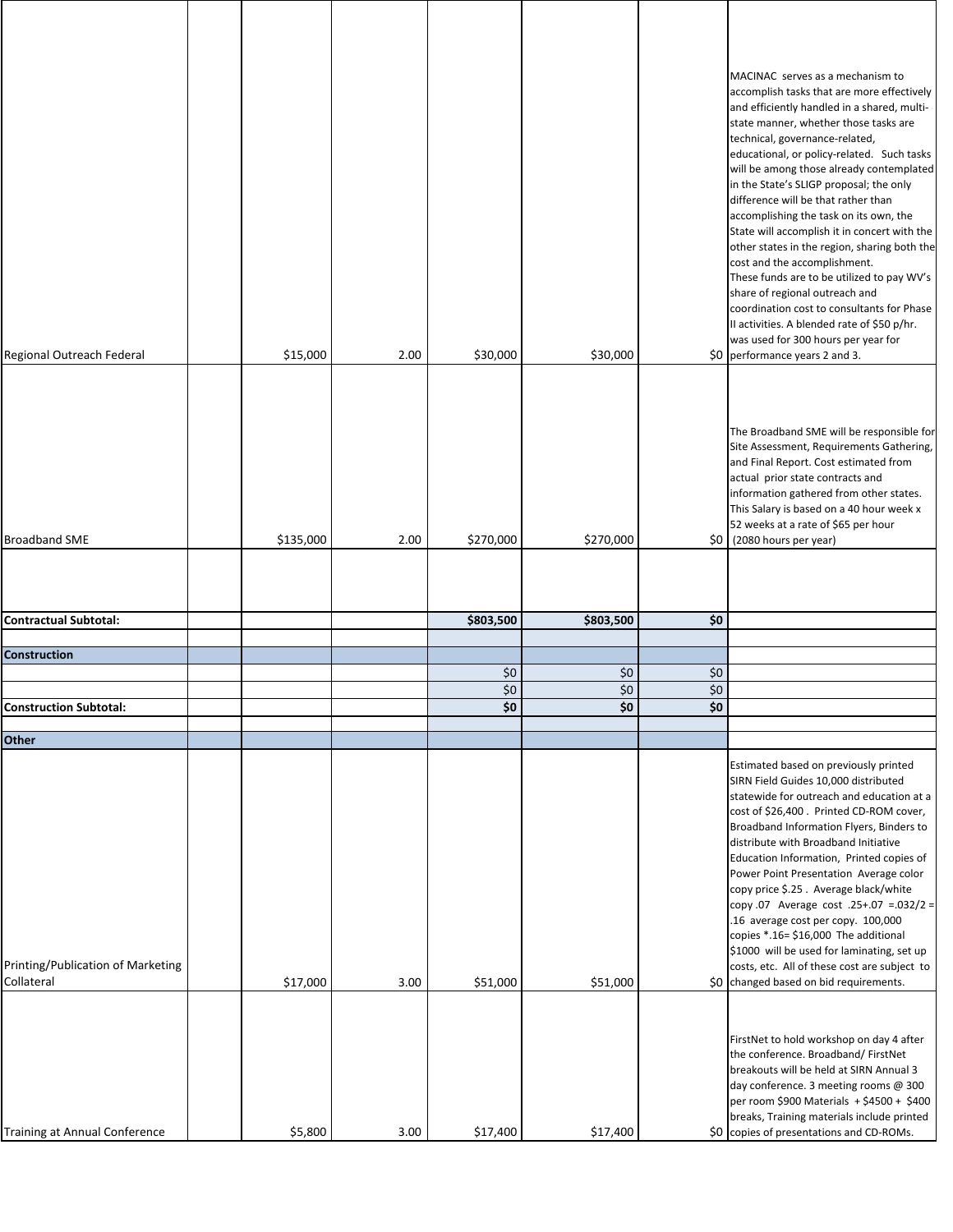| Regional Outreach Federal                       | \$15,000  | 2.00 | \$30,000   | \$30,000   |                         | MACINAC serves as a mechanism to<br>accomplish tasks that are more effectively<br>and efficiently handled in a shared, multi-<br>state manner, whether those tasks are<br>technical, governance-related,<br>educational, or policy-related. Such tasks<br>will be among those already contemplated<br>in the State's SLIGP proposal; the only<br>difference will be that rather than<br>accomplishing the task on its own, the<br>State will accomplish it in concert with the<br>other states in the region, sharing both the<br>cost and the accomplishment.<br>These funds are to be utilized to pay WV's<br>share of regional outreach and<br>coordination cost to consultants for Phase<br>II activities. A blended rate of \$50 p/hr.<br>was used for 300 hours per year for<br>\$0 performance years 2 and 3. |
|-------------------------------------------------|-----------|------|------------|------------|-------------------------|----------------------------------------------------------------------------------------------------------------------------------------------------------------------------------------------------------------------------------------------------------------------------------------------------------------------------------------------------------------------------------------------------------------------------------------------------------------------------------------------------------------------------------------------------------------------------------------------------------------------------------------------------------------------------------------------------------------------------------------------------------------------------------------------------------------------|
|                                                 |           |      |            |            |                         | The Broadband SME will be responsible for<br>Site Assessment, Requirements Gathering,<br>and Final Report. Cost estimated from<br>actual prior state contracts and<br>information gathered from other states.<br>This Salary is based on a 40 hour week x<br>52 weeks at a rate of \$65 per hour                                                                                                                                                                                                                                                                                                                                                                                                                                                                                                                     |
| <b>Broadband SME</b>                            | \$135,000 | 2.00 | \$270,000  | \$270,000  |                         | \$0 (2080 hours per year)                                                                                                                                                                                                                                                                                                                                                                                                                                                                                                                                                                                                                                                                                                                                                                                            |
| <b>Contractual Subtotal:</b>                    |           |      | \$803,500  | \$803,500  |                         |                                                                                                                                                                                                                                                                                                                                                                                                                                                                                                                                                                                                                                                                                                                                                                                                                      |
|                                                 |           |      |            |            | \$0                     |                                                                                                                                                                                                                                                                                                                                                                                                                                                                                                                                                                                                                                                                                                                                                                                                                      |
| <b>Construction</b>                             |           |      |            |            |                         |                                                                                                                                                                                                                                                                                                                                                                                                                                                                                                                                                                                                                                                                                                                                                                                                                      |
|                                                 |           |      | \$0<br>\$0 | \$0<br>\$0 | \$0<br>$\overline{\xi}$ |                                                                                                                                                                                                                                                                                                                                                                                                                                                                                                                                                                                                                                                                                                                                                                                                                      |
| <b>Construction Subtotal:</b>                   |           |      | \$0        | \$0        | \$0                     |                                                                                                                                                                                                                                                                                                                                                                                                                                                                                                                                                                                                                                                                                                                                                                                                                      |
|                                                 |           |      |            |            |                         |                                                                                                                                                                                                                                                                                                                                                                                                                                                                                                                                                                                                                                                                                                                                                                                                                      |
| <b>Other</b>                                    |           |      |            |            |                         |                                                                                                                                                                                                                                                                                                                                                                                                                                                                                                                                                                                                                                                                                                                                                                                                                      |
| Printing/Publication of Marketing<br>Collateral | \$17,000  | 3.00 | \$51,000   | \$51,000   |                         | Estimated based on previously printed<br>SIRN Field Guides 10,000 distributed<br>statewide for outreach and education at a<br>cost of \$26,400. Printed CD-ROM cover,<br>Broadband Information Flyers, Binders to<br>distribute with Broadband Initiative<br>Education Information, Printed copies of<br>Power Point Presentation Average color<br>copy price \$.25. Average black/white<br>copy .07 Average cost .25+.07 =.032/2 =<br>.16 average cost per copy. 100,000<br>copies *.16= \$16,000 The additional<br>\$1000 will be used for laminating, set up<br>costs, etc. All of these cost are subject to<br>\$0 changed based on bid requirements.                                                                                                                                                            |
| Training at Annual Conference                   | \$5,800   | 3.00 | \$17,400   | \$17,400   |                         | FirstNet to hold workshop on day 4 after<br>the conference. Broadband/ FirstNet<br>breakouts will be held at SIRN Annual 3<br>day conference. 3 meeting rooms @ 300<br>per room \$900 Materials + \$4500 + \$400<br>breaks, Training materials include printed<br>\$0 copies of presentations and CD-ROMs.                                                                                                                                                                                                                                                                                                                                                                                                                                                                                                           |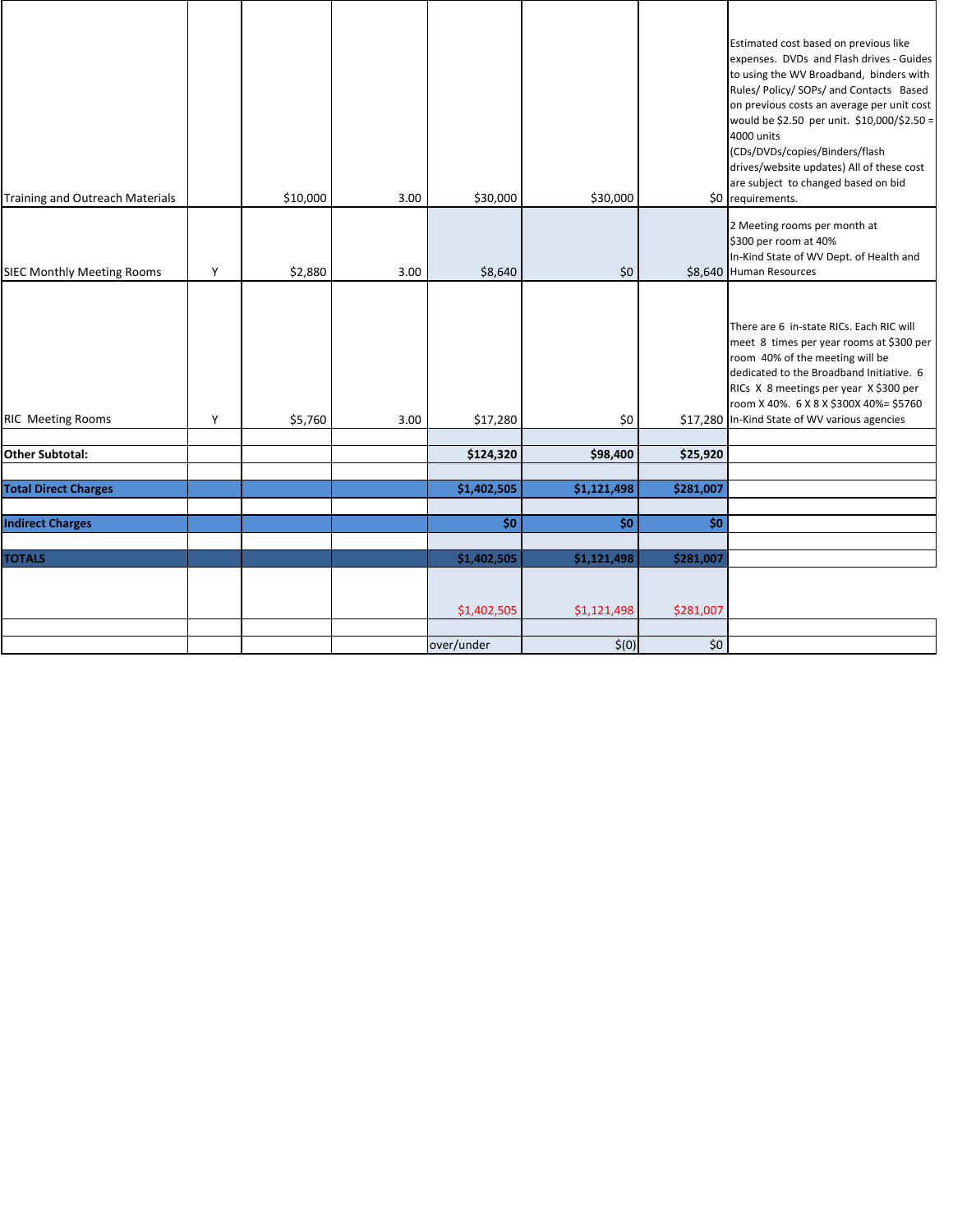| Training and Outreach Materials   |   | \$10,000 | 3.00 | \$30,000    | \$30,000    |           | Estimated cost based on previous like<br>expenses. DVDs and Flash drives - Guides<br>to using the WV Broadband, binders with<br>Rules/ Policy/ SOPs/ and Contacts Based<br>on previous costs an average per unit cost<br>would be \$2.50 per unit. \$10,000/\$2.50 =<br>4000 units<br>(CDs/DVDs/copies/Binders/flash<br>drives/website updates) All of these cost<br>are subject to changed based on bid<br>\$0 requirements. |
|-----------------------------------|---|----------|------|-------------|-------------|-----------|-------------------------------------------------------------------------------------------------------------------------------------------------------------------------------------------------------------------------------------------------------------------------------------------------------------------------------------------------------------------------------------------------------------------------------|
| <b>SIEC Monthly Meeting Rooms</b> | Y | \$2,880  | 3.00 | \$8,640     | \$0         |           | 2 Meeting rooms per month at<br>\$300 per room at 40%<br>In-Kind State of WV Dept. of Health and<br>\$8,640 Human Resources                                                                                                                                                                                                                                                                                                   |
| <b>RIC Meeting Rooms</b>          | Y | \$5,760  | 3.00 | \$17,280    | \$0         |           | There are 6 in-state RICs. Each RIC will<br>meet 8 times per year rooms at \$300 per<br>room 40% of the meeting will be<br>dedicated to the Broadband Initiative. 6<br>RICs X 8 meetings per year X \$300 per<br>room X 40%. 6 X 8 X \$300X 40%= \$5760<br>\$17,280 In-Kind State of WV various agencies                                                                                                                      |
|                                   |   |          |      |             |             |           |                                                                                                                                                                                                                                                                                                                                                                                                                               |
| <b>Other Subtotal:</b>            |   |          |      | \$124,320   | \$98,400    | \$25,920  |                                                                                                                                                                                                                                                                                                                                                                                                                               |
| <b>Total Direct Charges</b>       |   |          |      | \$1,402,505 | \$1,121,498 | \$281,007 |                                                                                                                                                                                                                                                                                                                                                                                                                               |
|                                   |   |          |      |             |             |           |                                                                                                                                                                                                                                                                                                                                                                                                                               |
| <b>Indirect Charges</b>           |   |          |      | \$0         | \$0         | \$0       |                                                                                                                                                                                                                                                                                                                                                                                                                               |
| <b>TOTALS</b>                     |   |          |      | \$1,402,505 | \$1,121,498 | \$281,007 |                                                                                                                                                                                                                                                                                                                                                                                                                               |
|                                   |   |          |      | \$1,402,505 | \$1,121,498 | \$281,007 |                                                                                                                                                                                                                                                                                                                                                                                                                               |
|                                   |   |          |      |             |             |           |                                                                                                                                                                                                                                                                                                                                                                                                                               |
|                                   |   |          |      | over/under  | \$(0)       | \$0       |                                                                                                                                                                                                                                                                                                                                                                                                                               |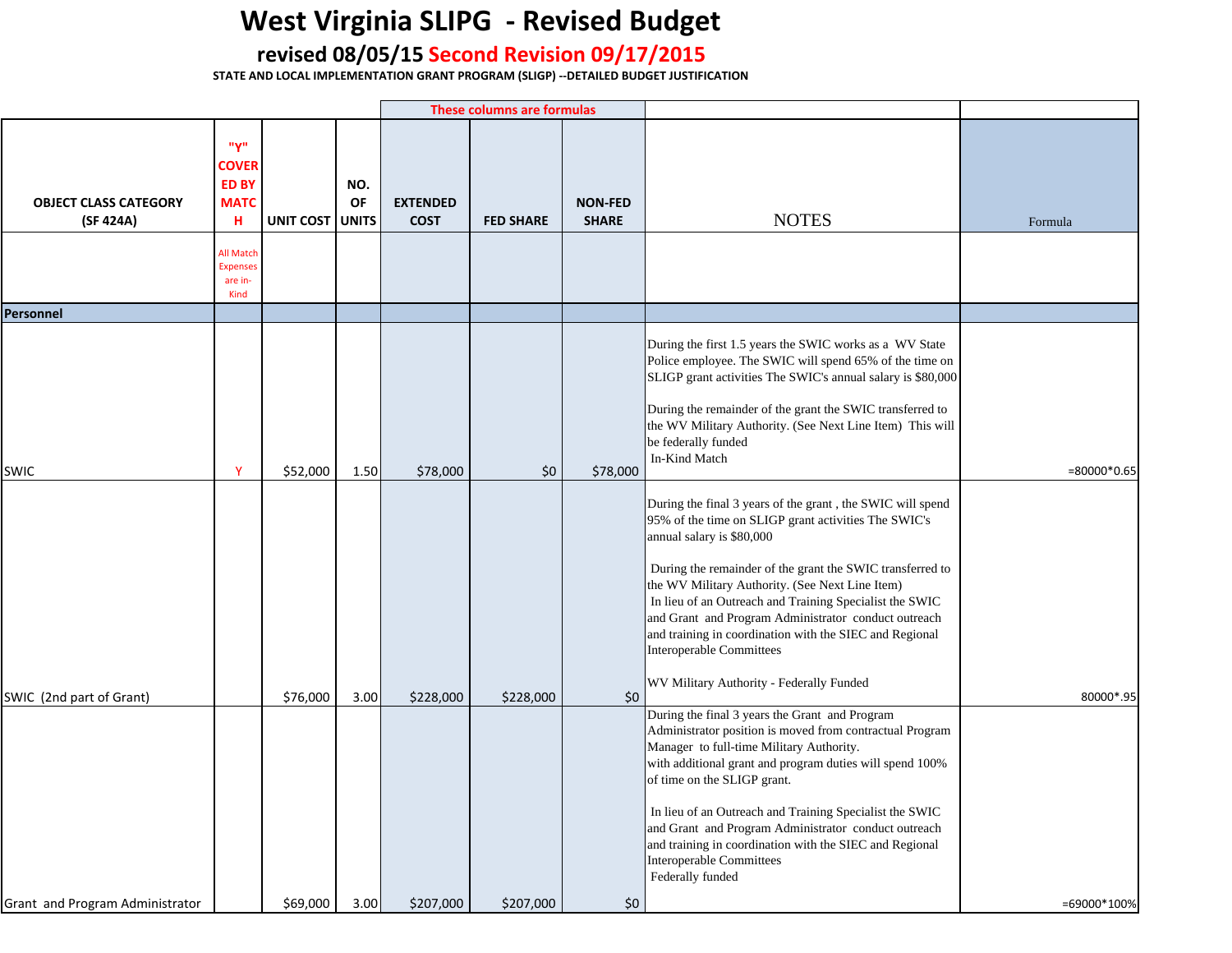# **West Virginia SLIPG ‐ Revised Budget**

# **revised 08/05/15 Second Revision 09/17/2015**

**STATE AND LOCAL IMPLEMENTATION GRANT PROGRAM (SLIGP) ‐‐DETAILED BUDGET JUSTIFICATION**

|                                           |                                                         |                  |                           |                                | These columns are formulas |                                |                                                                                                                                                                                                                                                                                                                                                                                                                                                                                                                              |                |
|-------------------------------------------|---------------------------------------------------------|------------------|---------------------------|--------------------------------|----------------------------|--------------------------------|------------------------------------------------------------------------------------------------------------------------------------------------------------------------------------------------------------------------------------------------------------------------------------------------------------------------------------------------------------------------------------------------------------------------------------------------------------------------------------------------------------------------------|----------------|
| <b>OBJECT CLASS CATEGORY</b><br>(SF 424A) | "Y"<br><b>COVER</b><br><b>ED BY</b><br><b>MATC</b><br>н | <b>UNIT COST</b> | NO.<br>OF<br><b>UNITS</b> | <b>EXTENDED</b><br><b>COST</b> | <b>FED SHARE</b>           | <b>NON-FED</b><br><b>SHARE</b> | <b>NOTES</b>                                                                                                                                                                                                                                                                                                                                                                                                                                                                                                                 | Formula        |
|                                           | <b>All Match</b><br><b>Expenses</b><br>are in-<br>Kind  |                  |                           |                                |                            |                                |                                                                                                                                                                                                                                                                                                                                                                                                                                                                                                                              |                |
| <b>Personnel</b>                          |                                                         |                  |                           |                                |                            |                                |                                                                                                                                                                                                                                                                                                                                                                                                                                                                                                                              |                |
|                                           |                                                         |                  |                           |                                |                            |                                | During the first 1.5 years the SWIC works as a WV State<br>Police employee. The SWIC will spend 65% of the time on<br>SLIGP grant activities The SWIC's annual salary is \$80,000<br>During the remainder of the grant the SWIC transferred to<br>the WV Military Authority. (See Next Line Item) This will<br>be federally funded<br>In-Kind Match                                                                                                                                                                          |                |
| <b>SWIC</b>                               | Y                                                       | \$52,000         | 1.50                      | \$78,000                       | \$0                        | \$78,000                       |                                                                                                                                                                                                                                                                                                                                                                                                                                                                                                                              | $= 80000*0.65$ |
|                                           |                                                         |                  |                           |                                |                            |                                | During the final 3 years of the grant, the SWIC will spend<br>95% of the time on SLIGP grant activities The SWIC's<br>annual salary is \$80,000<br>During the remainder of the grant the SWIC transferred to<br>the WV Military Authority. (See Next Line Item)<br>In lieu of an Outreach and Training Specialist the SWIC<br>and Grant and Program Administrator conduct outreach<br>and training in coordination with the SIEC and Regional<br><b>Interoperable Committees</b><br>WV Military Authority - Federally Funded |                |
| SWIC (2nd part of Grant)                  |                                                         | \$76,000         | 3.00                      | \$228,000                      | \$228,000                  | \$0                            | During the final 3 years the Grant and Program<br>Administrator position is moved from contractual Program<br>Manager to full-time Military Authority.<br>with additional grant and program duties will spend 100%<br>of time on the SLIGP grant.<br>In lieu of an Outreach and Training Specialist the SWIC<br>and Grant and Program Administrator conduct outreach<br>and training in coordination with the SIEC and Regional<br><b>Interoperable Committees</b><br>Federally funded                                       | 80000*.95      |
| Grant and Program Administrator           |                                                         | \$69,000         | 3.00                      | \$207,000                      | \$207,000                  | \$0                            |                                                                                                                                                                                                                                                                                                                                                                                                                                                                                                                              | =69000*100%    |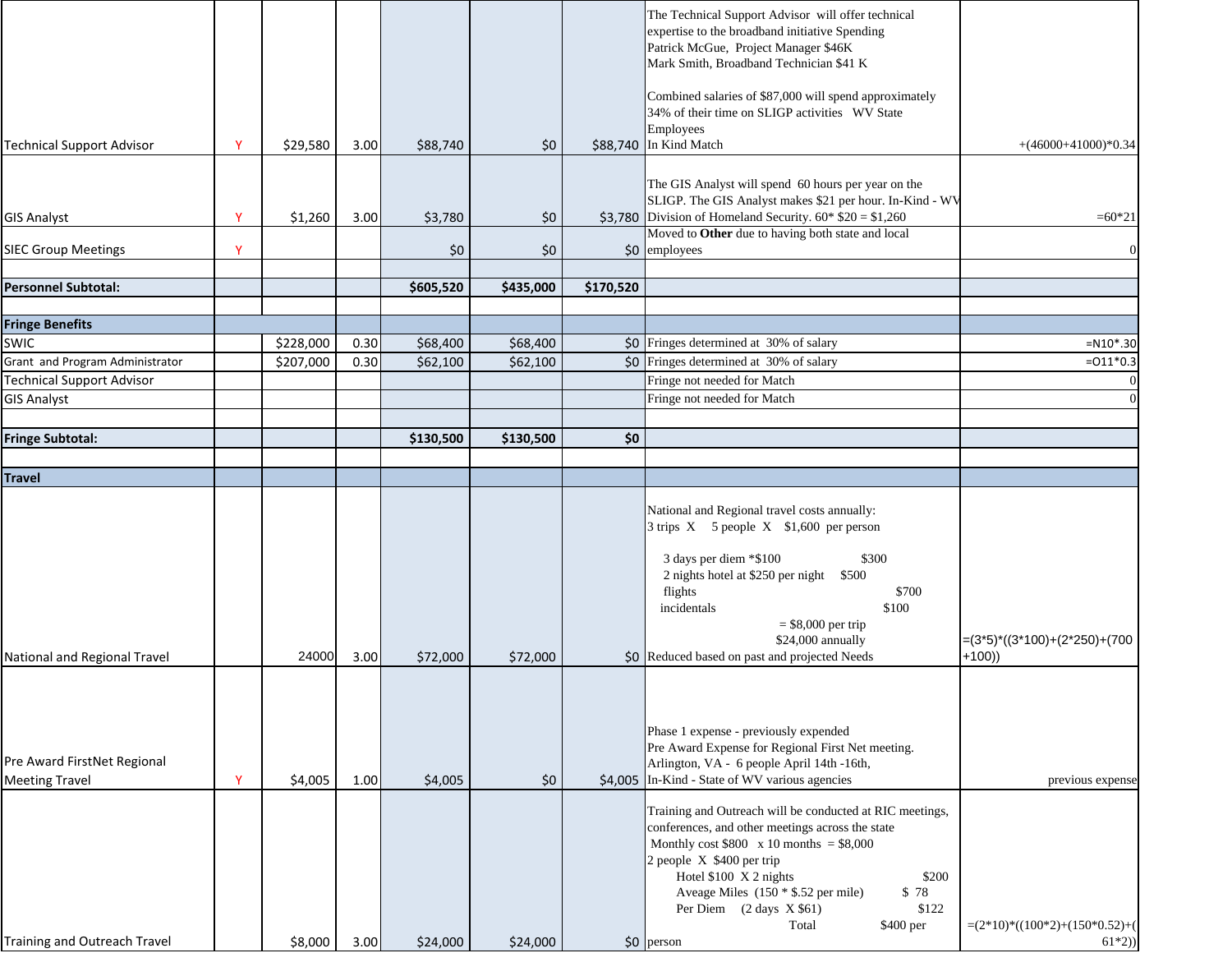|                                                      |   |           |      |           |           |           | The Technical Support Advisor will offer technical<br>expertise to the broadband initiative Spending<br>Patrick McGue, Project Manager \$46K<br>Mark Smith, Broadband Technician \$41 K<br>Combined salaries of \$87,000 will spend approximately<br>34% of their time on SLIGP activities WV State<br>Employees                                         |                                           |
|------------------------------------------------------|---|-----------|------|-----------|-----------|-----------|----------------------------------------------------------------------------------------------------------------------------------------------------------------------------------------------------------------------------------------------------------------------------------------------------------------------------------------------------------|-------------------------------------------|
| <b>Technical Support Advisor</b>                     | Y | \$29,580  | 3.00 | \$88,740  | \$0       |           | \$88,740 In Kind Match                                                                                                                                                                                                                                                                                                                                   | $+(46000+41000)*0.34$                     |
| <b>GIS Analyst</b>                                   | Y | \$1,260   | 3.00 | \$3,780   | \$0       |           | The GIS Analyst will spend 60 hours per year on the<br>SLIGP. The GIS Analyst makes \$21 per hour. In-Kind - WV<br>\$3,780 Division of Homeland Security. $60*$ \$20 = \$1,260<br>Moved to Other due to having both state and local                                                                                                                      | $=60*21$                                  |
| <b>SIEC Group Meetings</b>                           | Y |           |      | \$0       | \$0       |           | $$0$ employees                                                                                                                                                                                                                                                                                                                                           | $\overline{0}$                            |
| <b>Personnel Subtotal:</b>                           |   |           |      | \$605,520 | \$435,000 | \$170,520 |                                                                                                                                                                                                                                                                                                                                                          |                                           |
|                                                      |   |           |      |           |           |           |                                                                                                                                                                                                                                                                                                                                                          |                                           |
| <b>Fringe Benefits</b>                               |   |           |      |           |           |           |                                                                                                                                                                                                                                                                                                                                                          |                                           |
| <b>SWIC</b>                                          |   | \$228,000 | 0.30 | \$68,400  | \$68,400  |           | $$0$ Fringes determined at 30% of salary                                                                                                                                                                                                                                                                                                                 | $=N10*.30$                                |
| Grant and Program Administrator                      |   | \$207,000 | 0.30 | \$62,100  | \$62,100  |           | \$0 Fringes determined at 30% of salary                                                                                                                                                                                                                                                                                                                  | $=011*0.3$                                |
| <b>Technical Support Advisor</b>                     |   |           |      |           |           |           | Fringe not needed for Match                                                                                                                                                                                                                                                                                                                              | $\overline{0}$                            |
| <b>GIS Analyst</b>                                   |   |           |      |           |           |           | Fringe not needed for Match                                                                                                                                                                                                                                                                                                                              | $\Omega$                                  |
|                                                      |   |           |      |           |           |           |                                                                                                                                                                                                                                                                                                                                                          |                                           |
| <b>Fringe Subtotal:</b>                              |   |           |      | \$130,500 | \$130,500 | \$0       |                                                                                                                                                                                                                                                                                                                                                          |                                           |
|                                                      |   |           |      |           |           |           |                                                                                                                                                                                                                                                                                                                                                          |                                           |
| <b>Travel</b>                                        |   |           |      |           |           |           |                                                                                                                                                                                                                                                                                                                                                          |                                           |
| National and Regional Travel                         |   | 24000     | 3.00 | \$72,000  | \$72,000  |           | National and Regional travel costs annually:<br>3 trips X 5 people X \$1,600 per person<br>3 days per diem *\$100<br>\$300<br>2 nights hotel at \$250 per night \$500<br>flights<br>\$700<br>\$100<br>incidentals<br>$=$ \$8,000 per trip<br>\$24,000 annually<br>\$0 Reduced based on past and projected Needs                                          | $=(3*5)*(3*100)+(2*250)+(700)$<br>$+100)$ |
| Pre Award FirstNet Regional<br><b>Meeting Travel</b> | Υ | \$4,005   | 1.00 | \$4,005   | \$0       |           | Phase 1 expense - previously expended<br>Pre Award Expense for Regional First Net meeting.<br>Arlington, VA - 6 people April 14th -16th,<br>\$4,005 In-Kind - State of WV various agencies                                                                                                                                                               | previous expense                          |
| Training and Outreach Travel                         |   | \$8,000   | 3.00 | \$24,000  | \$24,000  |           | Training and Outreach will be conducted at RIC meetings,<br>conferences, and other meetings across the state<br>Monthly cost $$800 \times 10$ months = \$8,000<br>2 people X \$400 per trip<br>Hotel \$100 X 2 nights<br>\$200<br>Aveage Miles $(150 * $.52$ per mile)<br>\$78<br>Per Diem (2 days X \$61)<br>\$122<br>Total<br>\$400 per<br>$$0$ person | $=(2*10)*(100*2)+(150*0.52)+($<br>$61*2)$ |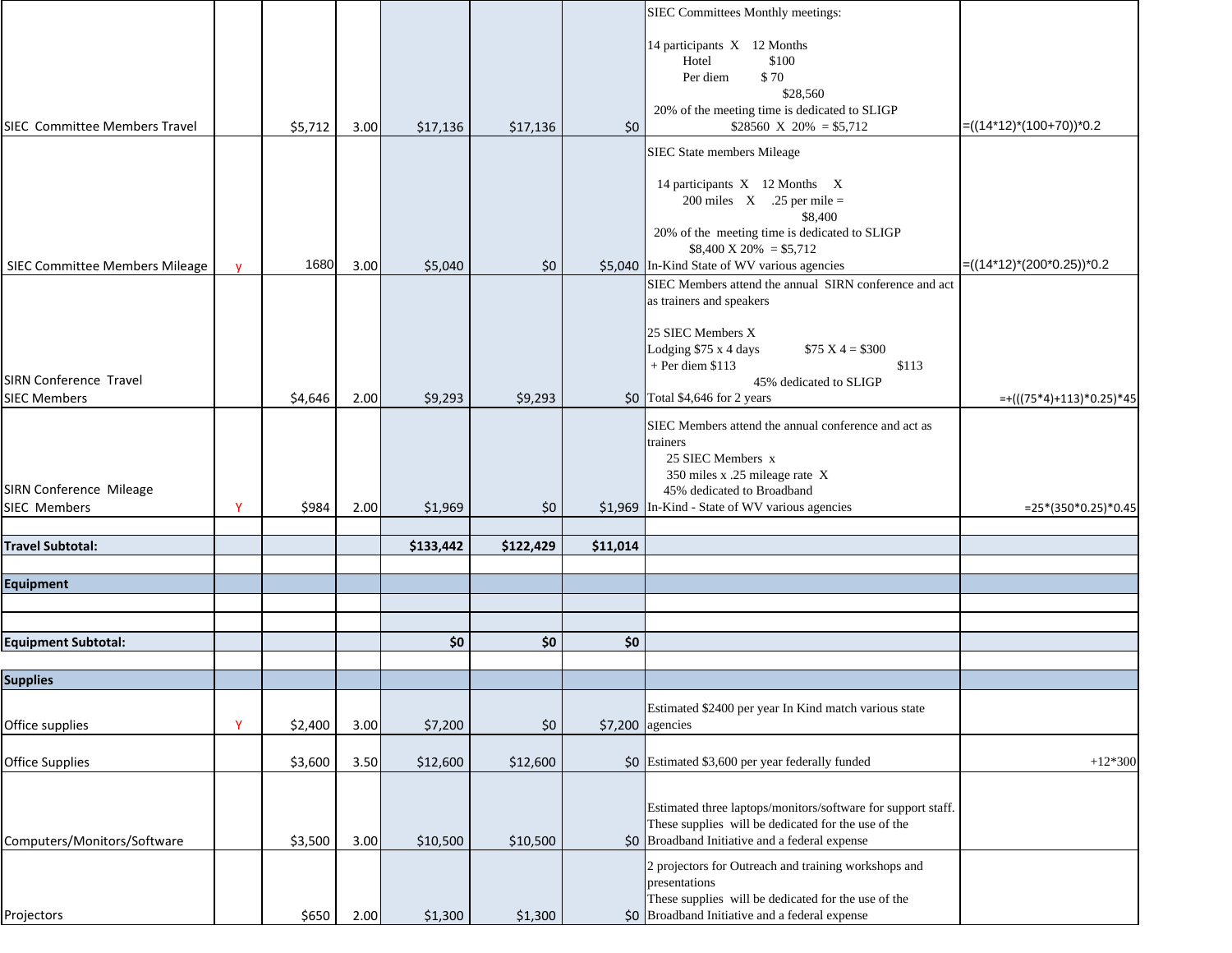|                                       |              |         |      |           |           |          | SIEC Committees Monthly meetings:                            |                             |
|---------------------------------------|--------------|---------|------|-----------|-----------|----------|--------------------------------------------------------------|-----------------------------|
|                                       |              |         |      |           |           |          |                                                              |                             |
|                                       |              |         |      |           |           |          | 14 participants X 12 Months                                  |                             |
|                                       |              |         |      |           |           |          | \$100<br>Hotel                                               |                             |
|                                       |              |         |      |           |           |          | Per diem<br>\$70                                             |                             |
|                                       |              |         |      |           |           |          | \$28,560                                                     |                             |
|                                       |              |         |      |           |           |          | 20% of the meeting time is dedicated to SLIGP                |                             |
| SIEC Committee Members Travel         |              | \$5,712 | 3.00 | \$17,136  | \$17,136  | \$0      | \$28560 X 20% = \$5,712                                      | $=((14*12)*(100+70))*0.2$   |
|                                       |              |         |      |           |           |          | <b>SIEC State members Mileage</b>                            |                             |
|                                       |              |         |      |           |           |          |                                                              |                             |
|                                       |              |         |      |           |           |          | 14 participants X 12 Months X                                |                             |
|                                       |              |         |      |           |           |          | 200 miles $X$ .25 per mile =                                 |                             |
|                                       |              |         |      |           |           |          | \$8,400                                                      |                             |
|                                       |              |         |      |           |           |          | 20% of the meeting time is dedicated to SLIGP                |                             |
|                                       |              |         |      |           |           |          | $$8,400 \text{ X } 20\% = $5,712$                            |                             |
| <b>SIEC Committee Members Mileage</b> | $\mathsf{V}$ | 1680    | 3.00 | \$5,040   | \$0       |          | \$5,040 In-Kind State of WV various agencies                 | $=((14*12)*(200*0.25))*0.2$ |
|                                       |              |         |      |           |           |          | SIEC Members attend the annual SIRN conference and act       |                             |
|                                       |              |         |      |           |           |          | as trainers and speakers                                     |                             |
|                                       |              |         |      |           |           |          |                                                              |                             |
|                                       |              |         |      |           |           |          | 25 SIEC Members X                                            |                             |
|                                       |              |         |      |           |           |          |                                                              |                             |
|                                       |              |         |      |           |           |          | Lodging \$75 x 4 days<br>$$75 X4 = $300$                     |                             |
|                                       |              |         |      |           |           |          | $+$ Per diem \$113<br>\$113                                  |                             |
| SIRN Conference Travel                |              |         |      |           |           |          | 45% dedicated to SLIGP                                       |                             |
| <b>SIEC Members</b>                   |              | \$4,646 | 2.00 | \$9,293   | \$9,293   |          | \$0 Total \$4,646 for 2 years                                | $=+(((75*4)+113)*0.25)*45$  |
|                                       |              |         |      |           |           |          |                                                              |                             |
|                                       |              |         |      |           |           |          | SIEC Members attend the annual conference and act as         |                             |
|                                       |              |         |      |           |           |          | trainers                                                     |                             |
|                                       |              |         |      |           |           |          | 25 SIEC Members x                                            |                             |
|                                       |              |         |      |           |           |          | 350 miles x .25 mileage rate X                               |                             |
| SIRN Conference Mileage               |              |         |      |           |           |          | 45% dedicated to Broadband                                   |                             |
| <b>SIEC Members</b>                   | Y            | \$984   | 2.00 | \$1,969   | \$0       |          | \$1,969 In-Kind - State of WV various agencies               | $=25*(350*0.25)*0.45$       |
|                                       |              |         |      |           |           |          |                                                              |                             |
| <b>Travel Subtotal:</b>               |              |         |      | \$133,442 | \$122,429 | \$11,014 |                                                              |                             |
|                                       |              |         |      |           |           |          |                                                              |                             |
| <b>Equipment</b>                      |              |         |      |           |           |          |                                                              |                             |
|                                       |              |         |      |           |           |          |                                                              |                             |
|                                       |              |         |      |           |           |          |                                                              |                             |
|                                       |              |         |      |           |           |          |                                                              |                             |
| <b>Equipment Subtotal:</b>            |              |         |      | \$0       | \$0       | \$0      |                                                              |                             |
|                                       |              |         |      |           |           |          |                                                              |                             |
| <b>Supplies</b>                       |              |         |      |           |           |          |                                                              |                             |
|                                       |              |         |      |           |           |          | Estimated \$2400 per year In Kind match various state        |                             |
| Office supplies                       | Y            | \$2,400 | 3.00 | \$7,200   | \$0       | \$7,200  | agencies                                                     |                             |
|                                       |              |         |      |           |           |          |                                                              |                             |
|                                       |              |         | 3.50 |           |           |          | \$0 Estimated \$3,600 per year federally funded              | $+12*300$                   |
| <b>Office Supplies</b>                |              | \$3,600 |      | \$12,600  | \$12,600  |          |                                                              |                             |
|                                       |              |         |      |           |           |          |                                                              |                             |
|                                       |              |         |      |           |           |          | Estimated three laptops/monitors/software for support staff. |                             |
|                                       |              |         |      |           |           |          | These supplies will be dedicated for the use of the          |                             |
|                                       |              |         |      |           |           |          |                                                              |                             |
| Computers/Monitors/Software           |              | \$3,500 | 3.00 | \$10,500  | \$10,500  |          | \$0 Broadband Initiative and a federal expense               |                             |
|                                       |              |         |      |           |           |          | 2 projectors for Outreach and training workshops and         |                             |
|                                       |              |         |      |           |           |          | presentations                                                |                             |
|                                       |              |         |      |           |           |          | These supplies will be dedicated for the use of the          |                             |
| Projectors                            |              | \$650   | 2.00 | \$1,300   | \$1,300   |          | \$0 Broadband Initiative and a federal expense               |                             |
|                                       |              |         |      |           |           |          |                                                              |                             |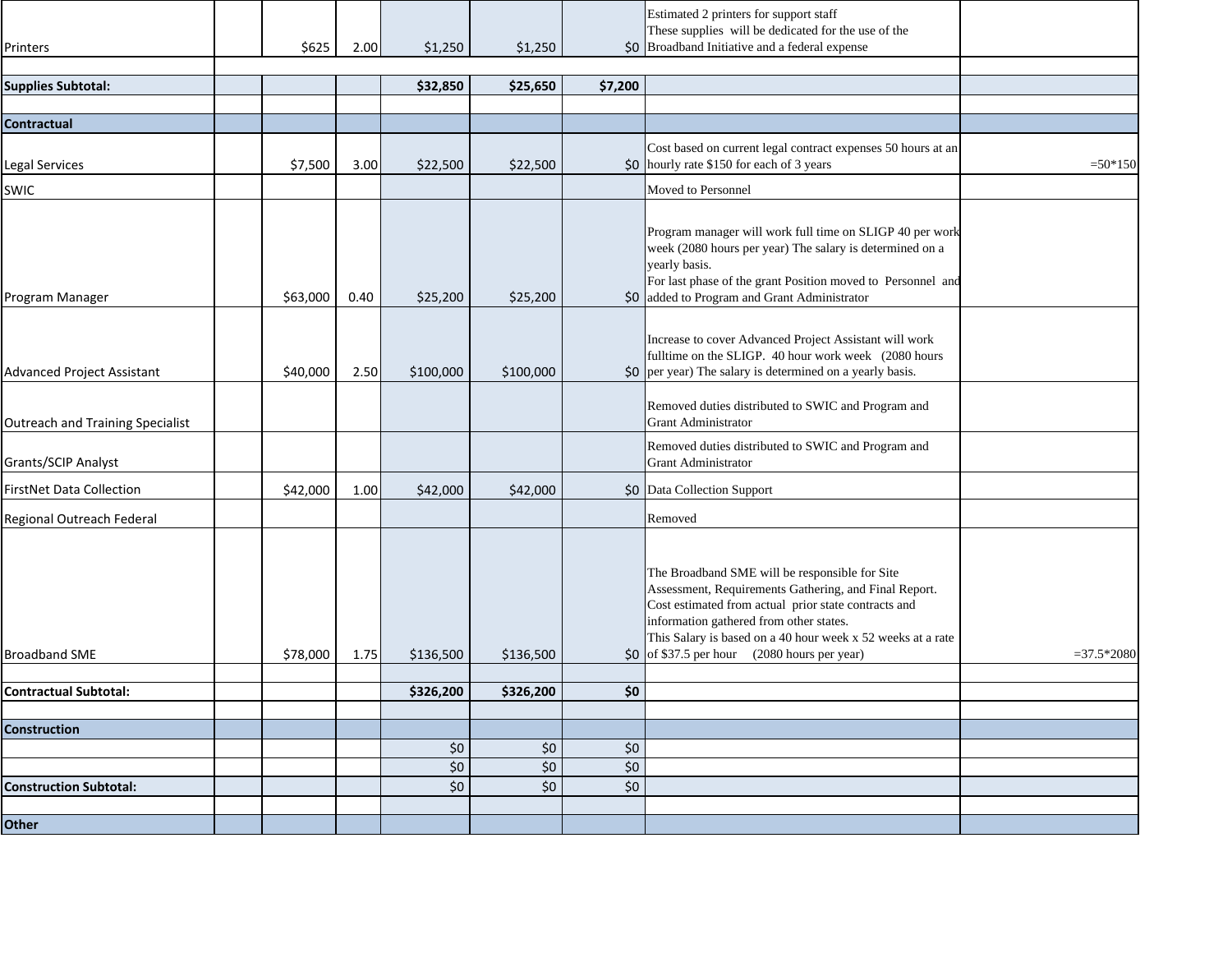|                                         |          |      |            |            |            | Estimated 2 printers for support staff<br>These supplies will be dedicated for the use of the                                                                                                                                                                                                                                                                                                                                                                                                                                                                                                                                                                                                                                                                                                                                          |              |
|-----------------------------------------|----------|------|------------|------------|------------|----------------------------------------------------------------------------------------------------------------------------------------------------------------------------------------------------------------------------------------------------------------------------------------------------------------------------------------------------------------------------------------------------------------------------------------------------------------------------------------------------------------------------------------------------------------------------------------------------------------------------------------------------------------------------------------------------------------------------------------------------------------------------------------------------------------------------------------|--------------|
| Printers                                | \$625    | 2.00 | \$1,250    | \$1,250    |            | \$0 Broadband Initiative and a federal expense                                                                                                                                                                                                                                                                                                                                                                                                                                                                                                                                                                                                                                                                                                                                                                                         |              |
|                                         |          |      |            |            |            |                                                                                                                                                                                                                                                                                                                                                                                                                                                                                                                                                                                                                                                                                                                                                                                                                                        |              |
| <b>Supplies Subtotal:</b>               |          |      | \$32,850   | \$25,650   | \$7,200    |                                                                                                                                                                                                                                                                                                                                                                                                                                                                                                                                                                                                                                                                                                                                                                                                                                        |              |
| <b>Contractual</b>                      |          |      |            |            |            |                                                                                                                                                                                                                                                                                                                                                                                                                                                                                                                                                                                                                                                                                                                                                                                                                                        |              |
| Legal Services                          | \$7,500  | 3.00 | \$22,500   | \$22,500   |            | Cost based on current legal contract expenses 50 hours at an<br>\$0 hourly rate \$150 for each of 3 years                                                                                                                                                                                                                                                                                                                                                                                                                                                                                                                                                                                                                                                                                                                              | $=50*150$    |
| SWIC                                    |          |      |            |            |            | Moved to Personnel                                                                                                                                                                                                                                                                                                                                                                                                                                                                                                                                                                                                                                                                                                                                                                                                                     |              |
| Program Manager                         | \$63,000 | 0.40 | \$25,200   | \$25,200   |            | Program manager will work full time on SLIGP 40 per work<br>week (2080 hours per year) The salary is determined on a<br>yearly basis.<br>For last phase of the grant Position moved to Personnel and<br>\$0 added to Program and Grant Administrator                                                                                                                                                                                                                                                                                                                                                                                                                                                                                                                                                                                   |              |
| Advanced Project Assistant              | \$40,000 | 2.50 | \$100,000  | \$100,000  |            | Increase to cover Advanced Project Assistant will work<br>fulltime on the SLIGP. 40 hour work week (2080 hours<br>$\big\downarrow$ $\big\downarrow$ $\big\downarrow$ $\big\downarrow$ per year) The salary is determined on a yearly basis.                                                                                                                                                                                                                                                                                                                                                                                                                                                                                                                                                                                            |              |
| <b>Outreach and Training Specialist</b> |          |      |            |            |            | Removed duties distributed to SWIC and Program and<br><b>Grant Administrator</b>                                                                                                                                                                                                                                                                                                                                                                                                                                                                                                                                                                                                                                                                                                                                                       |              |
| Grants/SCIP Analyst                     |          |      |            |            |            | Removed duties distributed to SWIC and Program and<br><b>Grant Administrator</b>                                                                                                                                                                                                                                                                                                                                                                                                                                                                                                                                                                                                                                                                                                                                                       |              |
| <b>FirstNet Data Collection</b>         | \$42,000 | 1.00 | \$42,000   | \$42,000   |            | \$0 Data Collection Support                                                                                                                                                                                                                                                                                                                                                                                                                                                                                                                                                                                                                                                                                                                                                                                                            |              |
| Regional Outreach Federal               |          |      |            |            |            | Removed                                                                                                                                                                                                                                                                                                                                                                                                                                                                                                                                                                                                                                                                                                                                                                                                                                |              |
| <b>Broadband SME</b>                    | \$78,000 | 1.75 | \$136,500  | \$136,500  |            | The Broadband SME will be responsible for Site<br>Assessment, Requirements Gathering, and Final Report.<br>Cost estimated from actual prior state contracts and<br>information gathered from other states.<br>This Salary is based on a 40 hour week x 52 weeks at a rate<br>$\big\vert \big\langle 60 \big\rvert \big\vert \big\langle 66 \big\rangle \big\langle 37.5 \big\rangle \big\vert \big\langle 50 \big\rangle \big\vert \big\langle 60 \big\rangle \big\vert \big\langle 60 \big\rangle \big\vert \big\langle 60 \big\rangle \big\vert \big\langle 60 \big\rangle \big\vert \big\langle 60 \big\rangle \big\vert \big\langle 60 \big\rangle \big\vert \big\langle 60 \big\rangle \big\vert \big\langle 60 \big\rangle \big\vert \big\langle 60 \big\rangle \big\vert \big\langle 60 \big\rangle \big\vert \big\langle 60 \$ | $=37.5*2080$ |
| <b>Contractual Subtotal:</b>            |          |      | \$326,200  | \$326,200  | \$0        |                                                                                                                                                                                                                                                                                                                                                                                                                                                                                                                                                                                                                                                                                                                                                                                                                                        |              |
|                                         |          |      |            |            |            |                                                                                                                                                                                                                                                                                                                                                                                                                                                                                                                                                                                                                                                                                                                                                                                                                                        |              |
| <b>Construction</b>                     |          |      |            |            |            |                                                                                                                                                                                                                                                                                                                                                                                                                                                                                                                                                                                                                                                                                                                                                                                                                                        |              |
|                                         |          |      | \$0        | \$0        | \$0        |                                                                                                                                                                                                                                                                                                                                                                                                                                                                                                                                                                                                                                                                                                                                                                                                                                        |              |
| <b>Construction Subtotal:</b>           |          |      | \$0<br>\$0 | \$0<br>\$0 | \$0<br>\$0 |                                                                                                                                                                                                                                                                                                                                                                                                                                                                                                                                                                                                                                                                                                                                                                                                                                        |              |
|                                         |          |      |            |            |            |                                                                                                                                                                                                                                                                                                                                                                                                                                                                                                                                                                                                                                                                                                                                                                                                                                        |              |
| <b>Other</b>                            |          |      |            |            |            |                                                                                                                                                                                                                                                                                                                                                                                                                                                                                                                                                                                                                                                                                                                                                                                                                                        |              |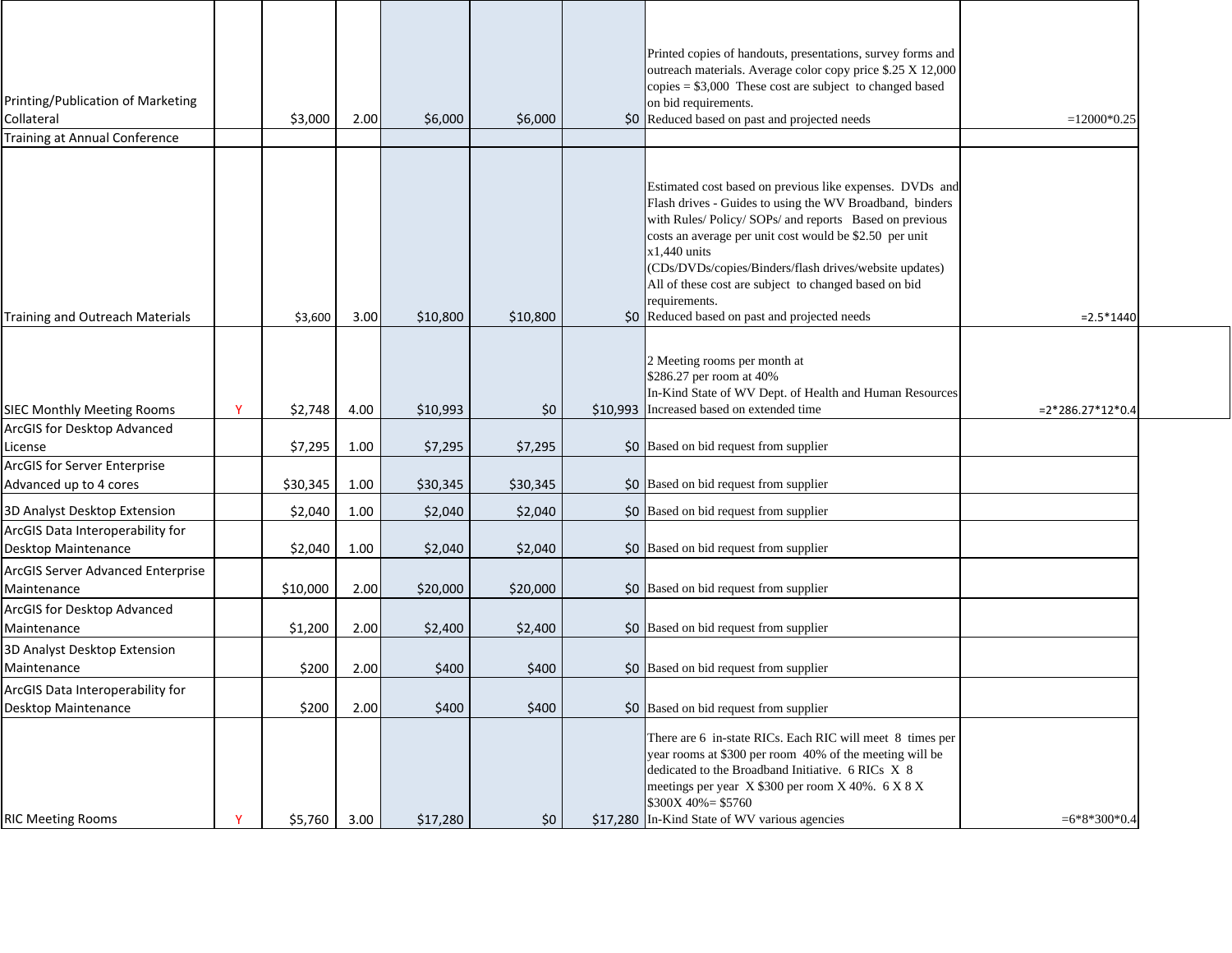| Printing/Publication of Marketing<br>Collateral<br><b>Training at Annual Conference</b> |   | \$3,000  | 2.00 | \$6,000  | \$6,000  | Printed copies of handouts, presentations, survey forms and<br>outreach materials. Average color copy price \$.25 X 12,000<br>copies $= $3,000$ These cost are subject to changed based<br>on bid requirements.<br>\$0 Reduced based on past and projected needs                                                                                                                                                                                  | $=12000*0.25$       |
|-----------------------------------------------------------------------------------------|---|----------|------|----------|----------|---------------------------------------------------------------------------------------------------------------------------------------------------------------------------------------------------------------------------------------------------------------------------------------------------------------------------------------------------------------------------------------------------------------------------------------------------|---------------------|
| Training and Outreach Materials                                                         |   | \$3,600  | 3.00 | \$10,800 | \$10,800 | Estimated cost based on previous like expenses. DVDs and<br>Flash drives - Guides to using the WV Broadband, binders<br>with Rules/ Policy/ SOPs/ and reports Based on previous<br>costs an average per unit cost would be \$2.50 per unit<br>$x1,440$ units<br>(CDs/DVDs/copies/Binders/flash drives/website updates)<br>All of these cost are subject to changed based on bid<br>requirements.<br>\$0 Reduced based on past and projected needs | $=2.5*1440$         |
| <b>SIEC Monthly Meeting Rooms</b>                                                       | Y | \$2,748  | 4.00 | \$10,993 | \$0      | 2 Meeting rooms per month at<br>\$286.27 per room at 40%<br>In-Kind State of WV Dept. of Health and Human Resources<br>\$10,993 Increased based on extended time                                                                                                                                                                                                                                                                                  | $= 2*286.27*12*0.4$ |
| ArcGIS for Desktop Advanced<br>License                                                  |   | \$7,295  | 1.00 | \$7,295  | \$7,295  | \$0 Based on bid request from supplier                                                                                                                                                                                                                                                                                                                                                                                                            |                     |
| ArcGIS for Server Enterprise<br>Advanced up to 4 cores                                  |   | \$30,345 | 1.00 | \$30,345 | \$30,345 | $$0$ Based on bid request from supplier                                                                                                                                                                                                                                                                                                                                                                                                           |                     |
| 3D Analyst Desktop Extension                                                            |   | \$2,040  | 1.00 | \$2,040  | \$2,040  | \$0 Based on bid request from supplier                                                                                                                                                                                                                                                                                                                                                                                                            |                     |
| ArcGIS Data Interoperability for<br>Desktop Maintenance                                 |   | \$2,040  | 1.00 | \$2,040  | \$2,040  | \$0 Based on bid request from supplier                                                                                                                                                                                                                                                                                                                                                                                                            |                     |
| ArcGIS Server Advanced Enterprise<br>Maintenance                                        |   | \$10,000 | 2.00 | \$20,000 | \$20,000 | \$0 Based on bid request from supplier                                                                                                                                                                                                                                                                                                                                                                                                            |                     |
| ArcGIS for Desktop Advanced<br>Maintenance                                              |   | \$1,200  | 2.00 | \$2,400  | \$2,400  | \$0 Based on bid request from supplier                                                                                                                                                                                                                                                                                                                                                                                                            |                     |
| 3D Analyst Desktop Extension<br>Maintenance                                             |   | \$200    | 2.00 | \$400    | \$400    | $$0$ Based on bid request from supplier                                                                                                                                                                                                                                                                                                                                                                                                           |                     |
| ArcGIS Data Interoperability for<br>Desktop Maintenance                                 |   | \$200    | 2.00 | \$400    | \$400    | \$0 Based on bid request from supplier                                                                                                                                                                                                                                                                                                                                                                                                            |                     |
| <b>RIC Meeting Rooms</b>                                                                | Y | \$5,760  | 3.00 | \$17,280 | \$0      | There are 6 in-state RICs. Each RIC will meet 8 times per<br>year rooms at \$300 per room 40% of the meeting will be<br>dedicated to the Broadband Initiative. 6 RICs X 8<br>meetings per year X \$300 per room X 40%. 6 X 8 X<br>$$300X\,40\% = $5760$<br>\$17,280 In-Kind State of WV various agencies                                                                                                                                          | $=6*8*300*0.4$      |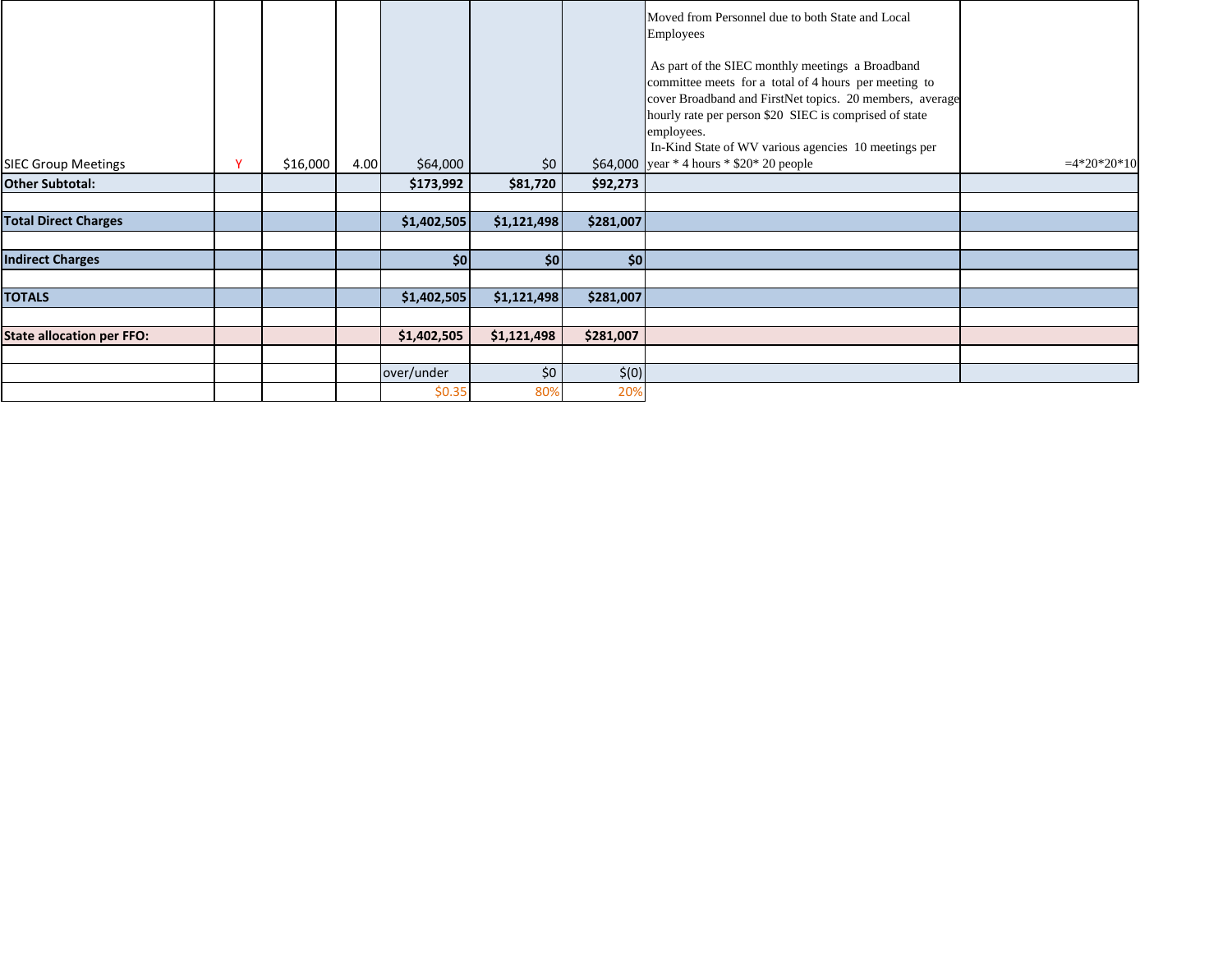|                                  |              |          |      |             |             |           | Moved from Personnel due to both State and Local<br>Employees<br>As part of the SIEC monthly meetings a Broadband<br>committee meets for a total of 4 hours per meeting to<br>cover Broadband and FirstNet topics. 20 members, average<br>hourly rate per person \$20 SIEC is comprised of state<br>employees. |               |
|----------------------------------|--------------|----------|------|-------------|-------------|-----------|----------------------------------------------------------------------------------------------------------------------------------------------------------------------------------------------------------------------------------------------------------------------------------------------------------------|---------------|
| <b>SIEC Group Meetings</b>       | $\mathbf{v}$ | \$16,000 | 4.00 | \$64,000    | \$0\$       |           | In-Kind State of WV various agencies 10 meetings per<br>\$64,000 year $*$ 4 hours $*$ \$20 $*$ 20 people                                                                                                                                                                                                       | $=4*20*20*10$ |
| <b>Other Subtotal:</b>           |              |          |      | \$173,992   | \$81,720    | \$92,273  |                                                                                                                                                                                                                                                                                                                |               |
|                                  |              |          |      |             |             |           |                                                                                                                                                                                                                                                                                                                |               |
| <b>Total Direct Charges</b>      |              |          |      | \$1,402,505 | \$1,121,498 | \$281,007 |                                                                                                                                                                                                                                                                                                                |               |
|                                  |              |          |      |             |             |           |                                                                                                                                                                                                                                                                                                                |               |
| <b>Indirect Charges</b>          |              |          |      | 50          | \$0         | \$0       |                                                                                                                                                                                                                                                                                                                |               |
|                                  |              |          |      |             |             |           |                                                                                                                                                                                                                                                                                                                |               |
| <b>TOTALS</b>                    |              |          |      | \$1,402,505 | \$1,121,498 | \$281,007 |                                                                                                                                                                                                                                                                                                                |               |
|                                  |              |          |      |             |             |           |                                                                                                                                                                                                                                                                                                                |               |
| <b>State allocation per FFO:</b> |              |          |      | \$1,402,505 | \$1,121,498 | \$281,007 |                                                                                                                                                                                                                                                                                                                |               |
|                                  |              |          |      |             |             |           |                                                                                                                                                                                                                                                                                                                |               |
|                                  |              |          |      | over/under  | \$0\$       | \$(0)     |                                                                                                                                                                                                                                                                                                                |               |
|                                  |              |          |      | \$0.35      | 80%         | 20%       |                                                                                                                                                                                                                                                                                                                |               |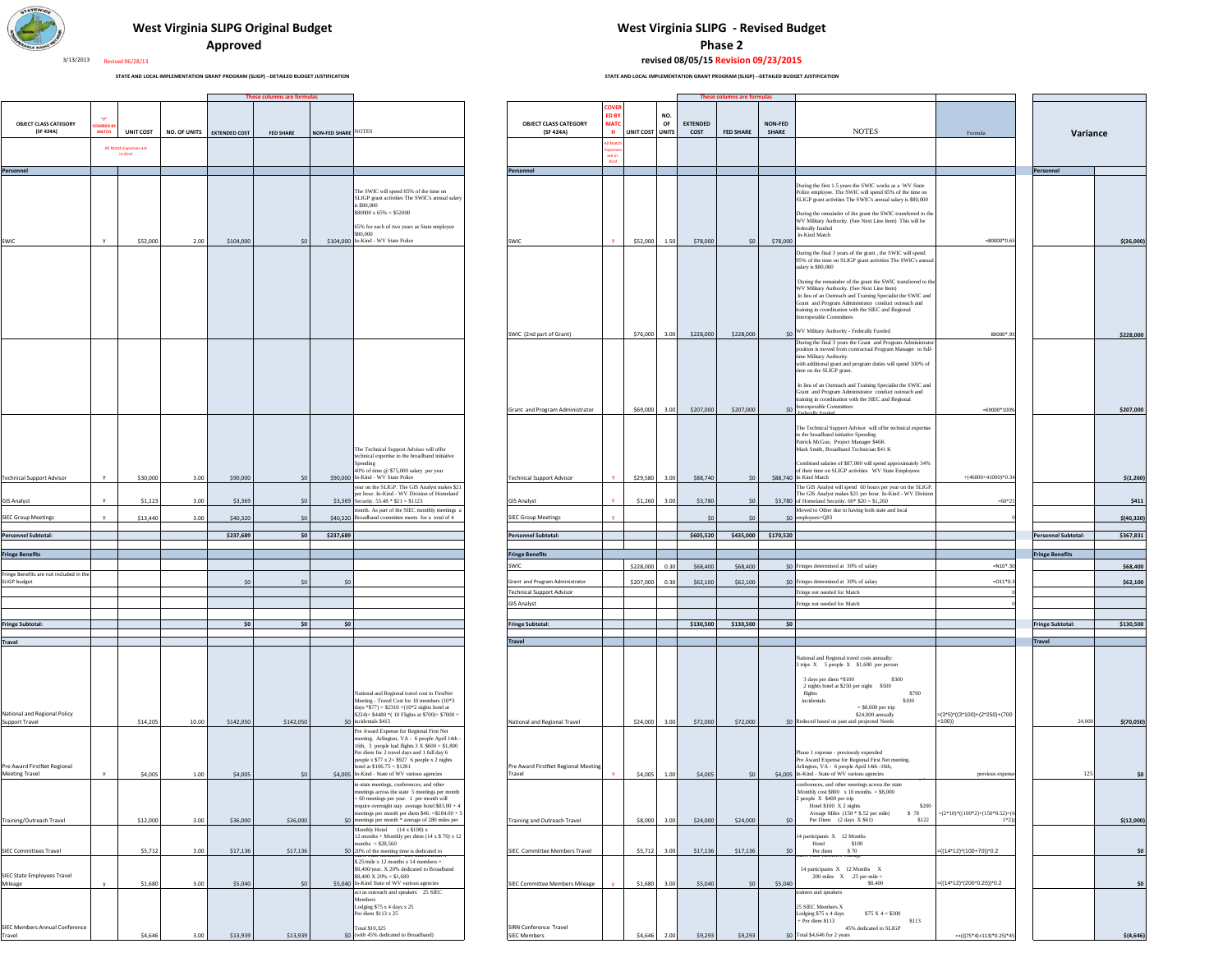

#### **West Virginia SLIPG Original Budget**

#### **Approved**

#### **West Virginia SLIPG ‐ Revised Budget**

**Phase 2**

**revised 08/05/15 Revision 09/23/2015** STATE AND LOCAL IMPLEMENTATION GRANT PROGRAM (SLIGP) -- DETAILED BUDGET JUSTIFICATION

**STATE AND LOCAL IMPLEMENTATION GRANT PROGRAM**

|                                                         |                                 |                                   |              |                      | These columns are formula |                      |                                                                                                                                                                                                                                                                                                   |                                                                             |
|---------------------------------------------------------|---------------------------------|-----------------------------------|--------------|----------------------|---------------------------|----------------------|---------------------------------------------------------------------------------------------------------------------------------------------------------------------------------------------------------------------------------------------------------------------------------------------------|-----------------------------------------------------------------------------|
| <b>OBJECT CLASS CATEGORY</b><br>(SF 424A)               | my.<br>OVERED B<br><b>MATCH</b> | <b>UNIT COST</b>                  | NO. OF UNITS | <b>EXTENDED COST</b> | <b>FED SHARE</b>          | <b>NON-FED SHARE</b> | <b>NOTES</b>                                                                                                                                                                                                                                                                                      | <b>OBJECT CLA</b><br>(SF                                                    |
|                                                         |                                 | All Match Expenses are<br>in-Kind |              |                      |                           |                      |                                                                                                                                                                                                                                                                                                   |                                                                             |
| Personnel                                               | Y                               |                                   | 2.00         |                      |                           |                      | The SWIC will spend 65% of the time on<br>SLIGP grant activities The SWIC's annual salary<br>is \$80,000<br>$$80000 \times 65\% = $52000$<br>65% for each of two years as State employee<br>\$80,000<br>In-Kind - WV State Police                                                                 | Personnel<br>SWIC                                                           |
| SWIC                                                    |                                 | \$52,000                          |              | \$104,000            | \$0                       | \$104,000            |                                                                                                                                                                                                                                                                                                   |                                                                             |
|                                                         |                                 |                                   |              |                      |                           |                      |                                                                                                                                                                                                                                                                                                   | SWIC (2nd part o                                                            |
| <b>Technical Support Advisor</b>                        | Y                               | \$30,000                          | 3.00         | \$90,000             | \$0                       | \$90,000             | The Technical Support Advisor will offer<br>technical expertise to the broadband initiative<br>Spending<br>40% of time @ \$75,000 salary per year<br>In-Kind - WV State Police                                                                                                                    | Grant and Progra<br><b>Technical Support</b>                                |
| <b>GIS Analyst</b>                                      | Y                               | \$1,123                           | 3.00         | \$3,369              | \$0                       | \$3,369              | year on the SLIGP. The GIS Analyst makes \$21<br>per hour. In-Kind - WV Division of Homeland<br>Security. $53.48 * $21 = $1123$                                                                                                                                                                   | <b>GIS Analyst</b>                                                          |
| <b>SIEC Group Meetings</b>                              | Y                               | \$13,440                          | 3.00         | \$40,320             | SO                        | \$40,320             | month. As part of the SIEC monthly meetings a<br>Broadband committee meets for a total of 4                                                                                                                                                                                                       | SIEC Group Meeti                                                            |
| Personnel Subtotal:                                     |                                 |                                   |              | \$237,689            | \$0                       | \$237,689            |                                                                                                                                                                                                                                                                                                   | <b>Personnel Subtot</b>                                                     |
| <b>Fringe Benefits</b>                                  |                                 |                                   |              |                      |                           |                      |                                                                                                                                                                                                                                                                                                   | <b>Fringe Benefits</b>                                                      |
| Fringe Benefits are not included in the<br>SLIGP budget |                                 |                                   |              | \$0                  | \$0                       | \$0                  |                                                                                                                                                                                                                                                                                                   | SWIC<br>Grant and Program<br><b>Technical Support</b><br><b>GIS Analyst</b> |
| <b>Fringe Subtotal:</b>                                 |                                 |                                   |              | \$0                  | \$0                       | \$0                  |                                                                                                                                                                                                                                                                                                   | Fringe Subtotal:                                                            |
| <b>Travel</b>                                           |                                 |                                   |              |                      |                           |                      |                                                                                                                                                                                                                                                                                                   | <b>Travel</b>                                                               |
| National and Regional Policy<br>Support Travel          |                                 | \$14,205                          | 10.00        | \$142,050            | \$142,050                 | \$0                  | National and Regional travel cost to FirstNet<br>Meeting - Travel Cost for 10 members (10*3<br>days *\$77) = \$2310 +(10*2 nights hotel at<br>\$224)= \$4480 *( 10 Flights at \$700)= \$7000 +<br>incidentals \$415                                                                               | National and Regi                                                           |
| Pre Award FirstNet Regional                             |                                 |                                   |              |                      |                           |                      | Pre Award Expense for Regional First Net<br>meeting. Arlington, VA - 6 people April 14th -<br>16th, 3 people had flights 3 X \$600 = \$1,800<br>Per diem for 2 travel days and 1 full day 6<br>people x \$77 x 2= \$927 6 people x 2 nights<br>hotel at \$106.75 = \$1281                         | Pre Award FirstN                                                            |
| <b>Meeting Travel</b>                                   | Υ                               | \$4,005                           | 1.00         | \$4,005              | $\$0$                     |                      | \$4,005 In-Kind - State of WV various agencies<br>in-state meetings, conferences, and other<br>meetings across the state 5 meetings per month<br>= 60 meetings per year. 1 per month will<br>require overnight stay average hotel \$83.00 + 4<br>meetings per month per diem \$46. = \$184.00 + 5 | Travel                                                                      |
| Training/Outreach Travel                                |                                 | \$12,000                          | 3.00         | \$36,000             | \$36,000                  |                      | \$0 meetings per month * average of 280 miles per<br>Monthly Hotel $(14 \times $100)$ x<br>12 months + Monthly per diem (14 x \$ 70) x 12                                                                                                                                                         | <b>Training and Outr</b>                                                    |
| <b>SIEC Committees Travel</b>                           |                                 | \$5,712                           | 3.00         | \$17,136             | \$17,136                  | \$0                  | months = $$28,560$<br>20% of the meeting time is dedicated to<br>$S.25$ /mile x 12 months x 14 members =                                                                                                                                                                                          | SIEC Committee I                                                            |
| SIEC State Employees Travel<br>Mileage                  | ٧                               | \$1,680                           | 3.00         | \$5,040              | \$0                       |                      | \$8,400/year. X 20% dedicated to Broadband<br>$$8,400$ X $20\% = $1,680$<br>\$5,040 In-Kind State of WV various agencies<br>act as outreach and speakers 25 SIEC<br>Members                                                                                                                       | SIEC Committee M                                                            |
| SIEC Members Annual Conference<br>Travel                |                                 | \$4,646                           | 3.00         | \$13,939             | \$13,939                  | \$0                  | Lodging \$75 x 4 days x 25<br>Per diem $\$113$ x $25$<br>Total \$10,325<br>(with 45% dedicated to Broadband)                                                                                                                                                                                      | <b>SIRN Conference</b><br><b>SIEC Members</b>                               |

|                                           |              |                        |       |                            | ns are f         |                     |                                                                                                                                                                                                                                               |                                                                     |                                              |                 |           |                         | ıs are f         |                  |                                                                                                                                                                                                                                                                                                                      |                                   |                         |             |
|-------------------------------------------|--------------|------------------------|-------|----------------------------|------------------|---------------------|-----------------------------------------------------------------------------------------------------------------------------------------------------------------------------------------------------------------------------------------------|---------------------------------------------------------------------|----------------------------------------------|-----------------|-----------|-------------------------|------------------|------------------|----------------------------------------------------------------------------------------------------------------------------------------------------------------------------------------------------------------------------------------------------------------------------------------------------------------------|-----------------------------------|-------------------------|-------------|
| <b>OBJECT CLASS CATEGORY</b><br>(SF 424A) | <b>MATCH</b> | <b>UNIT COST</b>       |       | NO. OF UNITS EXTENDED COST |                  | NON-FED SHARE NOTES |                                                                                                                                                                                                                                               | <b>OBJECT CLASS CATEGORY</b><br>(SF 424A)                           | COVE<br>ED <sub>B</sub><br><b>MATC</b><br>н. | UNIT COST UNITS | NO.<br>OF | <b>EXTENDED</b><br>COST | <b>FED SHARE</b> | NON-FED<br>SHARE | <b>NOTES</b>                                                                                                                                                                                                                                                                                                         |                                   |                         |             |
|                                           |              | All Match Expenses are |       |                            | <b>FED SHARE</b> |                     |                                                                                                                                                                                                                                               |                                                                     |                                              |                 |           |                         |                  |                  |                                                                                                                                                                                                                                                                                                                      | Formula                           | Variance                |             |
|                                           |              | in-Kind                |       |                            |                  |                     |                                                                                                                                                                                                                                               |                                                                     |                                              |                 |           |                         |                  |                  |                                                                                                                                                                                                                                                                                                                      |                                   |                         |             |
| Personnel                                 |              |                        |       |                            |                  |                     |                                                                                                                                                                                                                                               | Personnel                                                           |                                              |                 |           |                         |                  |                  |                                                                                                                                                                                                                                                                                                                      |                                   | Personnel               |             |
|                                           |              |                        |       |                            |                  |                     | The SWIC will spend 65% of the time on<br>SLIGP grant activities The SWIC's annual salary<br>is \$80,000                                                                                                                                      |                                                                     |                                              |                 |           |                         |                  |                  | During the first 1.5 years the SWIC works as a WV State<br>Police employee. The SWIC will spend 65% of the time on<br>SLIGP grant activities The SWIC's annual salary is \$80,000                                                                                                                                    |                                   |                         |             |
| SWIC                                      | Y            | \$52,000               | 2.00  | \$104,000                  | SO               |                     | $$80000 \times 65\% = $52000$<br>65% for each of two years as State employee<br>\$80,000<br>\$104,000 In-Kind - WV State Police                                                                                                               | SWIC                                                                |                                              | \$52,000        | 1.50      | \$78,000                | 50               | \$78,000         | During the remainder of the grant the SWIC transferred to the<br>WV Military Authority. (See Next Line Item) This will be<br>federally funded<br>In-Kind Match                                                                                                                                                       | $= 80000*0.65$                    |                         | \$(26,000)  |
|                                           |              |                        |       |                            |                  |                     |                                                                                                                                                                                                                                               |                                                                     |                                              |                 |           |                         |                  |                  | During the final 3 years of the grant, the SWIC will spend<br>95% of the time on SLIGP grant activities The SWIC's annual<br>salary is \$80,000                                                                                                                                                                      |                                   |                         |             |
|                                           |              |                        |       |                            |                  |                     |                                                                                                                                                                                                                                               |                                                                     |                                              |                 |           |                         |                  |                  | During the remainder of the grant the SWIC transferred to the<br>WV Military Authority. (See Next Line Item)<br>In lieu of an Outreach and Training Specialist the SWIC and<br>Grant and Program Administrator conduct outreach and<br>training in coordination with the SIEC and Regional<br>teroperable Committees |                                   |                         |             |
|                                           |              |                        |       |                            |                  |                     |                                                                                                                                                                                                                                               | SWIC (2nd part of Grant)                                            |                                              | \$76,000 3.00   |           | \$228,000               | \$228,000        |                  | \$0 WV Military Authority - Federally Funded                                                                                                                                                                                                                                                                         | 80000*.95                         |                         | \$228,000   |
|                                           |              |                        |       |                            |                  |                     |                                                                                                                                                                                                                                               |                                                                     |                                              |                 |           |                         |                  |                  | During the final 3 years the Grant and Program Administrato<br>osition is moved from contractual Program Manager to full-<br>time Military Authority.<br>with additional grant and program duties will spend 100% of<br>time on the SLIGP grant.                                                                     |                                   |                         |             |
|                                           |              |                        |       |                            |                  |                     |                                                                                                                                                                                                                                               | Grant and Program Administrator                                     |                                              | \$69,000 3.00   |           | \$207,000               | \$207,000        |                  | In lieu of an Outreach and Training Specialist the SWIC and<br>Grant and Program Administrator conduct outreach and<br>training in coordination with the SIEC and Regional<br>SO Interoperable Committees                                                                                                            | $=69000*100%$                     |                         | \$207,000   |
|                                           |              |                        |       |                            |                  |                     | The Technical Support Advisor will offer                                                                                                                                                                                                      |                                                                     |                                              |                 |           |                         |                  |                  | The Technical Support Advisor will offer technical expertise<br>to the broadband initiative Spending<br>Patrick McGue, Project Manager \$46K<br>Mark Smith, Broadband Technician \$41 K                                                                                                                              |                                   |                         |             |
| Technical Support Advisor                 | Y            | \$30,000               | 3.00  | \$90,000                   | SO               |                     | technical expertise to the broadband initiative<br>Spending<br>$40\%$ of time @ \$75,000 salary per year<br>\$90,000 In-Kind - WV State Police                                                                                                | <b>Technical Support Advisor</b>                                    |                                              | \$29,580        | 3.00      | \$88,740                | SO               |                  | Combined salaries of \$87,000 will spend approximately 34%<br>of their time on SLIGP activities WV State Employees<br>\$88,740 In Kind Match                                                                                                                                                                         | $+(46000+41000)*0.34$             |                         | \$(1, 260)  |
| GIS Analyst                               | Y            | \$1,123                | 3.00  | \$3,369                    | SO               |                     | year on the SLIGP. The GIS Analyst makes \$21<br>per hour. In-Kind - WV Division of Homeland<br>\$3,369 Security. 53.48 * \$21 = \$1123                                                                                                       | <b>GIS Analyst</b>                                                  |                                              | \$1,260         | 3.00      | \$3,780                 | S <sub>0</sub>   |                  | The GIS Analyst will spend 60 hours per year on the SLIGP.<br>The GIS Analyst makes \$21 per hour. In-Kind - WV Division<br>\$3,780 of Homeland Security. $60*$ \$20 = \$1,260                                                                                                                                       | $=60*21$                          |                         | \$411       |
| SIEC Group Meetings                       |              | \$13,440               | 3.00  | \$40,320                   | S <sub>0</sub>   | \$40,320            | month. As part of the SIEC monthly meetings a<br>Broadband committee meets for a total of 4                                                                                                                                                   | <b>SIEC Group Meetings</b>                                          |                                              |                 |           | $\mathsf{S}$            | S <sub>0</sub>   | 50 <sub>e</sub>  | Moved to Other due to having both state and local<br>mployees+Q83                                                                                                                                                                                                                                                    |                                   |                         | \$(40, 320) |
| Personnel Subtotal:                       |              |                        |       | \$237,689                  | \$0              | \$237,689           |                                                                                                                                                                                                                                               | <b>Personnel Subtotal:</b>                                          |                                              |                 |           | \$605,520               | \$435,000        | \$170,520        |                                                                                                                                                                                                                                                                                                                      |                                   | Personnel Subtotal:     | \$367,831   |
|                                           |              |                        |       |                            |                  |                     |                                                                                                                                                                                                                                               |                                                                     |                                              |                 |           |                         |                  |                  |                                                                                                                                                                                                                                                                                                                      |                                   |                         |             |
| <b>Fringe Benefits</b>                    |              |                        |       |                            |                  |                     |                                                                                                                                                                                                                                               | <b>Fringe Benefits</b><br>SWIC                                      |                                              | \$228,000       | 0.30      | \$68,400                | \$68,400         |                  | \$0 Fringes determined at 30% of salary                                                                                                                                                                                                                                                                              | $=N10^*$ .30                      | <b>Fringe Benefits</b>  | \$68,400    |
| Fringe Benefits are not included in th    |              |                        |       |                            |                  |                     |                                                                                                                                                                                                                                               |                                                                     |                                              |                 |           |                         |                  |                  |                                                                                                                                                                                                                                                                                                                      |                                   |                         |             |
| <b>SLIGP</b> budget                       |              |                        |       | 50                         | \$0\$            | 50                  |                                                                                                                                                                                                                                               | Grant and Program Administrator<br><b>Technical Support Advisor</b> |                                              | \$207,000       | 0.30      | \$62,100                | \$62,100         |                  | \$0 Fringes determined at 30% of salary<br>Fringe not needed for Match                                                                                                                                                                                                                                               | $=011*0.3$                        |                         | \$62,100    |
|                                           |              |                        |       |                            |                  |                     |                                                                                                                                                                                                                                               | <b>GIS Analyst</b>                                                  |                                              |                 |           |                         |                  |                  | Fringe not needed for Match                                                                                                                                                                                                                                                                                          |                                   |                         |             |
|                                           |              |                        |       |                            |                  |                     |                                                                                                                                                                                                                                               |                                                                     |                                              |                 |           |                         |                  |                  |                                                                                                                                                                                                                                                                                                                      |                                   |                         |             |
| Fringe Subtotal:                          |              |                        |       | \$0                        | \$0              | \$0                 |                                                                                                                                                                                                                                               | <b>Fringe Subtotal:</b>                                             |                                              |                 |           | \$130,500               | \$130,500        | \$0              |                                                                                                                                                                                                                                                                                                                      |                                   | <b>Fringe Subtotal:</b> | \$130,500   |
| Travel                                    |              |                        |       |                            |                  |                     |                                                                                                                                                                                                                                               | Travel                                                              |                                              |                 |           |                         |                  |                  |                                                                                                                                                                                                                                                                                                                      |                                   | <b>Travel</b>           |             |
|                                           |              |                        |       |                            |                  |                     |                                                                                                                                                                                                                                               |                                                                     |                                              |                 |           |                         |                  |                  | Vational and Regional travel costs annually:<br>3 trips X 5 people X \$1,600 per person<br>3 days per diem *\$100<br>\$300                                                                                                                                                                                           |                                   |                         |             |
| National and Regional Policy              |              |                        |       |                            |                  |                     | National and Regional travel cost to FirstNet<br>Meeting - Travel Cost for 10 members (10*3<br>days *\$77) = \$2310 +(10*2 nights hotel at<br>\$224)= \$4480 *(10 Flights at \$700)= \$7000 +                                                 |                                                                     |                                              |                 |           |                         |                  |                  | 2 nights hotel at \$250 per night \$500<br>\$700<br>flights<br>incidentals<br>\$100<br>$=$ \$8,000 per trip<br>\$24,000 annually                                                                                                                                                                                     | $=(3*5)*(3*100)+(2*250)+(700)$    |                         |             |
| Support Travel                            |              | \$14,205               | 10.00 | \$142,050                  | \$142,050        |                     | \$0 incidentals \$415<br>Pre Award Expense for Regional First Net                                                                                                                                                                             | National and Regional Travel                                        |                                              | $$24,000$ 3.00  |           | \$72,000                | \$72,000         |                  | \$0 Reduced based on past and projected Needs                                                                                                                                                                                                                                                                        | $-100$ )                          | 24,000                  | \$(70,050)  |
| Pre Award FirstNet Regional               |              |                        |       |                            |                  |                     | meeting. Arlington, VA - 6 people April 14th -<br>16th, $3$ people had flights $3 \times $600 = $1,800$<br>Per diem for 2 travel days and 1 full day 6<br>people x \$77 x 2= \$927 6 people x 2 nights<br>hotel at $$106.75 = $1281$          | Pre Award FirstNet Regional Meeting                                 |                                              |                 |           |                         |                  |                  | Phase 1 expense - previously expended<br>Pre Award Expense for Regional First Net meeting<br>Arlington, VA - 6 people April 14th -16th,                                                                                                                                                                              |                                   |                         |             |
| Meeting Travel                            | Y            | \$4,005                | 1.00  | \$4,005                    | SO               |                     | \$4,005 In-Kind - State of WV various agencies                                                                                                                                                                                                | Travel                                                              |                                              | \$4,005         | 1.00      | \$4,005                 | SO               |                  | \$4,005 In-Kind - State of WV various agencies                                                                                                                                                                                                                                                                       | previous expens                   | 125                     |             |
|                                           |              |                        |       |                            |                  |                     | in-state meetings, conferences, and other<br>meetings across the state 5 meetings per month<br>60 meetings per year. 1 per month will<br>require overnight stay average hotel \$83.00 + 4<br>meetings per month per diem \$46. = \$184.00 + 5 |                                                                     |                                              |                 |           |                         |                  |                  | conferences, and other meetings across the state<br>Monthly cost $$800 \times 10$ months = $$8,000$<br>2 people X \$400 per trip<br>Hotel \$100 X 2 nights<br>\$200<br>Aveage Miles (150 * \$.52 per mile) \$78                                                                                                      | $-(2*10)*( (100*2)+(150*0.52)+(6$ |                         |             |
| Training/Outreach Travel                  |              | \$12,000               | 3.00  | \$36,000                   | \$36,000         |                     | \$0 meetings per month * average of 280 miles per<br>Monthly Hotel $(14 \times $100)$ x                                                                                                                                                       | <b>Training and Outreach Travel</b>                                 |                                              | \$8,000 3.00    |           | \$24,000                | \$24,000         | $50^{\circ}$     | Per Diem (2 days X \$61)<br>\$122                                                                                                                                                                                                                                                                                    | $1*2$ )                           |                         | \$(12,000)  |
| SIEC Committees Travel                    |              | \$5,712                | 3.00  | \$17,136                   | \$17,136         |                     | 12 months + Monthly per diem (14 x \$ 70) x 12<br>months = $$28,560$<br>\$0 20% of the meeting time is dedicated to                                                                                                                           | SIEC Committee Members Travel                                       |                                              | \$5,712 3.00    |           | \$17,136                | \$17,136         | \$0              | 14 participants X 12 Months<br>S100<br>Hotel<br>Per diem<br>\$70                                                                                                                                                                                                                                                     | $=((14*12)*(100+70))^*0.2$        |                         | \$0         |
|                                           |              |                        |       |                            |                  |                     | $$.25$ /mile x 12 months x 14 members =<br>\$8,400/year. X 20% dedicated to Broadband                                                                                                                                                         |                                                                     |                                              |                 |           |                         |                  |                  | 14 participants X 12 Months X                                                                                                                                                                                                                                                                                        |                                   |                         |             |
| SIEC State Employees Travel<br>Mileage    |              | \$1,680                | 3.00  | \$5,040                    | \$0              |                     | $$8,400$ X $20\% = $1,680$<br>\$5,040 In-Kind State of WV various agencies<br>act as outreach and speakers 25 SIEC                                                                                                                            | SIEC Committee Members Mileage                                      |                                              | \$1,680         | 3.00      | \$5,040                 | \$0              | \$5,040          | $200$ miles $X = .25$ per mile =<br>S8,400<br>ainers and speakers                                                                                                                                                                                                                                                    | $=((14*12)*(200*0.25))^*0.2$      |                         | \$0         |
| SIEC Members Annual Conference            |              |                        |       |                            |                  |                     | Members<br>Lodging \$75 x 4 days x 25<br>Per diem \$113 x 25<br><b>Total \$10,325</b>                                                                                                                                                         | SIRN Conference Travel                                              |                                              |                 |           |                         |                  |                  | 25 SIEC Members X<br>$$75 X 4 = $300$<br>Lodging \$75 x 4 days<br>\$113<br>$+$ Per diem \$113<br>45% dedicated to SLIGP                                                                                                                                                                                              |                                   |                         |             |
| Travel                                    |              | \$4,646                | 3.00  | \$13,939                   | \$13,939         |                     | \$0 (with 45% dedicated to Broadband)                                                                                                                                                                                                         | <b>SIEC Members</b>                                                 |                                              | \$4,646         | 2.00      | \$9,293                 | \$9,293          |                  | \$0 Total \$4,646 for 2 years                                                                                                                                                                                                                                                                                        | $=+(((75*4)+113)*0.25)*45$        |                         | \$(4,646)   |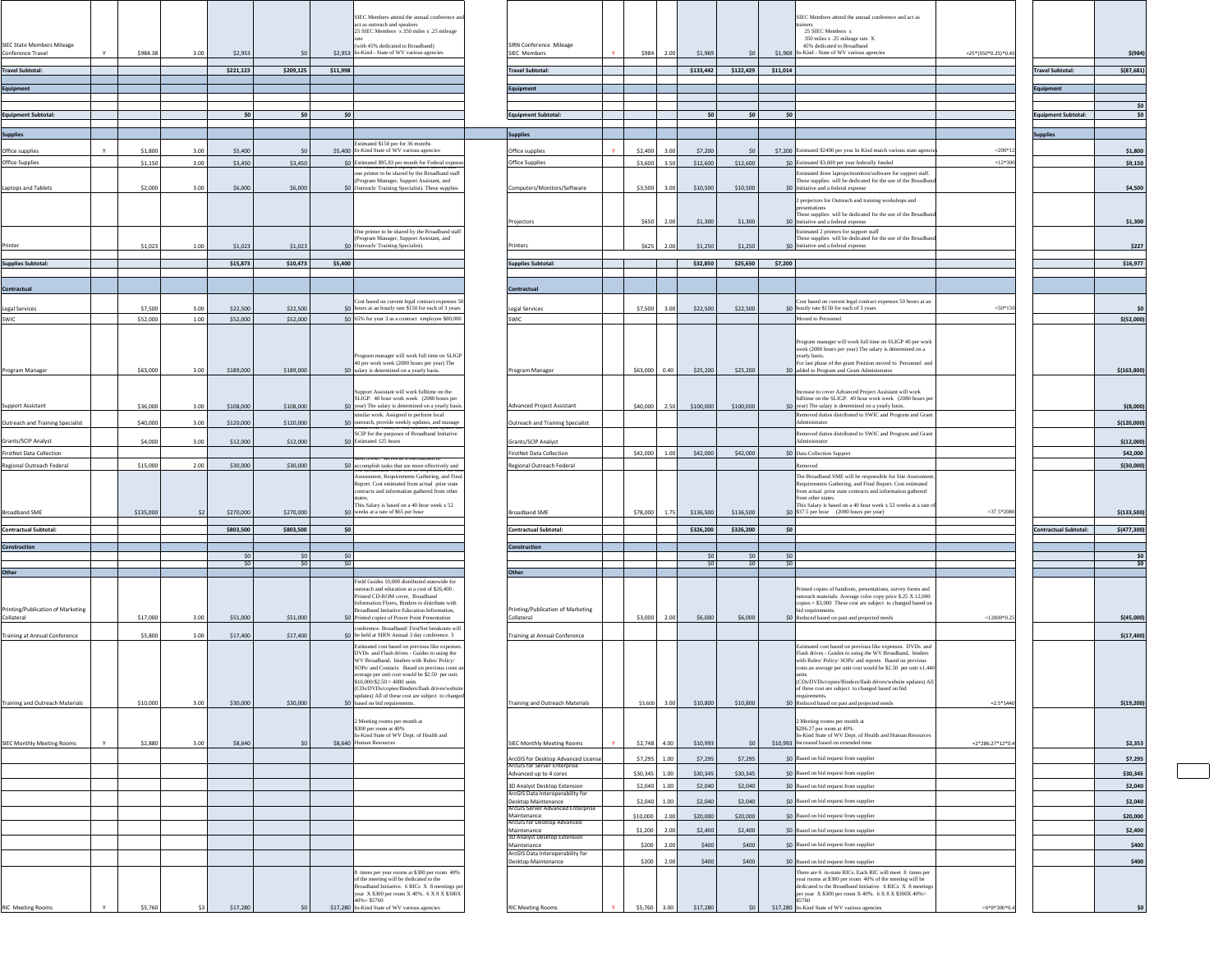|                                                        |   |           |      |           |                |          | SIEC Members attend the annual conference an<br>act as outreach and speakers<br>25 SIEC Members x 350 miles x .25 mileage |                                                                  |
|--------------------------------------------------------|---|-----------|------|-----------|----------------|----------|---------------------------------------------------------------------------------------------------------------------------|------------------------------------------------------------------|
| <b>SIEC State Members Mileage</b><br>Conference Travel | Y | \$984.38  | 3.00 | \$2,953   | \$0            |          | rate<br>(with 45% dedicated to Broadband)<br>\$2,953 In-Kind - State of WV various agencies                               | SIRN Conference Mileage<br>SIEC Members                          |
| <b>Travel Subtotal:</b>                                |   |           |      |           | \$209,125      |          |                                                                                                                           | <b>Travel Subtotal:</b>                                          |
|                                                        |   |           |      | \$221,123 |                | \$11,998 |                                                                                                                           |                                                                  |
| Equipment                                              |   |           |      |           |                |          |                                                                                                                           | <b>Equipment</b>                                                 |
|                                                        |   |           |      |           |                |          |                                                                                                                           |                                                                  |
| <b>Equipment Subtotal:</b>                             |   |           |      | \$0       | \$0            | \$0      |                                                                                                                           | <b>Equipment Subtotal:</b>                                       |
|                                                        |   |           |      |           |                |          |                                                                                                                           |                                                                  |
| <b>Supplies</b>                                        |   |           |      |           |                |          | Estimated \$150 per for 36 months                                                                                         | <b>Supplies</b>                                                  |
| Office supplies                                        | Y | \$1,800   | 3.00 | \$5,400   | \$0            |          | \$5,400 In-Kind State of WV various agencies                                                                              | Office supplies                                                  |
| Office Supplies                                        |   | \$1,150   | 3.00 | \$3,450   | \$3,450        |          | \$0 Estimated \$95.83 per month for Federal expense                                                                       | Office Supplies                                                  |
|                                                        |   |           |      |           |                |          | one printer to be shared by the Broadband staff                                                                           |                                                                  |
| Laptops and Tablets                                    |   | \$2,000   | 3.00 | \$6,000   | \$6,000        |          | (Program Manager, Support Assistant, and<br>\$0 Outreach/ Training Specialist). These supplies                            | Computers/Monitors/Software                                      |
|                                                        |   |           |      |           |                |          |                                                                                                                           |                                                                  |
|                                                        |   |           |      |           |                |          |                                                                                                                           |                                                                  |
|                                                        |   |           |      |           |                |          |                                                                                                                           | Projectors                                                       |
|                                                        |   |           |      |           |                |          | One printer to be shared by the Broadband staff<br>(Program Manager, Support Assistant, and                               |                                                                  |
| Printer                                                |   | \$1.023   | 1.00 | \$1,023   | \$1,023        |          | \$0 Outreach/ Training Specialist).                                                                                       | Printers                                                         |
| <b>Supplies Subtotal:</b>                              |   |           |      | \$15,873  | \$10,473       | \$5,400  |                                                                                                                           | <b>Supplies Subtotal:</b>                                        |
|                                                        |   |           |      |           |                |          |                                                                                                                           |                                                                  |
|                                                        |   |           |      |           |                |          |                                                                                                                           |                                                                  |
| Contractual                                            |   |           |      |           |                |          |                                                                                                                           | Contractual                                                      |
| <b>Legal Services</b>                                  |   | \$7,500   | 3.00 | \$22,500  | \$22,500       |          | Cost based on current legal contract expenses 5<br>\$0 hours at an hourly rate \$150 for each of 3 years                  | <b>Legal Services</b>                                            |
| SWIC                                                   |   | \$52,000  | 1.00 | \$52,000  | \$52,000       |          | \$0 65% for year 3 as a contract employee \$80,000                                                                        | SWIC                                                             |
|                                                        |   |           |      |           |                |          |                                                                                                                           |                                                                  |
|                                                        |   |           |      |           |                |          |                                                                                                                           |                                                                  |
|                                                        |   |           |      |           |                |          | Program manager will work full time on SLIGP                                                                              |                                                                  |
| Program Manager                                        |   | \$63,000  | 3.00 | \$189,000 | \$189,000      |          | 40 per work week (2080 hours per year) The<br>\$0 salary is determined on a yearly basis.                                 |                                                                  |
|                                                        |   |           |      |           |                |          |                                                                                                                           | Program Manager                                                  |
|                                                        |   |           |      |           |                |          | Support Assistant will work fulltime on the                                                                               |                                                                  |
|                                                        |   |           |      |           |                |          | SLIGP. 40 hour work week (2080 hours per<br>\$0 year) The salary is determined on a yearly basis                          |                                                                  |
| Support Assistant                                      |   | \$36,000  | 3.00 | \$108,000 | \$108,000      |          | similar work. Assigned to perform local                                                                                   | <b>Advanced Project Assistant</b>                                |
| <b>Outreach and Training Specialist</b>                |   | \$40,000  | 3.00 | \$120,000 | \$120,000      |          | \$0 outreach, provide weekly updates, and manage                                                                          | <b>Outreach and Training Specialist</b>                          |
| Grants/SCIP Analyst                                    |   |           | 3.00 |           |                |          | SCIP for the purposes of Broadband Initiative<br>\$0 Estimated 125 hours                                                  | Grants/SCIP Analyst                                              |
|                                                        |   | \$4,000   |      | \$12,000  | \$12,000       |          |                                                                                                                           |                                                                  |
| <b>FirstNet Data Collection</b>                        |   |           |      |           |                |          |                                                                                                                           | <b>FirstNet Data Collection</b>                                  |
| Regional Outreach Federal                              |   | \$15,000  | 2.00 | \$30,000  | \$30,000       |          | \$0 accomplish tasks that are more effectively and<br>Assessment, Requirements Gathering, and Final                       | Regional Outreach Federal                                        |
|                                                        |   |           |      |           |                |          | Report. Cost estimated from actual prior state                                                                            |                                                                  |
|                                                        |   |           |      |           |                |          | contracts and information gathered from other<br>states                                                                   |                                                                  |
|                                                        |   |           |      |           |                |          | This Salary is based on a 40 hour week x 52                                                                               |                                                                  |
| <b>Broadband SME</b>                                   |   | \$135,000 | \$2  | \$270,000 | \$270,000      |          | \$0 weeks at a rate of \$65 per hour                                                                                      | <b>Broadband SME</b>                                             |
| <b>Contractual Subtotal:</b>                           |   |           |      | \$803,500 | \$803,500      | \$0      |                                                                                                                           | Contractual Subtotal:                                            |
| Construction                                           |   |           |      |           |                |          |                                                                                                                           | Construction                                                     |
|                                                        |   |           |      | \$0       | \$0            | \$0      |                                                                                                                           |                                                                  |
|                                                        |   |           |      | \$0       | \$0            | \$0      |                                                                                                                           |                                                                  |
| Other                                                  |   |           |      |           |                |          | Field Guides 10,000 distributed statewide for                                                                             | Other                                                            |
|                                                        |   |           |      |           |                |          | outreach and education at a cost of \$26,400.<br>Printed CD-ROM cover. Broadband                                          |                                                                  |
|                                                        |   |           |      |           |                |          | Information Flvers. Binders to distribute with                                                                            |                                                                  |
| Printing/Publication of Marketing<br>Collateral        |   | \$17,000  | 3.00 | \$51,000  | \$51,000       |          | Broadband Imitative Education Information,<br>\$0 Printed copies of Power Point Presentation                              | Printing/Publication of Marketin<br>Collateral                   |
|                                                        |   |           |      |           |                |          | conference. Broadband/ FirstNet breakouts will                                                                            |                                                                  |
| <b>Training at Annual Conference</b>                   |   | \$5,800   | 3.00 | \$17,400  | \$17,400       |          | \$0 be held at SIRN Annual 3 day conference. 3                                                                            | <b>Training at Annual Conference</b>                             |
|                                                        |   |           |      |           |                |          | Estimated cost based on previous like expenses<br>DVDs and Flash drives - Guides to using the                             |                                                                  |
|                                                        |   |           |      |           |                |          | WV Broadband, binders with Rules/Policy/<br>SOPs/ and Contacts Based on previous costs at                                 |                                                                  |
|                                                        |   |           |      |           |                |          | average per unit cost would be \$2.50 per unit.                                                                           |                                                                  |
|                                                        |   |           |      |           |                |          | $$10,000$ $$2.50 = 4000$ units<br>(CDs/DVDs/copies/Binders/flash drives/website                                           |                                                                  |
|                                                        |   | \$10,000  | 3.00 | \$30,000  | \$30,000       |          | updates) All of these cost are subject to changed<br>\$0 based on bid requirements.                                       |                                                                  |
| <b>Training and Outreach Materials</b>                 |   |           |      |           |                |          |                                                                                                                           | <b>Training and Outreach Materials</b>                           |
|                                                        |   |           |      |           |                |          | 2 Meeting rooms per month at                                                                                              |                                                                  |
|                                                        |   |           |      |           |                |          | \$300 per room at 40%<br>In-Kind State of WV Dept. of Health and                                                          |                                                                  |
| <b>SIEC Monthly Meeting Rooms</b>                      | Y | \$2,880   | 3.00 | \$8,640   | S <sub>0</sub> |          | \$8,640 Human Resources                                                                                                   | SIEC Monthly Meeting Rooms                                       |
|                                                        |   |           |      |           |                |          |                                                                                                                           | ArcGIS for Desktop Advanced Lio                                  |
|                                                        |   |           |      |           |                |          |                                                                                                                           | <b>ArcGIS for Server Enterprise</b><br>Advanced up to 4 cores    |
|                                                        |   |           |      |           |                |          |                                                                                                                           |                                                                  |
|                                                        |   |           |      |           |                |          |                                                                                                                           | 3D Analyst Desktop Extension<br>ArcGIS Data Interoperability for |
|                                                        |   |           |      |           |                |          |                                                                                                                           | <b>Deskton Maintenance</b><br>ArcGIS Server Advanced Enterpr     |
|                                                        |   |           |      |           |                |          |                                                                                                                           | Maintenance                                                      |
|                                                        |   |           |      |           |                |          |                                                                                                                           | ArcGIS for Desktop Advanced<br>Maintenance                       |
|                                                        |   |           |      |           |                |          |                                                                                                                           | 3D Analyst Desktop Extension<br>Maintenance                      |
|                                                        |   |           |      |           |                |          |                                                                                                                           | ArcGIS Data Interoperability for                                 |
|                                                        |   |           |      |           |                |          |                                                                                                                           | Desktop Maintenance                                              |
|                                                        |   |           |      |           |                |          | 8 times per year rooms at \$300 per room 40%<br>of the meeting will be dedicated to the                                   |                                                                  |
|                                                        |   |           |      |           |                |          | Broadband Initiative. 6 RICs X 8 meetings per                                                                             |                                                                  |
|                                                        |   |           |      |           |                |          | year X \$300 per room X 40%. 6 X 8 X \$300X<br>$40% = $5760$                                                              |                                                                  |
| <b>RIC Meeting Rooms</b>                               |   | \$5,760   | \$3  | \$17,280  | \$0            |          | \$17,280 In-Kind State of WV various agencies                                                                             | <b>RIC Meeting Rooms</b>                                         |

| SIEC State Members Mileage<br>Conference Travel | Y | \$984.38  | 3.00           | \$2,953        | \$0       |                 | SIEC Members attend the annual conference an<br>act as outreach and speakers<br>25 SIEC Members x 350 miles x .25 mileage<br>(with 45% dedicated to Broadband)<br>\$2,953 In-Kind - State of WV various agencies                                                                                                                                                                       | SIRN Conference Mileage<br>SIEC Members                                    | \$984         | 2.00         | \$1,969   | \$0                    |            | SIEC Members attend the annual conference and act as<br>25 SIEC Members x<br>350 miles x .25 mileage rate X<br>45% dedicated to Broadband<br>\$1,969 In-Kind - State of WV various agencies                                                                                                                                                                         | $=25*(350*0.25)*0.45$  |                              | \$(984)     |
|-------------------------------------------------|---|-----------|----------------|----------------|-----------|-----------------|----------------------------------------------------------------------------------------------------------------------------------------------------------------------------------------------------------------------------------------------------------------------------------------------------------------------------------------------------------------------------------------|----------------------------------------------------------------------------|---------------|--------------|-----------|------------------------|------------|---------------------------------------------------------------------------------------------------------------------------------------------------------------------------------------------------------------------------------------------------------------------------------------------------------------------------------------------------------------------|------------------------|------------------------------|-------------|
| <b>Travel Subtotal:</b>                         |   |           |                | \$221,123      | \$209,125 | \$11,998        |                                                                                                                                                                                                                                                                                                                                                                                        | <b>Travel Subtotal:</b>                                                    |               |              | \$133,442 | \$122,429              | \$11,014   |                                                                                                                                                                                                                                                                                                                                                                     |                        | <b>Travel Subtotal:</b>      | \$(87, 681) |
|                                                 |   |           |                |                |           |                 |                                                                                                                                                                                                                                                                                                                                                                                        | Equipment                                                                  |               |              |           |                        |            |                                                                                                                                                                                                                                                                                                                                                                     |                        |                              |             |
| Equipment                                       |   |           |                |                |           |                 |                                                                                                                                                                                                                                                                                                                                                                                        |                                                                            |               |              |           |                        |            |                                                                                                                                                                                                                                                                                                                                                                     |                        | Equipment                    |             |
| <b>Equipment Subtotal:</b>                      |   |           |                | \$0            | \$0       | \$0             |                                                                                                                                                                                                                                                                                                                                                                                        | <b>Equipment Subtotal:</b>                                                 |               |              | \$0       | \$0                    | \$0        |                                                                                                                                                                                                                                                                                                                                                                     |                        | Equipment Subtotal:          | \$0<br>\$0  |
|                                                 |   |           |                |                |           |                 |                                                                                                                                                                                                                                                                                                                                                                                        |                                                                            |               |              |           |                        |            |                                                                                                                                                                                                                                                                                                                                                                     |                        |                              |             |
| <b>Supplies</b>                                 |   |           |                |                |           |                 | Estimated \$150 per for 36 months                                                                                                                                                                                                                                                                                                                                                      | <b>Supplies</b>                                                            |               |              |           |                        |            |                                                                                                                                                                                                                                                                                                                                                                     |                        | <b>Supplies</b>              |             |
| Office supplies                                 | Y | \$1,800   | 3.00           | \$5,400        | \$0       |                 | \$5,400 In-Kind State of WV various agencies<br>\$0 Estimated \$95.83 per month for Federal expens                                                                                                                                                                                                                                                                                     | Office supplies                                                            | \$2,400       | 3.00         | \$7,200   | \$0                    |            | \$7,200 Estimated \$2400 per year In Kind match various state agencie<br>SO Estimated \$3,600 per year federally funded                                                                                                                                                                                                                                             | $=200*12$<br>$+12*300$ |                              | \$1,800     |
| Office Supplies                                 |   | \$1,150   | 3.00           | \$3,450        | \$3,450   |                 | one printer to be shared by the Broadband staff                                                                                                                                                                                                                                                                                                                                        | <b>Office Supplies</b>                                                     | \$3,600       | 3.50         | \$12,600  | \$12,600               |            | imated three laptops/monitors/software for support staff.                                                                                                                                                                                                                                                                                                           |                        |                              | \$9,150     |
| Laptops and Tablets                             |   | \$2,000   | 3.00           | \$6,000        | \$6,000   |                 | (Program Manager, Support Assistant, and<br>\$0 Outreach/ Training Specialist). These supplies                                                                                                                                                                                                                                                                                         | Computers/Monitors/Software                                                | \$3,500       | 3.00         | \$10,500  | \$10,500               |            | These supplies will be dedicated for the use of the Broadbane<br>\$0 Initiative and a federal expense                                                                                                                                                                                                                                                               |                        |                              | \$4,500     |
|                                                 |   |           |                |                |           |                 |                                                                                                                                                                                                                                                                                                                                                                                        |                                                                            |               |              |           |                        |            | projectors for Outreach and training workshops and<br>presentations                                                                                                                                                                                                                                                                                                 |                        |                              |             |
|                                                 |   |           |                |                |           |                 |                                                                                                                                                                                                                                                                                                                                                                                        | Projectors                                                                 | \$650         | 2.00         | \$1,300   | \$1,300                |            | These supplies will be dedicated for the use of the Broadbane<br>\$0 Initiative and a federal expense                                                                                                                                                                                                                                                               |                        |                              | \$1,300     |
|                                                 |   |           |                |                |           |                 | One printer to be shared by the Broadband staff                                                                                                                                                                                                                                                                                                                                        |                                                                            |               |              |           |                        |            | timated 2 printers for support staff                                                                                                                                                                                                                                                                                                                                |                        |                              |             |
| Printer                                         |   | \$1,023   | 1.00           | \$1,023        | \$1,023   |                 | (Program Manager, Support Assistant, and<br>\$0 Outreach/Training Specialist).                                                                                                                                                                                                                                                                                                         | Printers                                                                   | \$625         | 2.00         | \$1,250   | \$1,250                |            | These supplies will be dedicated for the use of the Broadbane<br>\$0 Initiative and a federal expense                                                                                                                                                                                                                                                               |                        |                              | \$227       |
| <b>Supplies Subtotal:</b>                       |   |           |                | \$15,873       | \$10,473  | \$5,400         |                                                                                                                                                                                                                                                                                                                                                                                        | <b>Supplies Subtotal:</b>                                                  |               |              | \$32,850  | \$25,650               | \$7,200    |                                                                                                                                                                                                                                                                                                                                                                     |                        |                              | \$16,977    |
|                                                 |   |           |                |                |           |                 |                                                                                                                                                                                                                                                                                                                                                                                        |                                                                            |               |              |           |                        |            |                                                                                                                                                                                                                                                                                                                                                                     |                        |                              |             |
| Contractual                                     |   |           |                |                |           |                 |                                                                                                                                                                                                                                                                                                                                                                                        | Contractual                                                                |               |              |           |                        |            |                                                                                                                                                                                                                                                                                                                                                                     |                        |                              |             |
| Legal Services                                  |   | \$7,500   | 3.00           | \$22,500       | \$22,500  |                 | Cost based on current legal contract expenses 50<br>\$0 hours at an hourly rate \$150 for each of 3 years                                                                                                                                                                                                                                                                              | <b>Legal Services</b>                                                      | \$7,500       | 3.00         | \$22,500  | \$22,500               |            | Cost based on current legal contract expenses 50 hours at an<br>\$0 hourly rate \$150 for each of 3 years                                                                                                                                                                                                                                                           | $=50*150$              |                              | \$0         |
| SWIC                                            |   | \$52,000  | 1.00           | \$52,000       | \$52,000  |                 | \$0 65% for year 3 as a contract employee \$80,000                                                                                                                                                                                                                                                                                                                                     | SWIC                                                                       |               |              |           |                        |            | Moved to Personnel                                                                                                                                                                                                                                                                                                                                                  |                        |                              | \$(52,000)  |
| Program Manager                                 |   | \$63,000  | 3.00           | \$189,000      | \$189,000 |                 | Program manager will work full time on SLIGP<br>40 per work week (2080 hours per year) The<br>\$0 salary is determined on a yearly basis.                                                                                                                                                                                                                                              | Program Manager                                                            | \$63,000 0.40 |              | \$25,200  | \$25,200               |            | Program manager will work full time on SLIGP 40 per work<br>week (2080 hours per year) The salary is determined on a<br>yearly basis.<br>For last phase of the grant Position moved to Personnel and<br>\$0 added to Program and Grant Administrator                                                                                                                |                        |                              | \$(163,800) |
|                                                 |   |           |                |                |           |                 |                                                                                                                                                                                                                                                                                                                                                                                        |                                                                            |               |              |           |                        |            |                                                                                                                                                                                                                                                                                                                                                                     |                        |                              |             |
|                                                 |   |           |                |                |           |                 | Support Assistant will work fulltime on the<br>SLIGP. 40 hour work week (2080 hours per                                                                                                                                                                                                                                                                                                |                                                                            |               |              |           |                        |            | Increase to cover Advanced Project Assistant will work<br>ulltime on the SLIGP. 40 hour work week (2080 hours per                                                                                                                                                                                                                                                   |                        |                              |             |
| <b>Support Assistant</b>                        |   | \$36,000  | 3.00           | \$108,000      | \$108,000 |                 | \$0 year) The salary is determined on a yearly basis.<br>imilar work. Assigned to perform local                                                                                                                                                                                                                                                                                        | <b>Advanced Project Assistant</b>                                          | \$40,000      | 2.50         | \$100,000 | \$100,000              |            | \$0 year) The salary is determined on a yearly basis.<br>noved duties distributed to SWIC and Program and Grant                                                                                                                                                                                                                                                     |                        |                              | \$(8,000)   |
| Outreach and Training Specialist                |   | \$40,000  | 3.00           | \$120,000      | \$120,000 |                 | \$0 outreach, provide weekly updates, and manage<br>шерелг танагум wm-1                                                                                                                                                                                                                                                                                                                | <b>Outreach and Training Specialist</b>                                    |               |              |           |                        |            | Administrator                                                                                                                                                                                                                                                                                                                                                       |                        |                              | \$(120,000) |
| Grants/SCIP Analyst                             |   | \$4,000   | 3.00           | \$12,000       | \$12,000  |                 | SCIP for the purposes of Broadband Initiative<br>\$0 Estimated 125 hours                                                                                                                                                                                                                                                                                                               | Grants/SCIP Analyst                                                        |               |              |           |                        |            | moved duties distributed to SWIC and Program and Grant<br>Administrator                                                                                                                                                                                                                                                                                             |                        |                              | \$(12,000)  |
| FirstNet Data Collection                        |   |           |                |                |           |                 | MACTIVAC serves as a mechanism                                                                                                                                                                                                                                                                                                                                                         | <b>FirstNet Data Collection</b>                                            | \$42,000      | 1.00         | \$42,000  | \$42,000               |            | \$0 Data Collection Support                                                                                                                                                                                                                                                                                                                                         |                        |                              | \$42,000    |
| Regional Outreach Federal                       |   | \$15,000  | 2.00           | \$30,000       | \$30,000  |                 | S0 accomplish tasks that are more effectively and                                                                                                                                                                                                                                                                                                                                      | Regional Outreach Federal                                                  |               |              |           |                        |            | <b>Removed</b>                                                                                                                                                                                                                                                                                                                                                      |                        |                              | \$(30,000)  |
|                                                 |   |           |                |                |           |                 | Assessment, Requirements Gathering, and Final<br>Report. Cost estimated from actual prior state<br>contracts and information gathered from other<br>This Salary is based on a 40 hour week x 52                                                                                                                                                                                        |                                                                            |               |              |           |                        |            | The Broadband SME will be responsible for Site Assessment,<br>Requirements Gathering, and Final Report. Cost estimated<br>from actual prior state contracts and information gathered<br>rom other states<br>This Salary is based on a 40 hour week x 52 weeks at a rate o                                                                                           |                        |                              |             |
| <b>Broadband SME</b>                            |   | \$135,000 | S <sub>2</sub> | \$270,000      | \$270,000 |                 | \$0 weeks at a rate of \$65 per hour                                                                                                                                                                                                                                                                                                                                                   | <b>Broadband SME</b>                                                       | \$78,000      | 1.75         | \$136,500 | \$136,500              |            | \$0 \$37.5 per hour (2080 hours per year)                                                                                                                                                                                                                                                                                                                           | $=37.5*2080$           |                              | \$(133,500) |
| Contractual Subtotal:                           |   |           |                | \$803,500      | \$803,500 | \$0             |                                                                                                                                                                                                                                                                                                                                                                                        | <b>Contractual Subtotal:</b>                                               |               |              | \$326,200 | \$326,200              | \$0        |                                                                                                                                                                                                                                                                                                                                                                     |                        | <b>Contractual Subtotal:</b> | \$(477,300) |
| Construction                                    |   |           |                |                |           |                 |                                                                                                                                                                                                                                                                                                                                                                                        | Construction                                                               |               |              |           |                        |            |                                                                                                                                                                                                                                                                                                                                                                     |                        |                              |             |
|                                                 |   |           |                | SO<br>$\Omega$ | \$0<br>50 | \$0<br>$\Omega$ |                                                                                                                                                                                                                                                                                                                                                                                        |                                                                            |               |              | SO<br>50  | \$0<br>$\overline{50}$ | \$0<br>\$0 |                                                                                                                                                                                                                                                                                                                                                                     |                        |                              | \$0<br>\$0  |
| Other                                           |   |           |                |                |           |                 |                                                                                                                                                                                                                                                                                                                                                                                        | Other                                                                      |               |              |           |                        |            |                                                                                                                                                                                                                                                                                                                                                                     |                        |                              |             |
| Printing/Publication of Marketing<br>Collateral |   | \$17,000  | 3.00           | \$51,000       | \$51,000  |                 | Field Guides 10,000 distributed statewide for<br>outreach and education at a cost of \$26,400.<br>Printed CD-ROM cover. Broadband<br>Information Flyers Binders to distribute with<br>Broadband Imitative Education Information.<br>\$0 Printed copies of Power Point Presentation<br>conference. Broadband/ FirstNet breakouts will                                                   | Printing/Publication of Marketing<br>Collateral                            | \$3,000       | 2.00         | \$6,000   | \$6,000                |            | Printed copies of handouts, presentations, survey forms and<br>outreach materials. Average color copy price \$.25 X 12,000<br>copies = \$3,000 These cost are subject to changed based on<br>\$0 Reduced based on past and projected needs                                                                                                                          | $=12000*0.25$          |                              | \$(45,000)  |
| Training at Annual Conference                   |   | \$5,800   | 3.00           | \$17,400       | \$17,400  |                 | \$0 be held at SIRN Annual 3 day conference. 3                                                                                                                                                                                                                                                                                                                                         | Training at Annual Conference                                              |               |              |           |                        |            |                                                                                                                                                                                                                                                                                                                                                                     |                        |                              | \$(17, 400) |
|                                                 |   |           |                |                |           |                 | Estimated cost based on previous like expenses<br>DVDs and Flash drives - Guides to using the<br>WV Broadband, binders with Rules/ Policy/<br>SOPs/ and Contacts Based on previous costs an<br>average per unit cost would be \$2.50 per unit.<br>$$10,000$ /\$2.50 = 4000 units<br>(CDs/DVDs/copies/Binders/flash drives/website<br>updates) All of these cost are subject to changed |                                                                            |               |              |           |                        |            | stimated cost based on previous like expenses. DVDs and<br>Flash drives - Guides to using the WV Broadband, binders<br>with Rules/ Policy/ SOPs/ and reports Based on previous<br>costs an average per unit cost would be \$2.50 per unit x1,440<br>(CDs/DVDs/copies/Binders/flash drives/website updates) All<br>of these cost are subject to changed based on bid |                        |                              |             |
| <b>Training and Outreach Materials</b>          |   | \$10,000  | 3.00           | \$30,000       | \$30,000  |                 | \$0 based on bid requirements.                                                                                                                                                                                                                                                                                                                                                         | <b>Training and Outreach Materials</b>                                     |               | \$3,600 3.00 | \$10,800  | \$10,800               |            | \$0 Reduced based on past and projected needs                                                                                                                                                                                                                                                                                                                       | $= 2.5 * 1440$         |                              | \$(19, 200) |
| <b>SIEC Monthly Meeting Rooms</b>               | Y | \$2,880   | 3.00           | \$8,640        | SO        |                 | Meeting rooms per month at<br>\$300 per room at 40%<br>In-Kind State of WV Dept. of Health and<br>\$8,640 Human Resources                                                                                                                                                                                                                                                              | <b>SIEC Monthly Meeting Rooms</b>                                          | \$2,748       | 4.00         | \$10,993  | SO                     |            | 2 Meeting rooms per month at<br>\$286.27 per room at 40%<br>In-Kind State of WV Dept. of Health and Human Resources<br>\$10,993 Increased based on extended time                                                                                                                                                                                                    | $=2*286.27*12*0.4$     |                              | \$2,353     |
|                                                 |   |           |                |                |           |                 |                                                                                                                                                                                                                                                                                                                                                                                        | ArcGIS for Desktop Advanced License<br><b>ArcGIS for Server Enterprise</b> | \$7,295       | 1.00         | \$7,295   | \$7,295                |            | \$0 Based on bid request from supplier                                                                                                                                                                                                                                                                                                                              |                        |                              | \$7,295     |
|                                                 |   |           |                |                |           |                 |                                                                                                                                                                                                                                                                                                                                                                                        | Advanced up to 4 cores                                                     | \$30,345      | 1.00         | \$30,345  | \$30,345               |            | \$0 Based on bid request from supplier                                                                                                                                                                                                                                                                                                                              |                        |                              | \$30,345    |
|                                                 |   |           |                |                |           |                 |                                                                                                                                                                                                                                                                                                                                                                                        | 3D Analyst Desktop Extension<br>ArcGIS Data Interoperability for           | \$2,040       | $1.00\,$     | \$2,040   | \$2,040                |            | \$0 Based on bid request from supplier                                                                                                                                                                                                                                                                                                                              |                        |                              | \$2,040     |
|                                                 |   |           |                |                |           |                 |                                                                                                                                                                                                                                                                                                                                                                                        | Desktop Maintenance<br>ArcGIS Server Advanced Enterprise                   | \$2,040       | 1.00         | \$2,040   | \$2,040                |            | \$0 Based on bid request from supplier                                                                                                                                                                                                                                                                                                                              |                        |                              | \$2,040     |
|                                                 |   |           |                |                |           |                 |                                                                                                                                                                                                                                                                                                                                                                                        | Maintenance<br>ArcGIS for Desktop Advanced                                 | \$10,000      | 2.00         | \$20,000  | \$20,000               |            | \$0 Based on bid request from supplier                                                                                                                                                                                                                                                                                                                              |                        |                              | \$20,000    |
|                                                 |   |           |                |                |           |                 |                                                                                                                                                                                                                                                                                                                                                                                        | Maintenance<br>3D Analyst Desktop Extension                                | \$1,200       | 2.00         | \$2,400   | \$2,400                |            | \$0 Based on bid request from supplier                                                                                                                                                                                                                                                                                                                              |                        |                              | \$2,400     |
|                                                 |   |           |                |                |           |                 |                                                                                                                                                                                                                                                                                                                                                                                        | Maintenance<br>ArcGIS Data Interoperability for                            | \$200         | 2.00         | \$400     | \$400                  |            | \$0 Based on bid request from supplier                                                                                                                                                                                                                                                                                                                              |                        |                              | \$400       |
|                                                 |   |           |                |                |           |                 |                                                                                                                                                                                                                                                                                                                                                                                        | Desktop Maintenance                                                        | \$200         | 2.00         | \$400     | \$400                  |            | \$0 Based on bid request from supplier                                                                                                                                                                                                                                                                                                                              |                        |                              | \$400       |
| RIC Meeting Rooms                               |   | \$5,760   | \$3            | \$17,280       | \$0       |                 | 3 times per year rooms at \$300 per room 40%<br>of the meeting will be dedicated to the<br>Broadband Initiative. 6 RICs X 8 meetings per<br>year X \$300 per room X 40%. 6 X 8 X \$300X<br>$40% = $5760$<br>\$17,280 In-Kind State of WV various agencies                                                                                                                              | <b>RIC Meeting Rooms</b>                                                   | \$5,760 3.00  |              | \$17,280  | \$0                    |            | There are 6 in-state RICs. Each RIC will meet 8 times per<br>ear rooms at \$300 per room 40% of the meeting will be<br>dedicated to the Broadband Initiative. 6 RICs X 8 meetings<br>per year X \$300 per room X 40%. 6 X 8 X \$300X 40%=<br>\$5760<br>\$17,280 In-Kind State of WV various agencies                                                                | $=6*8*300*0.4$         |                              | \$0         |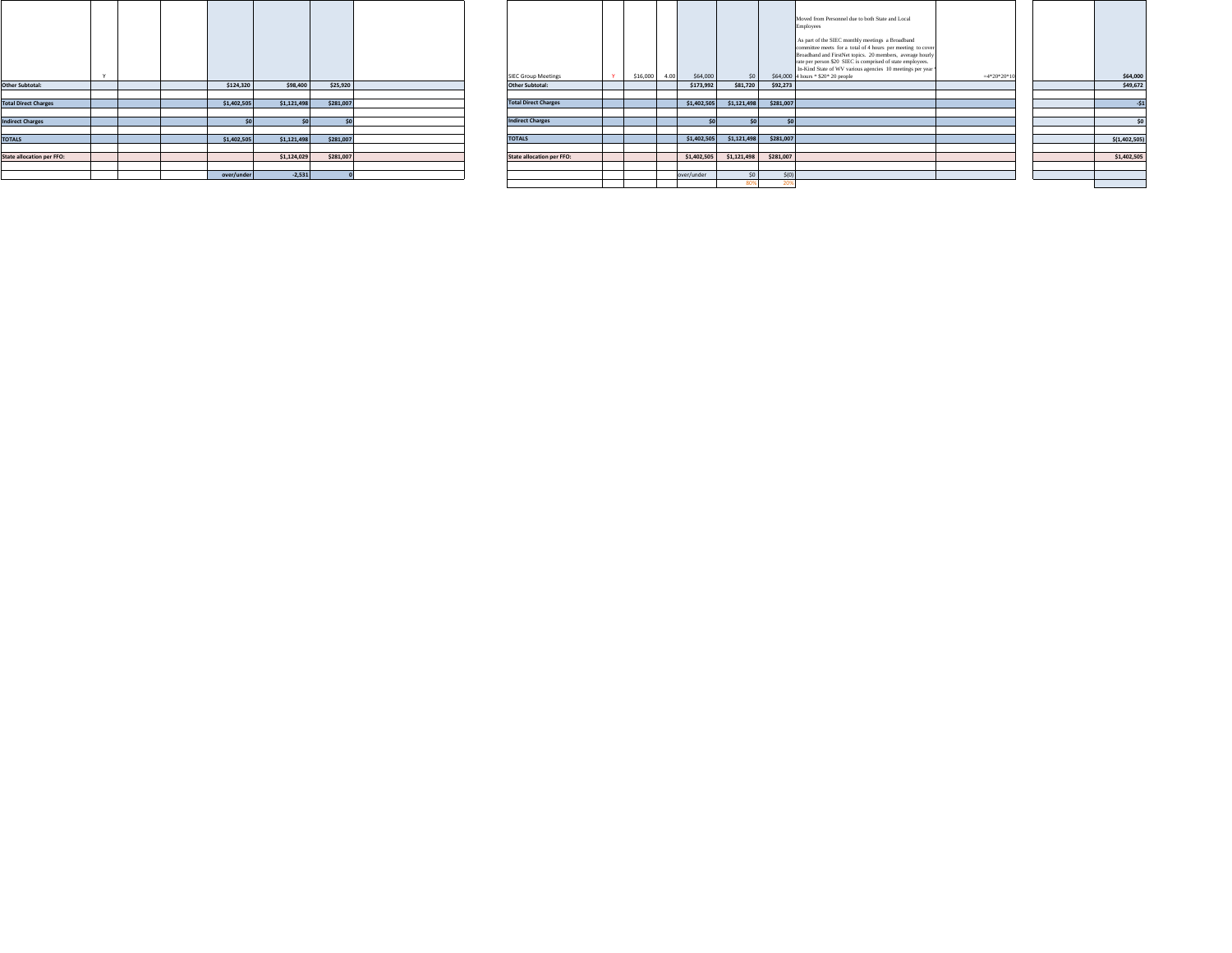|                                  | $\ddot{\phantom{a}}$ |  |             |             |           |  | <b>SIEC Group Meetings</b>       | \$16,000 | 4.00 | \$64,000    | \$0         | \$64,000     |
|----------------------------------|----------------------|--|-------------|-------------|-----------|--|----------------------------------|----------|------|-------------|-------------|--------------|
| <b>Other Subtotal:</b>           |                      |  | \$124,320   | \$98,400    | \$25,920  |  | <b>Other Subtotal:</b>           |          |      | \$173,992   | \$81,720    | \$92,273     |
|                                  |                      |  |             |             |           |  |                                  |          |      |             |             |              |
| <b>Total Direct Charges</b>      |                      |  | \$1,402,505 | \$1,121,498 | \$281,007 |  | <b>Total Direct Charges</b>      |          |      | \$1,402,505 | \$1,121,498 | \$281,00     |
|                                  |                      |  |             |             |           |  |                                  |          |      |             |             |              |
| <b>Indirect Charges</b>          |                      |  | \$0         | \$0         | \$0       |  | <b>Indirect Charges</b>          |          |      | \$0         | \$0         | $\mathsf{S}$ |
|                                  |                      |  |             |             |           |  |                                  |          |      |             |             |              |
| <b>TOTALS</b>                    |                      |  | \$1,402,505 | \$1,121,498 | \$281,007 |  | <b>TOTALS</b>                    |          |      | \$1,402,505 | \$1,121,498 | \$281,00     |
|                                  |                      |  |             |             |           |  |                                  |          |      |             |             |              |
| <b>State allocation per FFO:</b> |                      |  |             | \$1,124,029 | \$281,007 |  | <b>State allocation per FFO:</b> |          |      | \$1,402,505 | \$1,121,498 | \$281,007    |
|                                  |                      |  |             |             |           |  |                                  |          |      |             |             |              |
|                                  |                      |  | over/under  | $-2,531$    |           |  |                                  |          |      | over/under  | \$0         | $$$ (0       |
|                                  |                      |  |             |             |           |  |                                  |          |      |             | 000         | 20           |

|                       |  |             |             |           |  |                                  |                |             |             |           | Moved from Personnel due to both State and Local<br>Employees<br>As part of the SIEC monthly meetings a Broadband<br>committee meets for a total of 4 hours per meeting to cover<br>Broadband and FirstNet topics. 20 members, average hourly |               |  |               |
|-----------------------|--|-------------|-------------|-----------|--|----------------------------------|----------------|-------------|-------------|-----------|-----------------------------------------------------------------------------------------------------------------------------------------------------------------------------------------------------------------------------------------------|---------------|--|---------------|
|                       |  |             |             |           |  |                                  |                |             |             |           | rate per person \$20 SIEC is comprised of state employees.<br>In-Kind State of WV various agencies 10 meetings per year *                                                                                                                     |               |  |               |
|                       |  |             |             |           |  | <b>SIEC Group Meetings</b>       | $$16,000$ 4.00 | \$64,000    | \$0         |           | \$64,000 4 hours * \$20* 20 people                                                                                                                                                                                                            | $=4*20*20*10$ |  | \$64,000      |
| r Subtotal:           |  | \$124,320   | \$98,400    | \$25,920  |  | <b>Other Subtotal:</b>           |                | \$173,992   | \$81,720    | \$92,273  |                                                                                                                                                                                                                                               |               |  | \$49,672      |
|                       |  |             |             |           |  |                                  |                |             |             |           |                                                                                                                                                                                                                                               |               |  |               |
| <b>Direct Charges</b> |  | \$1,402,505 | \$1,121,498 | \$281,007 |  | <b>Total Direct Charges</b>      |                | \$1,402,505 | \$1,121,498 | \$281,007 |                                                                                                                                                                                                                                               |               |  | $-51$         |
|                       |  |             |             |           |  |                                  |                |             |             |           |                                                                                                                                                                                                                                               |               |  |               |
| ect Charges           |  |             |             |           |  | <b>Indirect Charges</b>          |                |             | sol         |           |                                                                                                                                                                                                                                               |               |  | \$0           |
|                       |  |             |             |           |  |                                  |                |             |             |           |                                                                                                                                                                                                                                               |               |  |               |
|                       |  | \$1,402,505 | \$1,121,498 | \$281,007 |  | <b>TOTALS</b>                    |                | \$1,402,505 | \$1,121,498 | \$281,007 |                                                                                                                                                                                                                                               |               |  | \$(1,402,505) |
|                       |  |             |             |           |  |                                  |                |             |             |           |                                                                                                                                                                                                                                               |               |  |               |
| allocation per FFO:   |  |             | \$1,124,029 | \$281,007 |  | <b>State allocation per FFO:</b> |                | \$1,402,505 | \$1,121,498 | \$281,007 |                                                                                                                                                                                                                                               |               |  | \$1,402,505   |
|                       |  |             |             |           |  |                                  |                |             |             |           |                                                                                                                                                                                                                                               |               |  |               |
|                       |  | over/under  | $-2,531$    |           |  |                                  |                | over/under  | \$0         | \$(0)     |                                                                                                                                                                                                                                               |               |  |               |
|                       |  |             |             |           |  |                                  |                |             |             |           |                                                                                                                                                                                                                                               |               |  |               |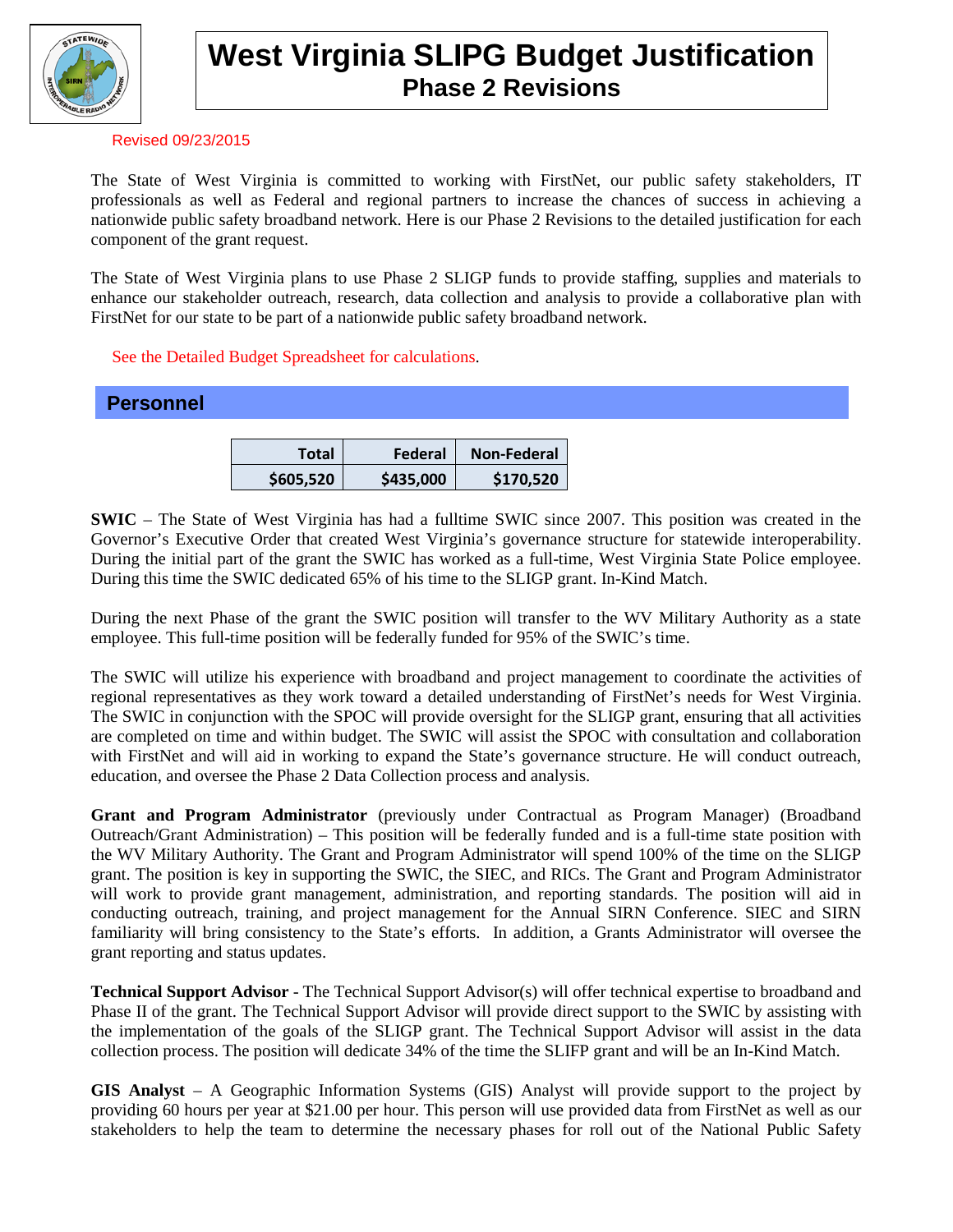

# **West Virginia SLIPG Budget Justification Phase 2 Revisions**

#### Revised 09/23/2015

The State of West Virginia is committed to working with FirstNet, our public safety stakeholders, IT professionals as well as Federal and regional partners to increase the chances of success in achieving a nationwide public safety broadband network. Here is our Phase 2 Revisions to the detailed justification for each component of the grant request.

The State of West Virginia plans to use Phase 2 SLIGP funds to provide staffing, supplies and materials to enhance our stakeholder outreach, research, data collection and analysis to provide a collaborative plan with FirstNet for our state to be part of a nationwide public safety broadband network.

### See the Detailed Budget Spreadsheet for calculations.

| <b>Personnel</b> |           |           |             |
|------------------|-----------|-----------|-------------|
|                  |           |           |             |
|                  | Total     | Federal   | Non-Federal |
|                  | \$605,520 | \$435,000 | \$170,520   |

**SWIC** – The State of West Virginia has had a fulltime SWIC since 2007. This position was created in the Governor's Executive Order that created West Virginia's governance structure for statewide interoperability. During the initial part of the grant the SWIC has worked as a full-time, West Virginia State Police employee. During this time the SWIC dedicated 65% of his time to the SLIGP grant. In-Kind Match.

During the next Phase of the grant the SWIC position will transfer to the WV Military Authority as a state employee. This full-time position will be federally funded for 95% of the SWIC's time.

The SWIC will utilize his experience with broadband and project management to coordinate the activities of regional representatives as they work toward a detailed understanding of FirstNet's needs for West Virginia. The SWIC in conjunction with the SPOC will provide oversight for the SLIGP grant, ensuring that all activities are completed on time and within budget. The SWIC will assist the SPOC with consultation and collaboration with FirstNet and will aid in working to expand the State's governance structure. He will conduct outreach, education, and oversee the Phase 2 Data Collection process and analysis.

**Grant and Program Administrator** (previously under Contractual as Program Manager) (Broadband Outreach/Grant Administration) – This position will be federally funded and is a full-time state position with the WV Military Authority. The Grant and Program Administrator will spend 100% of the time on the SLIGP grant. The position is key in supporting the SWIC, the SIEC, and RICs. The Grant and Program Administrator will work to provide grant management, administration, and reporting standards. The position will aid in conducting outreach, training, and project management for the Annual SIRN Conference. SIEC and SIRN familiarity will bring consistency to the State's efforts. In addition, a Grants Administrator will oversee the grant reporting and status updates.

**Technical Support Advisor** - The Technical Support Advisor(s) will offer technical expertise to broadband and Phase II of the grant. The Technical Support Advisor will provide direct support to the SWIC by assisting with the implementation of the goals of the SLIGP grant. The Technical Support Advisor will assist in the data collection process. The position will dedicate 34% of the time the SLIFP grant and will be an In-Kind Match.

**GIS Analyst** – A Geographic Information Systems (GIS) Analyst will provide support to the project by providing 60 hours per year at \$21.00 per hour. This person will use provided data from FirstNet as well as our stakeholders to help the team to determine the necessary phases for roll out of the National Public Safety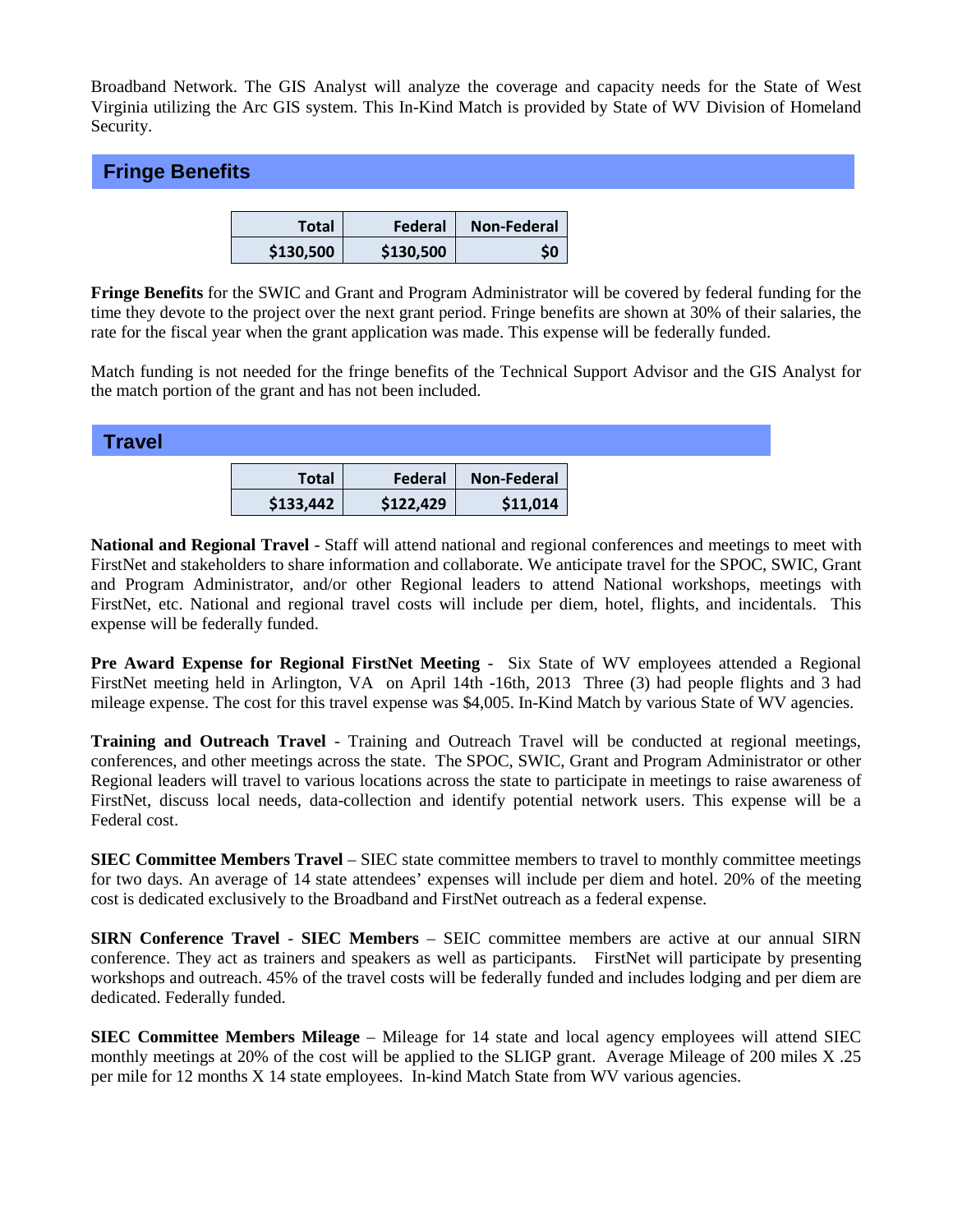Broadband Network. The GIS Analyst will analyze the coverage and capacity needs for the State of West Virginia utilizing the Arc GIS system. This In-Kind Match is provided by State of WV Division of Homeland Security.

## **Fringe Benefits**

| Total     | Federal   | <b>Non-Federal</b> |
|-----------|-----------|--------------------|
| \$130,500 | \$130,500 |                    |

**Fringe Benefits** for the SWIC and Grant and Program Administrator will be covered by federal funding for the time they devote to the project over the next grant period. Fringe benefits are shown at 30% of their salaries, the rate for the fiscal year when the grant application was made. This expense will be federally funded.

Match funding is not needed for the fringe benefits of the Technical Support Advisor and the GIS Analyst for the match portion of the grant and has not been included.

| <b>Travel</b> |              |           |                    |
|---------------|--------------|-----------|--------------------|
|               | <b>Total</b> | Federal   | <b>Non-Federal</b> |
|               | \$133,442    | \$122,429 | \$11,014           |

**National and Regional Travel** - Staff will attend national and regional conferences and meetings to meet with FirstNet and stakeholders to share information and collaborate. We anticipate travel for the SPOC, SWIC, Grant and Program Administrator, and/or other Regional leaders to attend National workshops, meetings with FirstNet, etc. National and regional travel costs will include per diem, hotel, flights, and incidentals. This expense will be federally funded.

**Pre Award Expense for Regional FirstNet Meeting - Six State of WV employees attended a Regional** FirstNet meeting held in Arlington, VA on April 14th -16th, 2013 Three (3) had people flights and 3 had mileage expense. The cost for this travel expense was \$4,005. In-Kind Match by various State of WV agencies.

**Training and Outreach Travel** - Training and Outreach Travel will be conducted at regional meetings, conferences, and other meetings across the state. The SPOC, SWIC, Grant and Program Administrator or other Regional leaders will travel to various locations across the state to participate in meetings to raise awareness of FirstNet, discuss local needs, data-collection and identify potential network users. This expense will be a Federal cost.

**SIEC Committee Members Travel** – SIEC state committee members to travel to monthly committee meetings for two days. An average of 14 state attendees' expenses will include per diem and hotel. 20% of the meeting cost is dedicated exclusively to the Broadband and FirstNet outreach as a federal expense.

**SIRN Conference Travel** - **SIEC Members** – SEIC committee members are active at our annual SIRN conference. They act as trainers and speakers as well as participants. FirstNet will participate by presenting workshops and outreach. 45% of the travel costs will be federally funded and includes lodging and per diem are dedicated. Federally funded.

**SIEC Committee Members Mileage** – Mileage for 14 state and local agency employees will attend SIEC monthly meetings at 20% of the cost will be applied to the SLIGP grant. Average Mileage of 200 miles X .25 per mile for 12 months X 14 state employees. In-kind Match State from WV various agencies.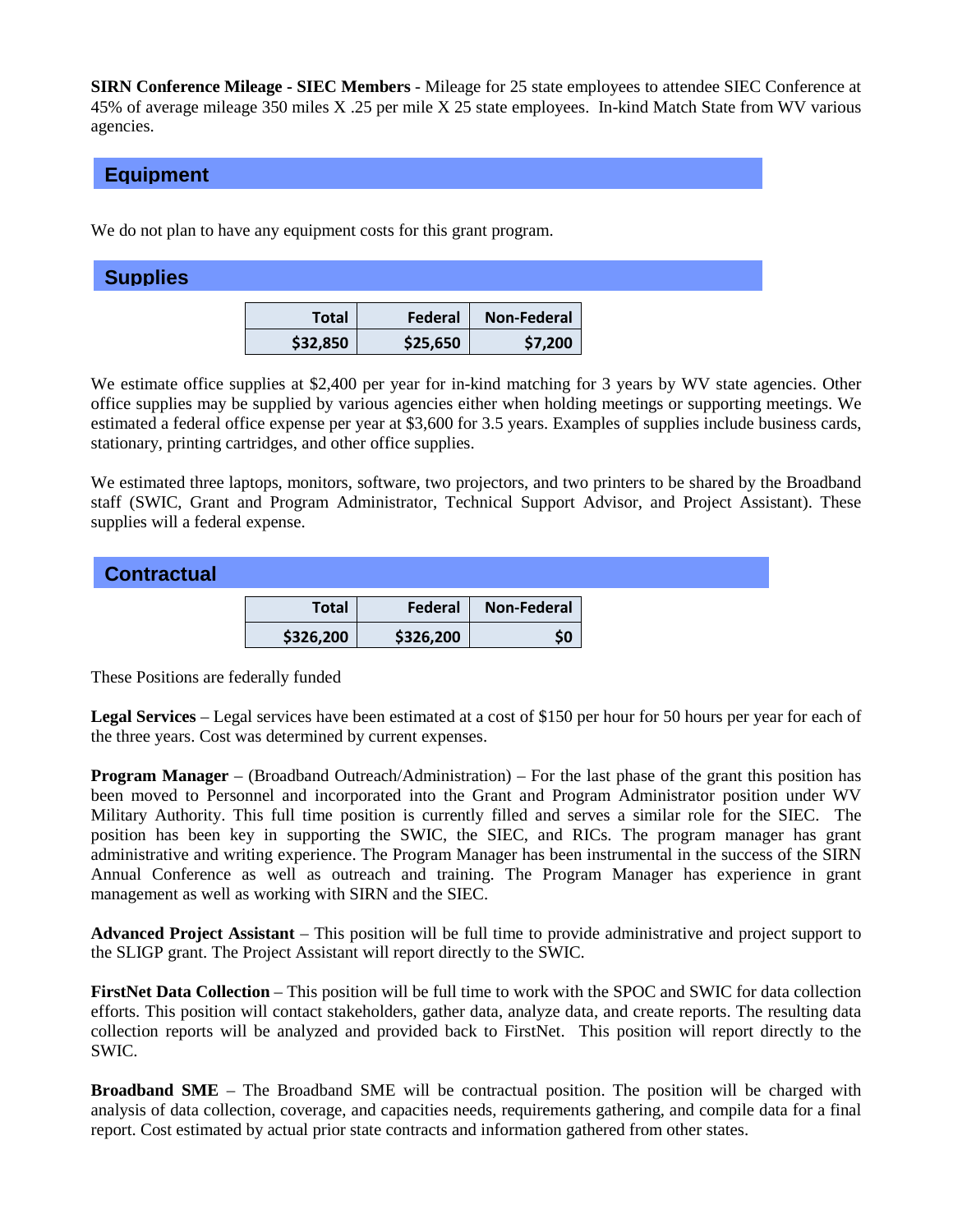**SIRN Conference Mileage - SIEC Members** - Mileage for 25 state employees to attendee SIEC Conference at 45% of average mileage 350 miles X .25 per mile X 25 state employees. In-kind Match State from WV various agencies.

### **Equipment**

We do not plan to have any equipment costs for this grant program.

### **Supplies**

| Total    | Federal  | <b>Non-Federal</b> |
|----------|----------|--------------------|
| \$32,850 | \$25,650 | \$7,200            |

We estimate office supplies at \$2,400 per year for in-kind matching for 3 years by WV state agencies. Other office supplies may be supplied by various agencies either when holding meetings or supporting meetings. We estimated a federal office expense per year at \$3,600 for 3.5 years. Examples of supplies include business cards, stationary, printing cartridges, and other office supplies.

We estimated three laptops, monitors, software, two projectors, and two printers to be shared by the Broadband staff (SWIC, Grant and Program Administrator, Technical Support Advisor, and Project Assistant). These supplies will a federal expense.

| <b>Contractual</b> |              |           |             |
|--------------------|--------------|-----------|-------------|
|                    | <b>Total</b> | Federal   | Non-Federal |
|                    | \$326,200    | \$326,200 | \$0         |

These Positions are federally funded

**Legal Services** – Legal services have been estimated at a cost of \$150 per hour for 50 hours per year for each of the three years. Cost was determined by current expenses.

**Program Manager** – (Broadband Outreach/Administration) – For the last phase of the grant this position has been moved to Personnel and incorporated into the Grant and Program Administrator position under WV Military Authority. This full time position is currently filled and serves a similar role for the SIEC. The position has been key in supporting the SWIC, the SIEC, and RICs. The program manager has grant administrative and writing experience. The Program Manager has been instrumental in the success of the SIRN Annual Conference as well as outreach and training. The Program Manager has experience in grant management as well as working with SIRN and the SIEC.

**Advanced Project Assistant** – This position will be full time to provide administrative and project support to the SLIGP grant. The Project Assistant will report directly to the SWIC.

**FirstNet Data Collection** – This position will be full time to work with the SPOC and SWIC for data collection efforts. This position will contact stakeholders, gather data, analyze data, and create reports. The resulting data collection reports will be analyzed and provided back to FirstNet. This position will report directly to the SWIC.

**Broadband SME** – The Broadband SME will be contractual position. The position will be charged with analysis of data collection, coverage, and capacities needs, requirements gathering, and compile data for a final report. Cost estimated by actual prior state contracts and information gathered from other states.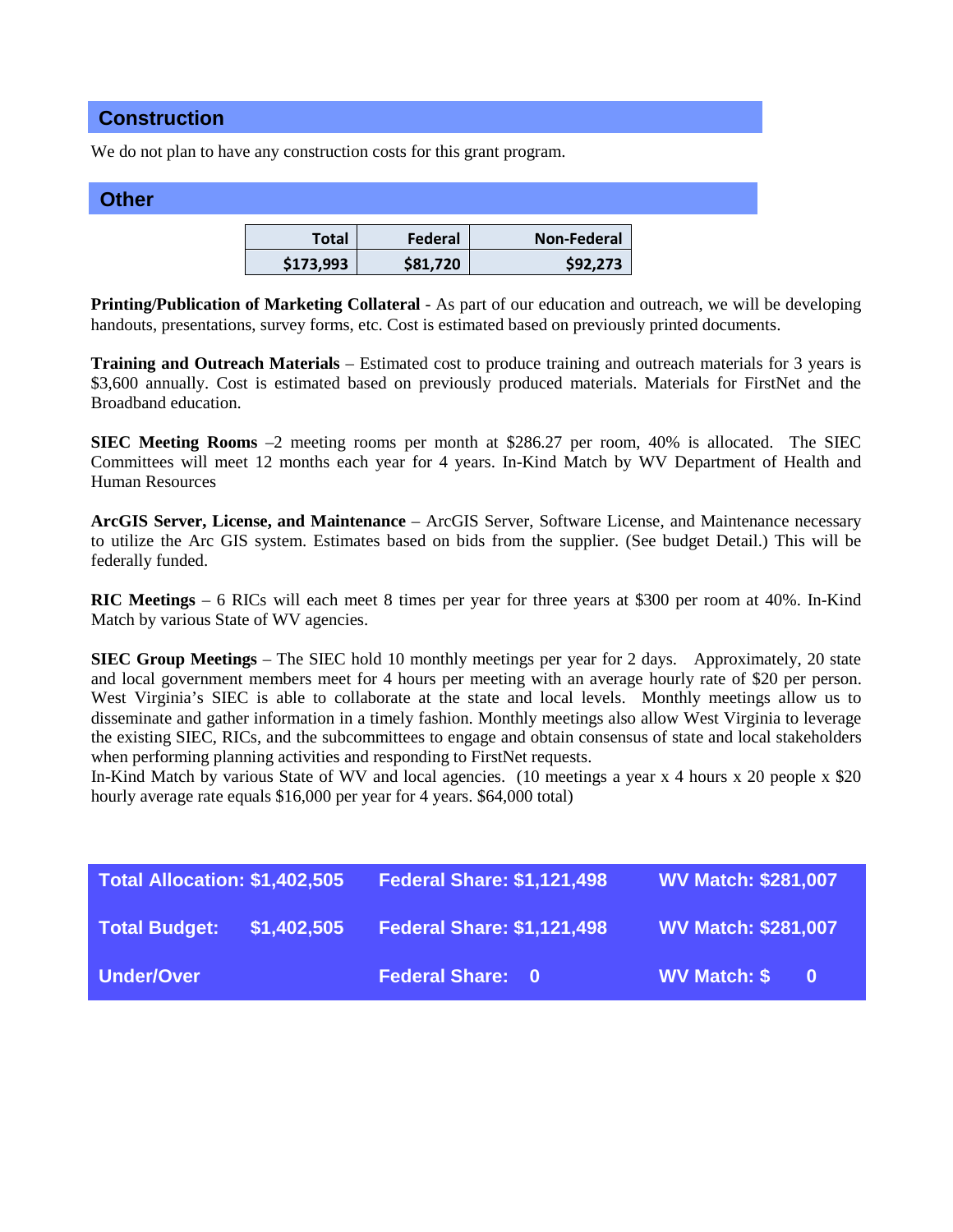## **Construction**

We do not plan to have any construction costs for this grant program.

### **Other**

| Total     | Federal  | <b>Non-Federal</b> |
|-----------|----------|--------------------|
| \$173,993 | \$81,720 | \$92,273           |

**Printing/Publication of Marketing Collateral** - As part of our education and outreach, we will be developing handouts, presentations, survey forms, etc. Cost is estimated based on previously printed documents.

**Training and Outreach Materials** – Estimated cost to produce training and outreach materials for 3 years is \$3,600 annually. Cost is estimated based on previously produced materials. Materials for FirstNet and the Broadband education.

**SIEC Meeting Rooms** –2 meeting rooms per month at \$286.27 per room, 40% is allocated. The SIEC Committees will meet 12 months each year for 4 years. In-Kind Match by WV Department of Health and Human Resources

**ArcGIS Server, License, and Maintenance** – ArcGIS Server, Software License, and Maintenance necessary to utilize the Arc GIS system. Estimates based on bids from the supplier. (See budget Detail.) This will be federally funded.

**RIC Meetings** – 6 RICs will each meet 8 times per year for three years at \$300 per room at 40%. In-Kind Match by various State of WV agencies.

**SIEC Group Meetings** – The SIEC hold 10 monthly meetings per year for 2 days. Approximately, 20 state and local government members meet for 4 hours per meeting with an average hourly rate of \$20 per person. West Virginia's SIEC is able to collaborate at the state and local levels. Monthly meetings allow us to disseminate and gather information in a timely fashion. Monthly meetings also allow West Virginia to leverage the existing SIEC, RICs, and the subcommittees to engage and obtain consensus of state and local stakeholders when performing planning activities and responding to FirstNet requests.

In-Kind Match by various State of WV and local agencies. (10 meetings a year x 4 hours x 20 people x \$20 hourly average rate equals \$16,000 per year for 4 years. \$64,000 total)

| <b>Total Allocation: \$1,402,505</b> |             | <b>Federal Share: \$1,121,498</b> | <b>WV Match: \$281,007</b> |
|--------------------------------------|-------------|-----------------------------------|----------------------------|
| <b>Total Budget:</b>                 | \$1,402,505 | <b>Federal Share: \$1,121,498</b> | <b>WV Match: \$281,007</b> |
| Under/Over                           |             | <b>Federal Share: 0</b>           | WV Match: \$<br>- 0        |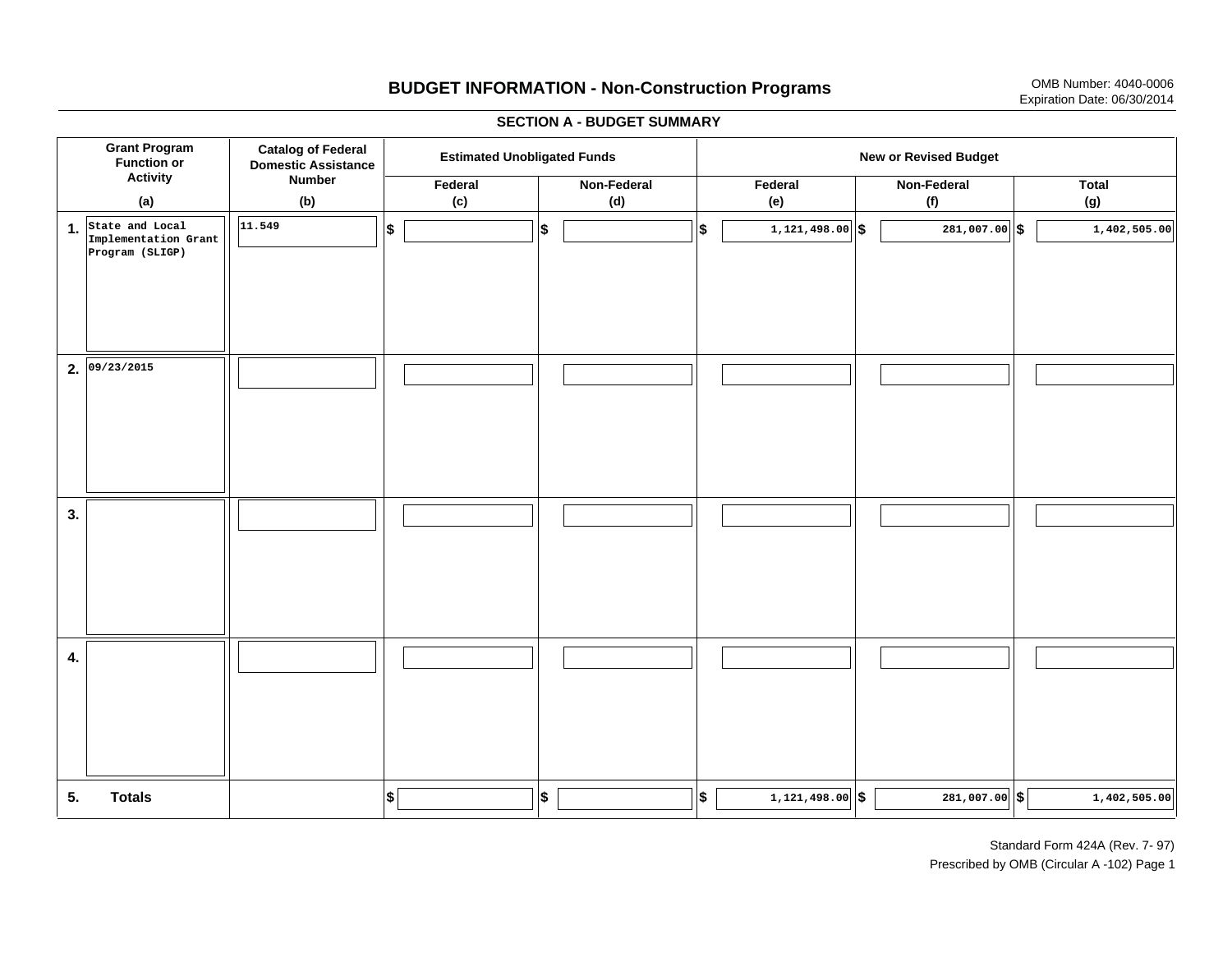# **BUDGET INFORMATION - Non-Construction Programs** OMB Number: 4040-0006 Expiration Date: 06/30/2014

**\$ Grant Program Function or Activity (a) Catalog of Federal Domestic Assistance Number (b) Estimated Unobligated Funds**<br> **Extimated Unobligated Funds Federal(c) Non-Federal(d) Federal(e) Non-Federal (f) Total(g) 5. Totals4. 3. 2. 09/23/2015 1.State and Local \$\$\$\$ 1,121,498.00 281,007.00 1,402,505.00 \$ \$ \$ \$ \$ 1,121,498.00 281,007.00 1,402,505.00 Implementation Grant Program (SLIGP) 11.549**

#### **SECTION A - BUDGET SUMMARY**

Standard Form 424A (Rev. 7- 97) Prescribed by OMB (Circular A -102) Page 1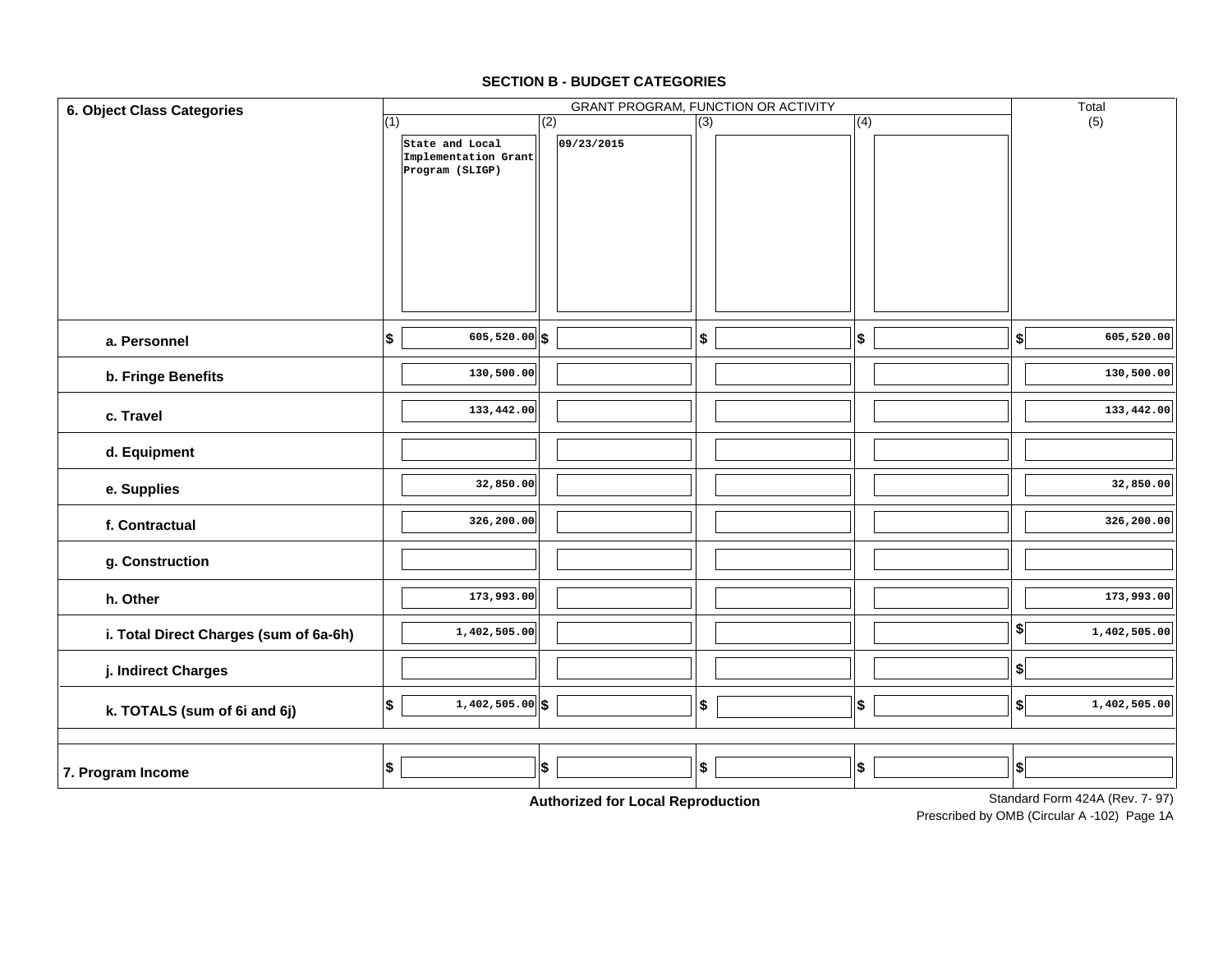| 6. Object Class Categories                                                    |                                         | GRANT PROGRAM, FUNCTION OR ACTIVITY |                  |     |                                        |  |  |  |
|-------------------------------------------------------------------------------|-----------------------------------------|-------------------------------------|------------------|-----|----------------------------------------|--|--|--|
|                                                                               | (1)                                     | (2)                                 | $\overline{(3)}$ | (4) | (5)                                    |  |  |  |
|                                                                               | State and Local                         | 09/23/2015                          |                  |     |                                        |  |  |  |
|                                                                               | Implementation Grant<br>Program (SLIGP) |                                     |                  |     |                                        |  |  |  |
|                                                                               |                                         |                                     |                  |     |                                        |  |  |  |
|                                                                               |                                         |                                     |                  |     |                                        |  |  |  |
|                                                                               |                                         |                                     |                  |     |                                        |  |  |  |
|                                                                               |                                         |                                     |                  |     |                                        |  |  |  |
|                                                                               |                                         |                                     |                  |     |                                        |  |  |  |
|                                                                               |                                         |                                     |                  |     |                                        |  |  |  |
|                                                                               |                                         |                                     |                  |     |                                        |  |  |  |
| a. Personnel                                                                  | $605,520.00$ \$<br> \$                  |                                     | \$               | \$  | 605,520.00<br>$\left  \right\rangle$   |  |  |  |
|                                                                               |                                         |                                     |                  |     |                                        |  |  |  |
| b. Fringe Benefits                                                            | 130,500.00                              |                                     |                  |     | 130,500.00                             |  |  |  |
| c. Travel                                                                     | 133,442.00                              |                                     |                  |     | 133,442.00                             |  |  |  |
|                                                                               |                                         |                                     |                  |     |                                        |  |  |  |
| d. Equipment                                                                  |                                         |                                     |                  |     |                                        |  |  |  |
| e. Supplies                                                                   | 32,850.00                               |                                     |                  |     | 32,850.00                              |  |  |  |
|                                                                               |                                         |                                     |                  |     |                                        |  |  |  |
| f. Contractual                                                                | 326,200.00                              |                                     |                  |     | 326,200.00                             |  |  |  |
| g. Construction                                                               |                                         |                                     |                  |     |                                        |  |  |  |
|                                                                               |                                         |                                     |                  |     |                                        |  |  |  |
| h. Other                                                                      | 173,993.00                              |                                     |                  |     | 173,993.00                             |  |  |  |
| i. Total Direct Charges (sum of 6a-6h)                                        | 1,402,505.00                            |                                     |                  |     | \$<br>1,402,505.00                     |  |  |  |
| j. Indirect Charges                                                           |                                         |                                     |                  |     | $\left  \right\rangle$                 |  |  |  |
|                                                                               |                                         |                                     |                  |     |                                        |  |  |  |
| k. TOTALS (sum of 6i and 6j)                                                  | \$<br>$1,402,505.00$ \$                 |                                     | \$               | \$  | $\left  \cdot \right $<br>1,402,505.00 |  |  |  |
|                                                                               |                                         |                                     |                  |     |                                        |  |  |  |
|                                                                               | \$                                      | \$                                  | \$               |     | $\left  \mathbf{\$} \right $           |  |  |  |
| 7. Program Income                                                             |                                         |                                     |                  | \$  |                                        |  |  |  |
| Standard Form 424A (Rev. 7, 97)<br>المسترات والمستعاد<br>A 1.<br>$\mathbf{r}$ |                                         |                                     |                  |     |                                        |  |  |  |

#### **SECTION B - BUDGET CATEGORIES**

**Authorized for Local Reproduction**

Standard Form 424A (Rev. 7- 97)

Prescribed by OMB (Circular A -102) Page 1A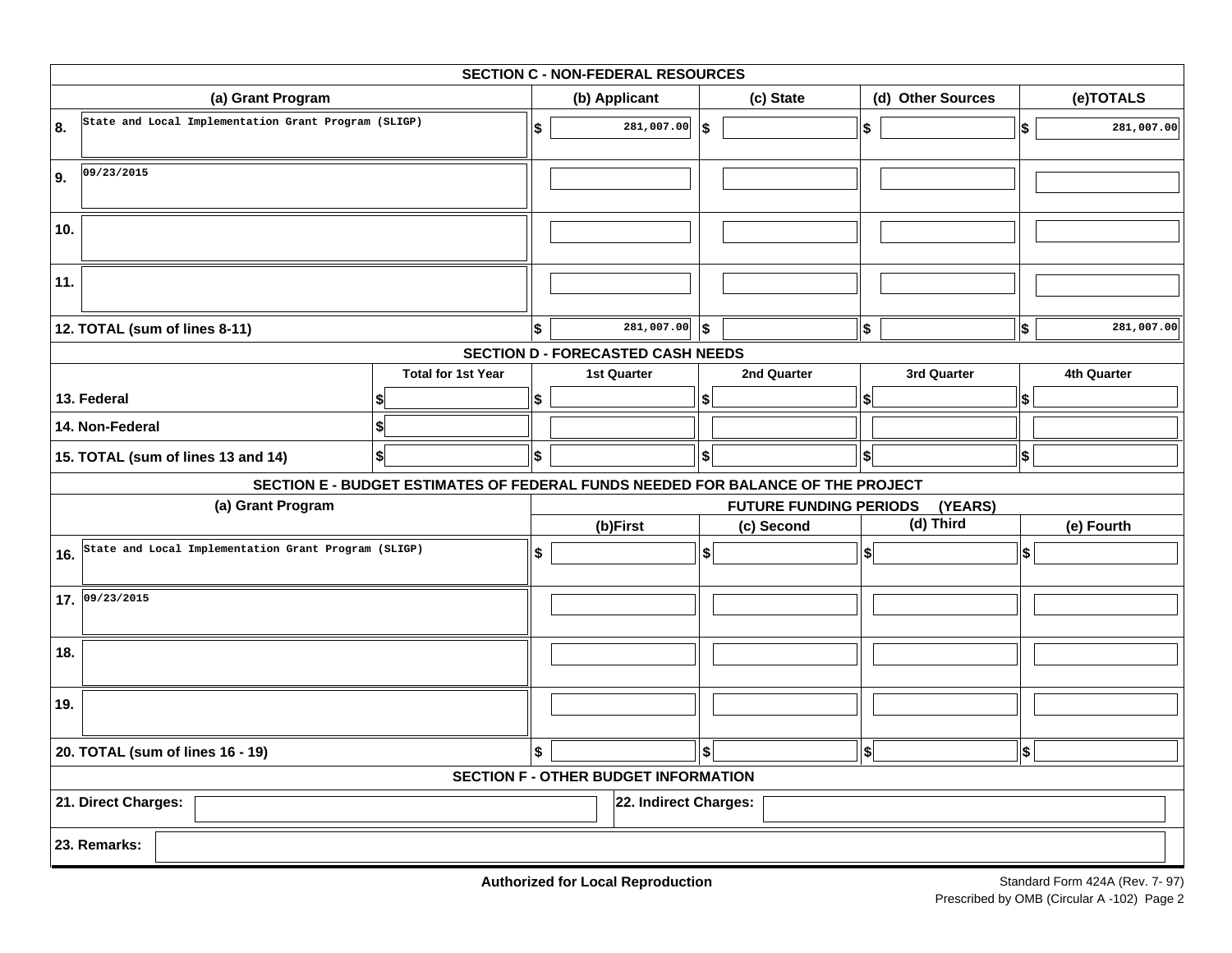| <b>SECTION C - NON-FEDERAL RESOURCES</b>     |                                                      |                                                                                 |               |                                          |           |                               |                    |             |                           |             |
|----------------------------------------------|------------------------------------------------------|---------------------------------------------------------------------------------|---------------|------------------------------------------|-----------|-------------------------------|--------------------|-------------|---------------------------|-------------|
| (a) Grant Program                            |                                                      |                                                                                 | (b) Applicant |                                          | (c) State |                               | (d) Other Sources  |             | (e)TOTALS                 |             |
| 8.                                           | State and Local Implementation Grant Program (SLIGP) |                                                                                 | \$            | 281,007.00                               | 5         |                               | $\boldsymbol{\$}$  |             | $\boldsymbol{\mathsf{s}}$ | 281,007.00  |
| 9.                                           | 09/23/2015                                           |                                                                                 |               |                                          |           |                               |                    |             |                           |             |
| 10.                                          |                                                      |                                                                                 |               |                                          |           |                               |                    |             |                           |             |
| 11.                                          |                                                      |                                                                                 |               |                                          |           |                               |                    |             |                           |             |
|                                              | 12. TOTAL (sum of lines 8-11)                        |                                                                                 | \$            | 281,007.00                               | 5         |                               | \$                 |             | \$                        | 281,007.00  |
|                                              |                                                      |                                                                                 |               | <b>SECTION D - FORECASTED CASH NEEDS</b> |           |                               |                    |             |                           |             |
|                                              |                                                      | <b>Total for 1st Year</b>                                                       |               | <b>1st Quarter</b>                       |           | 2nd Quarter                   |                    | 3rd Quarter |                           | 4th Quarter |
|                                              | 13. Federal                                          |                                                                                 | \$            |                                          | \$        |                               | \$                 |             | \$                        |             |
|                                              | 14. Non-Federal                                      | \$                                                                              |               |                                          |           |                               |                    |             |                           |             |
|                                              | 15. TOTAL (sum of lines 13 and 14)                   | \$                                                                              | \$            |                                          | \$        |                               | $\vert$ \$ $\vert$ |             | \$                        |             |
|                                              |                                                      | SECTION E - BUDGET ESTIMATES OF FEDERAL FUNDS NEEDED FOR BALANCE OF THE PROJECT |               |                                          |           |                               |                    |             |                           |             |
|                                              | (a) Grant Program                                    |                                                                                 |               |                                          |           | <b>FUTURE FUNDING PERIODS</b> |                    | (YEARS)     |                           |             |
|                                              |                                                      |                                                                                 |               | (b)First                                 |           | (c) Second                    |                    | (d) Third   |                           | (e) Fourth  |
| 16.                                          | State and Local Implementation Grant Program (SLIGP) |                                                                                 | \$            |                                          | 3         |                               | \$                 |             | \$                        |             |
|                                              | 17. 09/23/2015                                       |                                                                                 |               |                                          |           |                               |                    |             |                           |             |
| 18.                                          |                                                      |                                                                                 |               |                                          |           |                               |                    |             |                           |             |
| 19.                                          |                                                      |                                                                                 |               |                                          |           |                               |                    |             |                           |             |
| 20. TOTAL (sum of lines 16 - 19)             |                                                      | \$                                                                              |               | \$                                       |           | $\left  \mathbf{s} \right $   |                    | \$          |                           |             |
| <b>SECTION F - OTHER BUDGET INFORMATION</b>  |                                                      |                                                                                 |               |                                          |           |                               |                    |             |                           |             |
| 21. Direct Charges:<br>22. Indirect Charges: |                                                      |                                                                                 |               |                                          |           |                               |                    |             |                           |             |
|                                              | 23. Remarks:                                         |                                                                                 |               |                                          |           |                               |                    |             |                           |             |